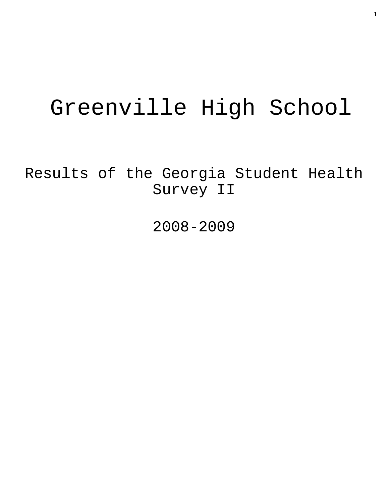# Greenville High School

Results of the Georgia Student Health Survey II

2008-2009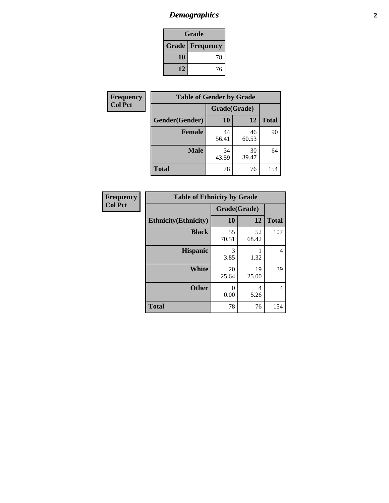# *Demographics* **2**

| Grade                  |    |  |  |
|------------------------|----|--|--|
| <b>Grade Frequency</b> |    |  |  |
| 10                     | 78 |  |  |
| 12                     | 76 |  |  |

| Frequency      | <b>Table of Gender by Grade</b> |              |             |              |  |  |
|----------------|---------------------------------|--------------|-------------|--------------|--|--|
| <b>Col Pct</b> |                                 | Grade(Grade) |             |              |  |  |
|                | Gender(Gender)                  | 10           | 12          | <b>Total</b> |  |  |
|                | <b>Female</b>                   | 44<br>56.41  | 46<br>60.53 | 90           |  |  |
|                | <b>Male</b>                     | 34<br>43.59  | 30<br>39.47 | 64           |  |  |
|                | <b>Total</b>                    | 78           | 76          | 154          |  |  |

| <b>Frequency</b> |
|------------------|
| <b>Col Pct</b>   |

| <b>Table of Ethnicity by Grade</b> |              |             |              |  |  |  |
|------------------------------------|--------------|-------------|--------------|--|--|--|
|                                    | Grade(Grade) |             |              |  |  |  |
| <b>Ethnicity</b> (Ethnicity)       | 10           | 12          | <b>Total</b> |  |  |  |
| <b>Black</b>                       | 55<br>70.51  | 52<br>68.42 | 107          |  |  |  |
| <b>Hispanic</b>                    | 3<br>3.85    | 1.32        | 4            |  |  |  |
| White                              | 20<br>25.64  | 19<br>25.00 | 39           |  |  |  |
| <b>Other</b>                       | 0<br>0.00    | 4<br>5.26   | 4            |  |  |  |
| <b>Total</b>                       | 78           | 76          | 154          |  |  |  |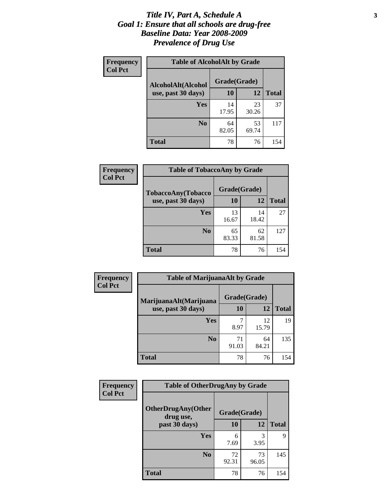### *Title IV, Part A, Schedule A* **3** *Goal 1: Ensure that all schools are drug-free Baseline Data: Year 2008-2009 Prevalence of Drug Use*

| Frequency<br><b>Col Pct</b> | <b>Table of AlcoholAlt by Grade</b> |              |             |              |  |
|-----------------------------|-------------------------------------|--------------|-------------|--------------|--|
|                             | AlcoholAlt(Alcohol                  | Grade(Grade) |             |              |  |
|                             | use, past 30 days)                  | <b>10</b>    | 12          | <b>Total</b> |  |
|                             | Yes                                 | 14<br>17.95  | 23<br>30.26 | 37           |  |
|                             | N <sub>0</sub>                      | 64<br>82.05  | 53<br>69.74 | 117          |  |
|                             | Total                               | 78           | 76          | 154          |  |

| Frequency<br><b>Col Pct</b> | <b>Table of TobaccoAny by Grade</b> |             |             |              |  |  |
|-----------------------------|-------------------------------------|-------------|-------------|--------------|--|--|
| <b>TobaccoAny(Tobacco</b>   | Grade(Grade)                        |             |             |              |  |  |
|                             | use, past 30 days)                  | 10          | 12          | <b>Total</b> |  |  |
|                             | Yes                                 | 13<br>16.67 | 14<br>18.42 | 27           |  |  |
|                             | N <sub>0</sub>                      | 65<br>83.33 | 62<br>81.58 | 127          |  |  |
|                             | <b>Total</b>                        | 78          | 76          | 154          |  |  |

| Frequency      | <b>Table of MarijuanaAlt by Grade</b> |              |             |              |  |
|----------------|---------------------------------------|--------------|-------------|--------------|--|
| <b>Col Pct</b> | MarijuanaAlt(Marijuana                | Grade(Grade) |             |              |  |
|                | use, past 30 days)                    | 10           | 12          | <b>Total</b> |  |
|                | Yes                                   | 8.97         | 12<br>15.79 | 19           |  |
|                | N <sub>0</sub>                        | 71<br>91.03  | 64<br>84.21 | 135          |  |
|                | <b>Total</b>                          | 78           | 76          | 154          |  |

| Frequency<br><b>Col Pct</b> | <b>Table of OtherDrugAny by Grade</b>  |              |             |              |  |
|-----------------------------|----------------------------------------|--------------|-------------|--------------|--|
|                             | <b>OtherDrugAny(Other</b><br>drug use, | Grade(Grade) |             |              |  |
|                             | past 30 days)                          | 10           | <b>12</b>   | <b>Total</b> |  |
|                             | Yes                                    | 6<br>7.69    | 3<br>3.95   | 9            |  |
|                             | N <sub>0</sub>                         | 72<br>92.31  | 73<br>96.05 | 145          |  |
|                             | <b>Total</b>                           | 78           | 76          | 154          |  |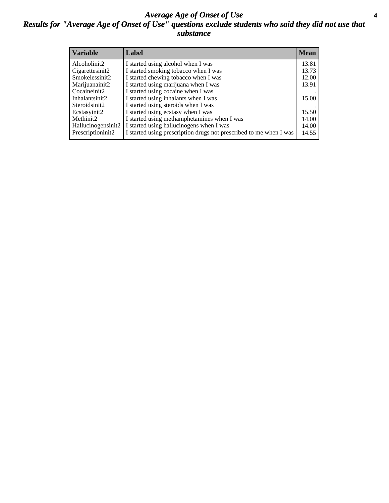### *Average Age of Onset of Use* **4** *Results for "Average Age of Onset of Use" questions exclude students who said they did not use that substance*

| <b>Variable</b>    | Label                                                              | <b>Mean</b> |
|--------------------|--------------------------------------------------------------------|-------------|
| Alcoholinit2       | I started using alcohol when I was                                 | 13.81       |
| Cigarettesinit2    | I started smoking tobacco when I was                               | 13.73       |
| Smokelessinit2     | I started chewing tobacco when I was                               | 12.00       |
| Marijuanainit2     | I started using marijuana when I was                               | 13.91       |
| Cocaineinit2       | I started using cocaine when I was                                 |             |
| Inhalantsinit2     | I started using inhalants when I was                               | 15.00       |
| Steroidsinit2      | I started using steroids when I was                                |             |
| Ecstasyinit2       | I started using ecstasy when I was                                 | 15.50       |
| Methinit2          | I started using methamphetamines when I was                        | 14.00       |
| Hallucinogensinit2 | I started using hallucinogens when I was                           | 14.00       |
| Prescriptioninit2  | I started using prescription drugs not prescribed to me when I was | 14.55       |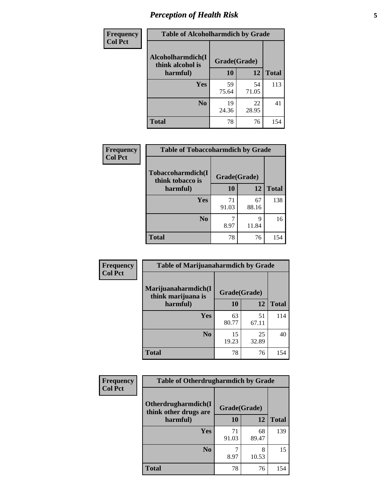# *Perception of Health Risk* **5**

| Frequency      | <b>Table of Alcoholharmdich by Grade</b> |              |             |              |  |
|----------------|------------------------------------------|--------------|-------------|--------------|--|
| <b>Col Pct</b> | Alcoholharmdich(I<br>think alcohol is    | Grade(Grade) |             |              |  |
|                | harmful)                                 | 10           | 12          | <b>Total</b> |  |
|                | <b>Yes</b>                               | 59           | 54          | 113          |  |
|                |                                          | 75.64        | 71.05       |              |  |
|                | N <sub>0</sub>                           | 19<br>24.36  | 22<br>28.95 | 41           |  |
|                | <b>Total</b>                             | 78           | 76          | 154          |  |

| Frequency      | <b>Table of Tobaccoharmdich by Grade</b> |              |             |              |  |
|----------------|------------------------------------------|--------------|-------------|--------------|--|
| <b>Col Pct</b> | Tobaccoharmdich(I<br>think tobacco is    | Grade(Grade) |             |              |  |
|                | harmful)                                 | 10           | 12          | <b>Total</b> |  |
|                | <b>Yes</b>                               | 71<br>91.03  | 67<br>88.16 | 138          |  |
|                | N <sub>0</sub>                           | 8.97         | 9<br>11.84  | 16           |  |
|                | <b>Total</b>                             | 78           | 76          | 154          |  |

| Frequency      | <b>Table of Marijuanaharmdich by Grade</b> |              |             |              |  |
|----------------|--------------------------------------------|--------------|-------------|--------------|--|
| <b>Col Pct</b> | Marijuanaharmdich(I<br>think marijuana is  | Grade(Grade) |             |              |  |
|                | harmful)                                   | 10           | 12          | <b>Total</b> |  |
|                | <b>Yes</b>                                 | 63<br>80.77  | 51<br>67.11 | 114          |  |
|                | N <sub>0</sub>                             | 15<br>19.23  | 25<br>32.89 | 40           |  |
|                | <b>Total</b>                               | 78           | 76          | 154          |  |

| <b>Frequency</b> | <b>Table of Otherdrugharmdich by Grade</b>   |              |             |              |  |  |
|------------------|----------------------------------------------|--------------|-------------|--------------|--|--|
| <b>Col Pct</b>   | Otherdrugharmdich(I<br>think other drugs are | Grade(Grade) |             |              |  |  |
|                  | harmful)                                     | 10           | 12          | <b>Total</b> |  |  |
|                  | <b>Yes</b>                                   | 71<br>91.03  | 68<br>89.47 | 139          |  |  |
|                  | N <sub>0</sub>                               | 8.97         | 8<br>10.53  | 15           |  |  |
|                  | <b>Total</b>                                 | 78           | 76          | 154          |  |  |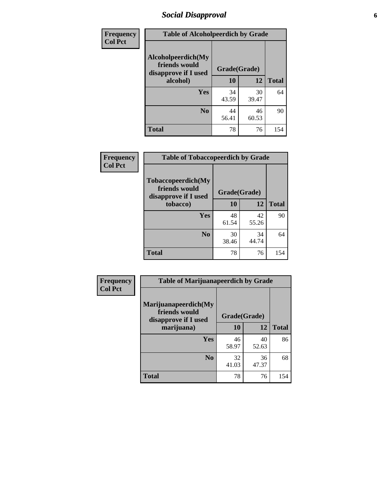# *Social Disapproval* **6**

| Frequency      | <b>Table of Alcoholpeerdich by Grade</b>                    |              |             |              |  |  |
|----------------|-------------------------------------------------------------|--------------|-------------|--------------|--|--|
| <b>Col Pct</b> | Alcoholpeerdich(My<br>friends would<br>disapprove if I used | Grade(Grade) |             |              |  |  |
|                | alcohol)                                                    | 10           | 12          | <b>Total</b> |  |  |
|                | <b>Yes</b>                                                  | 34<br>43.59  | 30<br>39.47 | 64           |  |  |
|                | N <sub>0</sub>                                              | 44<br>56.41  | 46<br>60.53 | 90           |  |  |
|                | <b>Total</b>                                                | 78           | 76          | 154          |  |  |

| <b>Frequency</b> |
|------------------|
| <b>Col Pct</b>   |

| <b>Table of Tobaccopeerdich by Grade</b>                    |              |             |              |  |  |
|-------------------------------------------------------------|--------------|-------------|--------------|--|--|
| Tobaccopeerdich(My<br>friends would<br>disapprove if I used | Grade(Grade) |             |              |  |  |
| tobacco)                                                    | 10           | 12          | <b>Total</b> |  |  |
| Yes                                                         | 48<br>61.54  | 42<br>55.26 | 90           |  |  |
| N <sub>0</sub>                                              | 30<br>38.46  | 34<br>44.74 | 64           |  |  |
| <b>Total</b>                                                | 78           | 76          | 154          |  |  |

| <b>Frequency</b> | <b>Table of Marijuanapeerdich by Grade</b>                    |              |             |              |  |  |  |
|------------------|---------------------------------------------------------------|--------------|-------------|--------------|--|--|--|
| <b>Col Pct</b>   | Marijuanapeerdich(My<br>friends would<br>disapprove if I used | Grade(Grade) |             |              |  |  |  |
|                  | marijuana)                                                    | 10           | 12          | <b>Total</b> |  |  |  |
|                  | <b>Yes</b>                                                    | 46<br>58.97  | 40<br>52.63 | 86           |  |  |  |
|                  | N <sub>0</sub>                                                | 32<br>41.03  | 36<br>47.37 | 68           |  |  |  |
|                  | <b>Total</b>                                                  | 78           | 76          | 154          |  |  |  |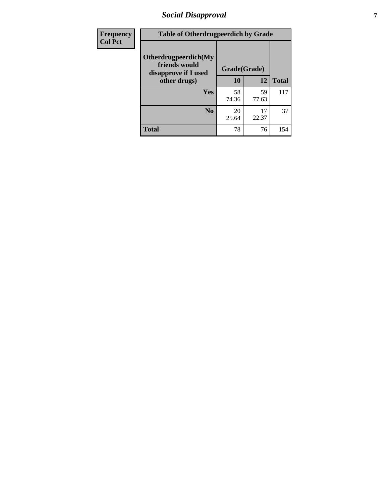# *Social Disapproval* **7**

| Frequency      | <b>Table of Otherdrugpeerdich by Grade</b>                    |              |             |              |  |  |
|----------------|---------------------------------------------------------------|--------------|-------------|--------------|--|--|
| <b>Col Pct</b> | Otherdrugpeerdich(My<br>friends would<br>disapprove if I used | Grade(Grade) |             |              |  |  |
|                | other drugs)                                                  | 10           | 12          | <b>Total</b> |  |  |
|                | Yes                                                           | 58<br>74.36  | 59<br>77.63 | 117          |  |  |
|                | N <sub>0</sub>                                                | 20<br>25.64  | 17<br>22.37 | 37           |  |  |
|                | <b>Total</b>                                                  | 78           | 76          | 154          |  |  |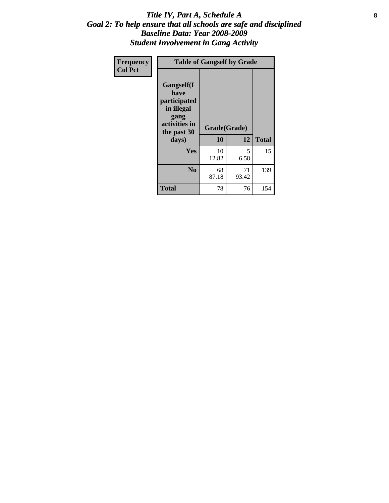### Title IV, Part A, Schedule A **8** *Goal 2: To help ensure that all schools are safe and disciplined Baseline Data: Year 2008-2009 Student Involvement in Gang Activity*

| Frequency      | <b>Table of Gangself by Grade</b>                                                                 |                    |             |              |
|----------------|---------------------------------------------------------------------------------------------------|--------------------|-------------|--------------|
| <b>Col Pct</b> | Gangself(I<br>have<br>participated<br>in illegal<br>gang<br>activities in<br>the past 30<br>days) | Grade(Grade)<br>10 | 12          | <b>Total</b> |
|                | Yes                                                                                               | 10<br>12.82        | 5<br>6.58   | 15           |
|                | N <sub>0</sub>                                                                                    | 68<br>87.18        | 71<br>93.42 | 139          |
|                | <b>Total</b>                                                                                      | 78                 | 76          | 154          |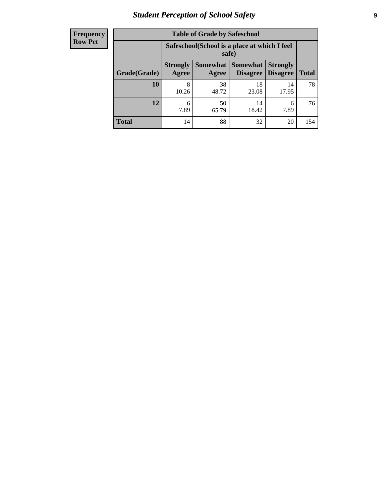# *Student Perception of School Safety* **9**

| <b>Frequency</b><br>Row Pct |
|-----------------------------|
|                             |

| <b>Table of Grade by Safeschool</b> |                                                                                                                          |             |             |             |     |  |  |
|-------------------------------------|--------------------------------------------------------------------------------------------------------------------------|-------------|-------------|-------------|-----|--|--|
|                                     | Safeschool (School is a place at which I feel<br>safe)                                                                   |             |             |             |     |  |  |
| Grade(Grade)                        | Somewhat Somewhat<br><b>Strongly</b><br><b>Strongly</b><br><b>Disagree</b><br>Agree<br>Disagree<br><b>Total</b><br>Agree |             |             |             |     |  |  |
| 10                                  | 8<br>10.26                                                                                                               | 38<br>48.72 | 18<br>23.08 | 14<br>17.95 | 78  |  |  |
| 12                                  | 6<br>7.89                                                                                                                | 50<br>65.79 | 14<br>18.42 | 6<br>7.89   | 76  |  |  |
| <b>Total</b>                        | 14                                                                                                                       | 88          | 32          | 20          | 154 |  |  |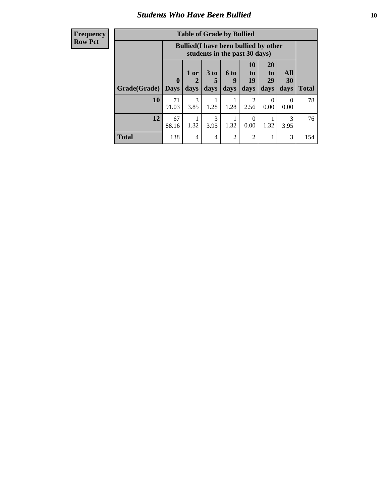### *Students Who Have Been Bullied* **10**

### **Frequency Row Pct**

| <b>Table of Grade by Bullied</b> |                  |                                                                               |                              |                   |                        |                               |                   |              |
|----------------------------------|------------------|-------------------------------------------------------------------------------|------------------------------|-------------------|------------------------|-------------------------------|-------------------|--------------|
|                                  |                  | <b>Bullied</b> (I have been bullied by other<br>students in the past 30 days) |                              |                   |                        |                               |                   |              |
| Grade(Grade)                     | 0<br><b>Days</b> | 1 or<br>days                                                                  | 3 <sub>to</sub><br>5<br>days | 6 to<br>9<br>days | 10<br>to<br>19<br>days | <b>20</b><br>to<br>29<br>days | All<br>30<br>days | <b>Total</b> |
| 10                               | 71<br>91.03      | 3<br>3.85                                                                     | 1.28                         | 1.28              | 2<br>2.56              | $\theta$<br>0.00              | 0<br>0.00         | 78           |
| 12                               | 67<br>88.16      | 1.32                                                                          | 3<br>3.95                    | 1.32              | $\Omega$<br>0.00       | 1.32                          | 3<br>3.95         | 76           |
| <b>Total</b>                     | 138              | 4                                                                             | 4                            | $\overline{2}$    | 2                      |                               | 3                 | 154          |

 $\blacksquare$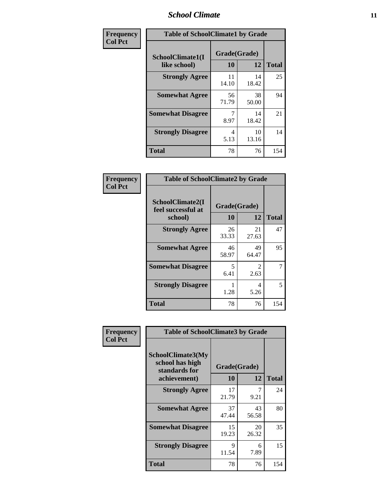### *School Climate* **11**

| <b>Frequency</b> | <b>Table of SchoolClimate1 by Grade</b> |                    |             |              |  |  |
|------------------|-----------------------------------------|--------------------|-------------|--------------|--|--|
| <b>Col Pct</b>   | SchoolClimate1(I<br>like school)        | Grade(Grade)<br>10 | 12          | <b>Total</b> |  |  |
|                  | <b>Strongly Agree</b>                   | 11<br>14.10        | 14<br>18.42 | 25           |  |  |
|                  | <b>Somewhat Agree</b>                   | 56<br>71.79        | 38<br>50.00 | 94           |  |  |
|                  | <b>Somewhat Disagree</b>                | 8.97               | 14<br>18.42 | 21           |  |  |
|                  | <b>Strongly Disagree</b>                | 4<br>5.13          | 10<br>13.16 | 14           |  |  |
|                  | <b>Total</b>                            | 78                 | 76          | 154          |  |  |

| <b>Table of SchoolClimate2 by Grade</b>           |                    |                        |              |  |  |
|---------------------------------------------------|--------------------|------------------------|--------------|--|--|
| SchoolClimate2(I<br>feel successful at<br>school) | Grade(Grade)<br>10 | 12                     | <b>Total</b> |  |  |
| <b>Strongly Agree</b>                             | 26<br>33.33        | 21<br>27.63            | 47           |  |  |
| <b>Somewhat Agree</b>                             | 46<br>58.97        | 49<br>64.47            | 95           |  |  |
| <b>Somewhat Disagree</b>                          | 5<br>6.41          | $\mathfrak{D}$<br>2.63 | 7            |  |  |
| <b>Strongly Disagree</b>                          | 1.28               | 4<br>5.26              | 5            |  |  |
| Total                                             | 78                 | 76                     | 154          |  |  |

| Frequency      | <b>Table of SchoolClimate3 by Grade</b>                                      |             |                    |              |
|----------------|------------------------------------------------------------------------------|-------------|--------------------|--------------|
| <b>Col Pct</b> | <b>SchoolClimate3(My</b><br>school has high<br>standards for<br>achievement) | <b>10</b>   | Grade(Grade)<br>12 | <b>Total</b> |
|                |                                                                              |             |                    |              |
|                | <b>Strongly Agree</b>                                                        | 17<br>21.79 | 7<br>9.21          | 24           |
|                | <b>Somewhat Agree</b>                                                        | 37<br>47.44 | 43<br>56.58        | 80           |
|                | <b>Somewhat Disagree</b>                                                     | 15<br>19.23 | 20<br>26.32        | 35           |
|                | <b>Strongly Disagree</b>                                                     | 9<br>11.54  | 6<br>7.89          | 15           |
|                | Total                                                                        | 78          | 76                 | 154          |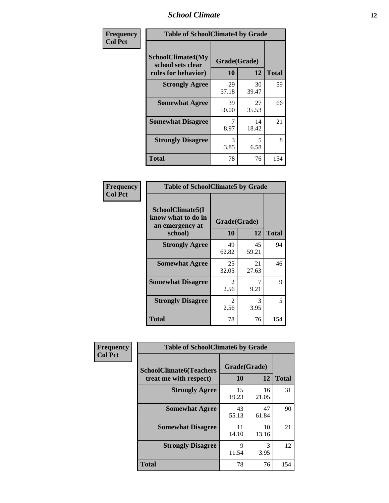### *School Climate* **12**

| Frequency      | <b>Table of SchoolClimate4 by Grade</b>                       |                    |             |              |
|----------------|---------------------------------------------------------------|--------------------|-------------|--------------|
| <b>Col Pct</b> | SchoolClimate4(My<br>school sets clear<br>rules for behavior) | Grade(Grade)<br>10 | 12          | <b>Total</b> |
|                | <b>Strongly Agree</b>                                         | 29<br>37.18        | 30<br>39.47 | 59           |
|                | <b>Somewhat Agree</b>                                         | 39<br>50.00        | 27<br>35.53 | 66           |
|                | <b>Somewhat Disagree</b>                                      | 7<br>8.97          | 14<br>18.42 | 21           |
|                | <b>Strongly Disagree</b>                                      | 3<br>3.85          | 5<br>6.58   | 8            |
|                | <b>Total</b>                                                  | 78                 | 76          | 154          |

| <b>Table of SchoolClimate5 by Grade</b>                   |              |             |              |  |
|-----------------------------------------------------------|--------------|-------------|--------------|--|
| SchoolClimate5(I<br>know what to do in<br>an emergency at | Grade(Grade) |             |              |  |
| school)                                                   | 10           | 12          | <b>Total</b> |  |
| <b>Strongly Agree</b>                                     | 49<br>62.82  | 45<br>59.21 | 94           |  |
| <b>Somewhat Agree</b>                                     | 25<br>32.05  | 21<br>27.63 | 46           |  |
| <b>Somewhat Disagree</b>                                  | 2<br>2.56    | 7<br>9.21   | 9            |  |
| <b>Strongly Disagree</b>                                  | 2<br>2.56    | 3<br>3.95   | 5            |  |
| Total                                                     | 78           | 76          | 154          |  |

| Frequency      | <b>Table of SchoolClimate6 by Grade</b>                  |                    |             |              |  |
|----------------|----------------------------------------------------------|--------------------|-------------|--------------|--|
| <b>Col Pct</b> | <b>SchoolClimate6(Teachers</b><br>treat me with respect) | Grade(Grade)<br>10 | 12          | <b>Total</b> |  |
|                | <b>Strongly Agree</b>                                    | 15<br>19.23        | 16<br>21.05 | 31           |  |
|                | <b>Somewhat Agree</b>                                    | 43<br>55.13        | 47<br>61.84 | 90           |  |
|                | <b>Somewhat Disagree</b>                                 | 11<br>14.10        | 10<br>13.16 | 21           |  |
|                | <b>Strongly Disagree</b>                                 | 9<br>11.54         | 3<br>3.95   | 12           |  |
|                | <b>Total</b>                                             | 78                 | 76          | 154          |  |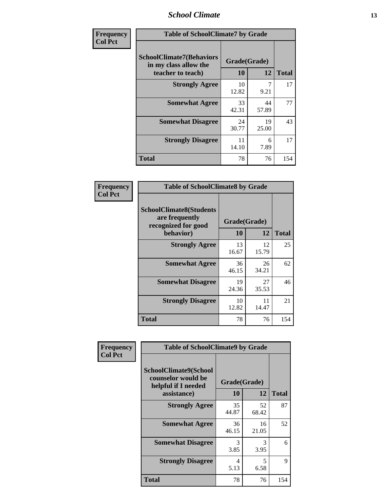### *School Climate* **13**

| Frequency      | <b>Table of SchoolClimate7 by Grade</b>                                       |                    |                        |              |
|----------------|-------------------------------------------------------------------------------|--------------------|------------------------|--------------|
| <b>Col Pct</b> | <b>SchoolClimate7(Behaviors</b><br>in my class allow the<br>teacher to teach) | Grade(Grade)<br>10 | 12                     | <b>Total</b> |
|                | <b>Strongly Agree</b>                                                         | 10<br>12.82        | $\overline{7}$<br>9.21 | 17           |
|                | <b>Somewhat Agree</b>                                                         | 33<br>42.31        | 44<br>57.89            | 77           |
|                | <b>Somewhat Disagree</b>                                                      | 24<br>30.77        | 19<br>25.00            | 43           |
|                | <b>Strongly Disagree</b>                                                      | 11<br>14.10        | 6<br>7.89              | 17           |
|                | <b>Total</b>                                                                  | 78                 | 76                     | 154          |

| Frequency      | <b>Table of SchoolClimate8 by Grade</b>                                 |              |             |              |
|----------------|-------------------------------------------------------------------------|--------------|-------------|--------------|
| <b>Col Pct</b> | <b>SchoolClimate8(Students</b><br>are frequently<br>recognized for good | Grade(Grade) |             |              |
|                | behavior)                                                               | 10           | 12          | <b>Total</b> |
|                | <b>Strongly Agree</b>                                                   | 13<br>16.67  | 12<br>15.79 | 25           |
|                | <b>Somewhat Agree</b>                                                   | 36<br>46.15  | 26<br>34.21 | 62           |
|                | <b>Somewhat Disagree</b>                                                | 19<br>24.36  | 27<br>35.53 | 46           |
|                | <b>Strongly Disagree</b>                                                | 10<br>12.82  | 11<br>14.47 | 21           |
|                | <b>Total</b>                                                            | 78           | 76          | 154          |

| Frequency      | <b>Table of SchoolClimate9 by Grade</b>                                           |                    |             |              |
|----------------|-----------------------------------------------------------------------------------|--------------------|-------------|--------------|
| <b>Col Pct</b> | SchoolClimate9(School<br>counselor would be<br>helpful if I needed<br>assistance) | Grade(Grade)<br>10 | 12          | <b>Total</b> |
|                | <b>Strongly Agree</b>                                                             | 35<br>44.87        | 52<br>68.42 | 87           |
|                | <b>Somewhat Agree</b>                                                             | 36<br>46.15        | 16<br>21.05 | 52           |
|                | <b>Somewhat Disagree</b>                                                          | 3<br>3.85          | 3<br>3.95   | 6            |
|                | <b>Strongly Disagree</b>                                                          | 4<br>5.13          | 5<br>6.58   | 9            |
|                | <b>Total</b>                                                                      | 78                 | 76          | 154          |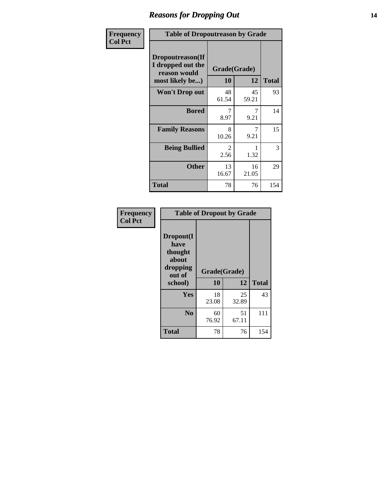### *Reasons for Dropping Out* **14**

| Frequency      | <b>Table of Dropoutreason by Grade</b>                                   |                    |             |              |
|----------------|--------------------------------------------------------------------------|--------------------|-------------|--------------|
| <b>Col Pct</b> | Dropoutreason(If<br>I dropped out the<br>reason would<br>most likely be) | Grade(Grade)<br>10 | 12          | <b>Total</b> |
|                | <b>Won't Drop out</b>                                                    | 48<br>61.54        | 45<br>59.21 | 93           |
|                | <b>Bored</b>                                                             | 7<br>8.97          | 9.21        | 14           |
|                | <b>Family Reasons</b>                                                    | 8<br>10.26         | 7<br>9.21   | 15           |
|                | <b>Being Bullied</b>                                                     | 2<br>2.56          | 1.32        | 3            |
|                | <b>Other</b>                                                             | 13<br>16.67        | 16<br>21.05 | 29           |
|                | <b>Total</b>                                                             | 78                 | 76          | 154          |

| Frequency      | <b>Table of Dropout by Grade</b>                                       |                    |             |              |  |
|----------------|------------------------------------------------------------------------|--------------------|-------------|--------------|--|
| <b>Col Pct</b> | Dropout(I<br>have<br>thought<br>about<br>dropping<br>out of<br>school) | Grade(Grade)<br>10 | 12          | <b>Total</b> |  |
|                | Yes                                                                    | 18<br>23.08        | 25<br>32.89 | 43           |  |
|                | N <sub>0</sub>                                                         | 60<br>76.92        | 51<br>67.11 | 111          |  |
|                | <b>Total</b>                                                           | 78                 | 76          | 154          |  |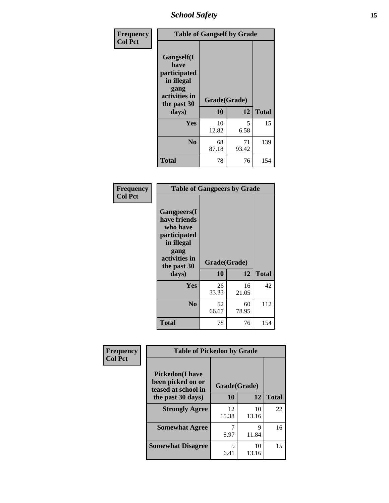*School Safety* **15**

| Frequency      |                                                                                                   | <b>Table of Gangself by Grade</b> |             |              |
|----------------|---------------------------------------------------------------------------------------------------|-----------------------------------|-------------|--------------|
| <b>Col Pct</b> | Gangself(I<br>have<br>participated<br>in illegal<br>gang<br>activities in<br>the past 30<br>days) | Grade(Grade)<br>10                | 12          | <b>Total</b> |
|                | Yes                                                                                               | 10<br>12.82                       | 5<br>6.58   | 15           |
|                | N <sub>0</sub>                                                                                    | 68<br>87.18                       | 71<br>93.42 | 139          |
|                | Total                                                                                             | 78                                | 76          | 154          |

| Frequency<br><b>Col Pct</b> | <b>Table of Gangpeers by Grade</b>                                                                                     |                    |             |              |
|-----------------------------|------------------------------------------------------------------------------------------------------------------------|--------------------|-------------|--------------|
|                             | Gangpeers(I<br>have friends<br>who have<br>participated<br>in illegal<br>gang<br>activities in<br>the past 30<br>days) | Grade(Grade)<br>10 | 12          | <b>Total</b> |
|                             | <b>Yes</b>                                                                                                             | 26<br>33.33        | 16<br>21.05 | 42           |
|                             | N <sub>0</sub>                                                                                                         | 52<br>66.67        | 60<br>78.95 | 112          |
|                             | <b>Total</b>                                                                                                           | 78                 | 76          | 154          |

| Frequency      | <b>Table of Pickedon by Grade</b>                                   |              |             |              |
|----------------|---------------------------------------------------------------------|--------------|-------------|--------------|
| <b>Col Pct</b> | <b>Pickedon</b> (I have<br>been picked on or<br>teased at school in | Grade(Grade) |             |              |
|                | the past 30 days)                                                   | 10           | 12          | <b>Total</b> |
|                | <b>Strongly Agree</b>                                               | 12<br>15.38  | 10<br>13.16 | 22           |
|                | <b>Somewhat Agree</b>                                               | 8.97         | Q<br>11.84  | 16           |
|                | <b>Somewhat Disagree</b>                                            | 5<br>6.41    | 10<br>13.16 | 15           |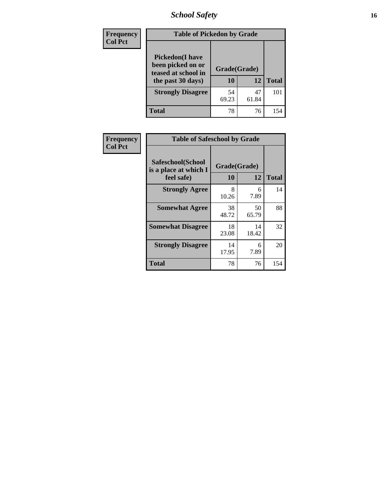*School Safety* **16**

| <b>Frequency</b> | <b>Table of Pickedon by Grade</b>                                                        |                    |             |              |
|------------------|------------------------------------------------------------------------------------------|--------------------|-------------|--------------|
| <b>Col Pct</b>   | <b>Pickedon</b> (I have<br>been picked on or<br>teased at school in<br>the past 30 days) | Grade(Grade)<br>10 | 12          | <b>Total</b> |
|                  | <b>Strongly Disagree</b>                                                                 | 54<br>69.23        | 47<br>61.84 | 101          |
|                  | <b>Total</b>                                                                             | 78                 | 76          | 154          |

| Frequency      | <b>Table of Safeschool by Grade</b>                      |                    |              |     |  |  |  |
|----------------|----------------------------------------------------------|--------------------|--------------|-----|--|--|--|
| <b>Col Pct</b> | Safeschool(School<br>is a place at which I<br>feel safe) | Grade(Grade)<br>10 | <b>Total</b> |     |  |  |  |
|                | <b>Strongly Agree</b>                                    | 8<br>10.26         | 6<br>7.89    | 14  |  |  |  |
|                | <b>Somewhat Agree</b>                                    | 38<br>48.72        | 50<br>65.79  | 88  |  |  |  |
|                | <b>Somewhat Disagree</b>                                 | 18<br>23.08        | 14<br>18.42  | 32  |  |  |  |
|                | <b>Strongly Disagree</b>                                 | 14<br>17.95        | 6<br>7.89    | 20  |  |  |  |
|                | <b>Total</b>                                             | 78                 | 76           | 154 |  |  |  |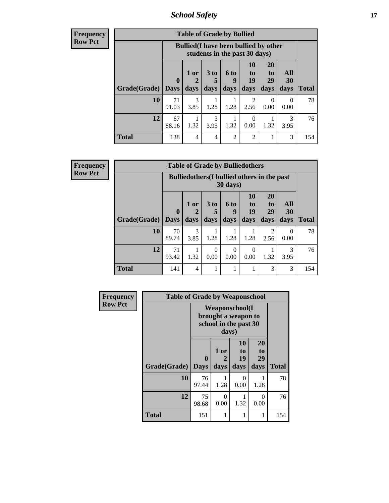*School Safety* **17**

**Frequency Row Pct**

| <b>Table of Grade by Bullied</b> |                             |                                                                               |                       |                          |                        |                               |                          |              |  |  |  |
|----------------------------------|-----------------------------|-------------------------------------------------------------------------------|-----------------------|--------------------------|------------------------|-------------------------------|--------------------------|--------------|--|--|--|
|                                  |                             | <b>Bullied</b> (I have been bullied by other<br>students in the past 30 days) |                       |                          |                        |                               |                          |              |  |  |  |
| Grade(Grade)                     | $\mathbf{0}$<br><b>Days</b> | 1 or<br>$\overline{2}$<br>days                                                | 3 to<br>days          | <b>6 to</b><br>9<br>days | 10<br>to<br>19<br>days | <b>20</b><br>to<br>29<br>days | All<br><b>30</b><br>days | <b>Total</b> |  |  |  |
| 10                               | 71<br>91.03                 | 3<br>3.85                                                                     | 1.28                  | 1.28                     | 2<br>2.56              | $\theta$<br>0.00              | $\Omega$<br>0.00         | 78           |  |  |  |
| 12                               | 67<br>88.16                 | 1.32                                                                          | $\mathcal{R}$<br>3.95 | 1.32                     | 0<br>0.00              | 1.32                          | 3<br>3.95                | 76           |  |  |  |
| <b>Total</b>                     | 138                         | 4                                                                             | 4                     | $\overline{2}$           | $\overline{2}$         |                               | 3                        | 154          |  |  |  |

**Frequency Row Pct**

| <b>Table of Grade by Bulliedothers</b> |             |                                                                         |                              |                   |                                  |                               |                           |              |  |  |
|----------------------------------------|-------------|-------------------------------------------------------------------------|------------------------------|-------------------|----------------------------------|-------------------------------|---------------------------|--------------|--|--|
|                                        |             | <b>Bulliedothers</b> (I bullied others in the past<br>$30 \text{ days}$ |                              |                   |                                  |                               |                           |              |  |  |
| Grade(Grade)   Days                    | $\bf{0}$    | $1$ or<br>days                                                          | 3 <sub>to</sub><br>5<br>days | 6 to<br>9<br>days | 10<br>$\mathbf{t}$<br>19<br>days | <b>20</b><br>to<br>29<br>days | All<br>30<br>days         | <b>Total</b> |  |  |
| <b>10</b>                              | 70<br>89.74 | 3<br>3.85                                                               | 1.28                         | 1.28              | 1.28                             | 2<br>2.56                     | $\mathbf{\Omega}$<br>0.00 | 78           |  |  |
| 12                                     | 71<br>93.42 | 1.32                                                                    | $\Omega$<br>0.00             | 0<br>0.00         | 0<br>0.00                        | 1.32                          | 3<br>3.95                 | 76           |  |  |
| <b>Total</b>                           | 141         | 4                                                                       | 1                            |                   |                                  | 3                             | 3                         | 154          |  |  |

| Frequency      | <b>Table of Grade by Weaponschool</b> |                                                                        |                   |                               |                        |              |  |  |  |  |
|----------------|---------------------------------------|------------------------------------------------------------------------|-------------------|-------------------------------|------------------------|--------------|--|--|--|--|
| <b>Row Pct</b> |                                       | <b>Weaponschool</b> (I<br>brought a weapon to<br>school in the past 30 |                   |                               |                        |              |  |  |  |  |
|                | Grade(Grade)                          | $\bf{0}$<br><b>Days</b>                                                | 1 or<br>2<br>days | <b>10</b><br>to<br>19<br>days | 20<br>to<br>29<br>days | <b>Total</b> |  |  |  |  |
|                | 10                                    | 76<br>97.44                                                            | 1.28              | $\Omega$<br>0.00              | 1.28                   | 78           |  |  |  |  |
|                | 12                                    | 75<br>98.68                                                            | 0<br>0.00         | 1.32                          | $\Omega$<br>0.00       | 76           |  |  |  |  |
|                | <b>Total</b>                          | 151                                                                    |                   | 1                             | 1                      | 154          |  |  |  |  |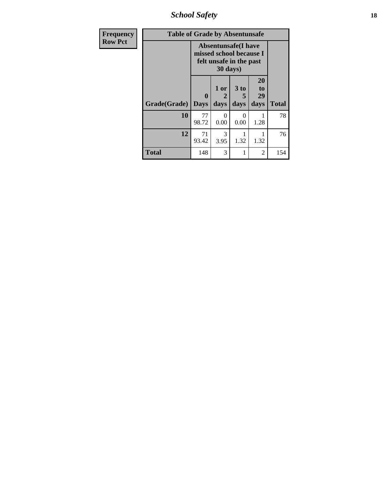*School Safety* **18**

| <b>Frequency</b> | <b>Table of Grade by Absentunsafe</b> |                  |                                                                                              |                              |                        |              |  |  |  |
|------------------|---------------------------------------|------------------|----------------------------------------------------------------------------------------------|------------------------------|------------------------|--------------|--|--|--|
| <b>Row Pct</b>   |                                       |                  | <b>Absentunsafe(I have</b><br>missed school because I<br>felt unsafe in the past<br>30 days) |                              |                        |              |  |  |  |
|                  | Grade(Grade)                          | 0<br><b>Days</b> | 1 or<br>2<br>days                                                                            | 3 <sub>to</sub><br>5<br>days | 20<br>to<br>29<br>days | <b>Total</b> |  |  |  |
|                  | 10                                    | 77<br>98.72      | 0<br>0.00                                                                                    | 0<br>0.00                    | 1.28                   | 78           |  |  |  |
|                  | 12                                    | 71<br>93.42      | 3<br>3.95                                                                                    | 1.32                         | 1.32                   | 76           |  |  |  |
|                  | <b>Total</b>                          | 148              | 3                                                                                            | 1                            | $\overline{2}$         | 154          |  |  |  |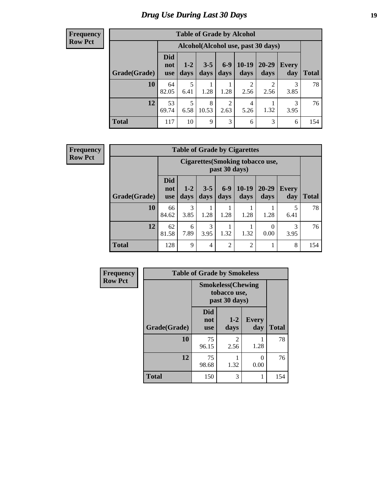# *Drug Use During Last 30 Days* **19**

#### **Frequency Row Pct**

| <b>Table of Grade by Alcohol</b> |                          |                                     |                 |                        |                        |                        |                     |              |  |  |
|----------------------------------|--------------------------|-------------------------------------|-----------------|------------------------|------------------------|------------------------|---------------------|--------------|--|--|
|                                  |                          | Alcohol (Alcohol use, past 30 days) |                 |                        |                        |                        |                     |              |  |  |
| Grade(Grade)                     | <b>Did</b><br>not<br>use | $1 - 2$<br>days                     | $3 - 5$<br>days | $6-9$<br>days          | $10-19$<br>days        | 20-29<br>days          | <b>Every</b><br>day | <b>Total</b> |  |  |
| 10                               | 64<br>82.05              | 5<br>6.41                           | 1.28            | 1.28                   | $\mathfrak{D}$<br>2.56 | $\mathfrak{D}$<br>2.56 | 3<br>3.85           | 78           |  |  |
| 12                               | 53<br>69.74              | 5<br>6.58                           | 8<br>10.53      | $\overline{2}$<br>2.63 | 4<br>5.26              | 1.32                   | 3<br>3.95           | 76           |  |  |
| <b>Total</b>                     | 117                      | 10                                  | 9               | 3                      | 6                      | 3                      | 6                   | 154          |  |  |

#### **Frequency Row Pct**

| <b>Table of Grade by Cigarettes</b> |                                                                                                                                                   |                                                         |           |                |                |           |              |     |  |  |
|-------------------------------------|---------------------------------------------------------------------------------------------------------------------------------------------------|---------------------------------------------------------|-----------|----------------|----------------|-----------|--------------|-----|--|--|
|                                     |                                                                                                                                                   | <b>Cigarettes(Smoking tobacco use,</b><br>past 30 days) |           |                |                |           |              |     |  |  |
| Grade(Grade)                        | <b>Did</b><br>$10-19$<br>$6-9$<br>20-29<br>$3 - 5$<br>$1 - 2$<br><b>Every</b><br>not<br>days<br>days<br>days<br>days<br>day<br>days<br><b>use</b> |                                                         |           |                |                |           | <b>Total</b> |     |  |  |
| 10                                  | 66<br>84.62                                                                                                                                       | 3<br>3.85                                               | 1.28      | 1.28           | 1.28           | 1.28      | 5<br>6.41    | 78  |  |  |
| 12                                  | 62<br>81.58                                                                                                                                       | 6<br>7.89                                               | 3<br>3.95 | 1.32           | 1.32           | 0<br>0.00 | 3<br>3.95    | 76  |  |  |
| <b>Total</b>                        | 128                                                                                                                                               | 9                                                       | 4         | $\overline{2}$ | $\overline{2}$ |           | 8            | 154 |  |  |

| Frequency      | <b>Table of Grade by Smokeless</b> |                                                            |                        |                     |              |  |  |  |  |  |
|----------------|------------------------------------|------------------------------------------------------------|------------------------|---------------------|--------------|--|--|--|--|--|
| <b>Row Pct</b> |                                    | <b>Smokeless</b> (Chewing<br>tobacco use,<br>past 30 days) |                        |                     |              |  |  |  |  |  |
|                | Grade(Grade)                       | <b>Did</b><br>not<br><b>use</b>                            | $1-2$<br>days          | <b>Every</b><br>day | <b>Total</b> |  |  |  |  |  |
|                | 10                                 | 75<br>96.15                                                | $\overline{2}$<br>2.56 | 1.28                | 78           |  |  |  |  |  |
|                | 12                                 | 75<br>98.68                                                | 1.32                   | 0<br>0.00           | 76           |  |  |  |  |  |
|                | <b>Total</b>                       | 150                                                        | 3                      | 1                   | 154          |  |  |  |  |  |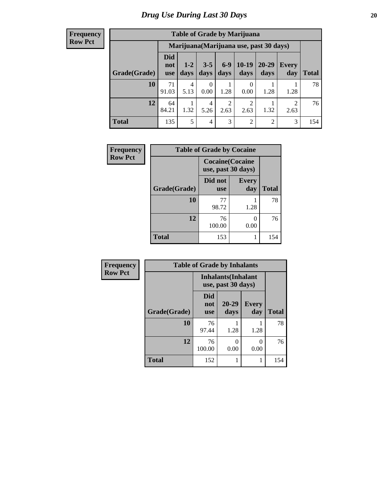#### **Frequency Row Pct**

| <b>Table of Grade by Marijuana</b>                                                                                                                           |             |                                         |           |           |           |                |                        |     |  |  |
|--------------------------------------------------------------------------------------------------------------------------------------------------------------|-------------|-----------------------------------------|-----------|-----------|-----------|----------------|------------------------|-----|--|--|
|                                                                                                                                                              |             | Marijuana (Marijuana use, past 30 days) |           |           |           |                |                        |     |  |  |
| Did<br>$6-9$<br>$10-19$<br>20-29<br>$3 - 5$<br>$1 - 2$<br>Every<br>not<br>days<br>Grade(Grade)<br>days<br>days<br>days<br>day<br>Total<br>days<br><b>use</b> |             |                                         |           |           |           |                |                        |     |  |  |
| 10                                                                                                                                                           | 71<br>91.03 | 4<br>5.13                               | 0<br>0.00 | 1.28      | 0.00      | 1.28           | 1.28                   | 78  |  |  |
| 12                                                                                                                                                           | 64<br>84.21 | 1.32                                    | 4<br>5.26 | 2<br>2.63 | 2<br>2.63 | 1.32           | $\overline{2}$<br>2.63 | 76  |  |  |
| <b>Total</b>                                                                                                                                                 | 135         | 5                                       | 4         | 3         | 2         | $\overline{2}$ | 3                      | 154 |  |  |

| Frequency      | <b>Table of Grade by Cocaine</b> |                                               |                      |              |
|----------------|----------------------------------|-----------------------------------------------|----------------------|--------------|
| <b>Row Pct</b> |                                  | <b>Cocaine</b> (Cocaine<br>use, past 30 days) |                      |              |
|                | Grade(Grade)                     | Did not<br><b>use</b>                         | <b>Every</b><br>day  | <b>Total</b> |
|                | 10                               | 77<br>98.72                                   | 1.28                 | 78           |
|                | 12                               | 76<br>100.00                                  | $\mathbf{0}$<br>0.00 | 76           |
|                | Total                            | 153                                           | 1                    | 154          |

| Frequency      | <b>Table of Grade by Inhalants</b> |                                                  |                   |                     |              |  |  |  |  |  |  |
|----------------|------------------------------------|--------------------------------------------------|-------------------|---------------------|--------------|--|--|--|--|--|--|
| <b>Row Pct</b> |                                    | <b>Inhalants</b> (Inhalant<br>use, past 30 days) |                   |                     |              |  |  |  |  |  |  |
|                | Grade(Grade)                       | <b>Did</b><br>not<br><b>use</b>                  | $20 - 29$<br>days | <b>Every</b><br>day | <b>Total</b> |  |  |  |  |  |  |
|                | 10                                 | 76<br>97.44                                      | 1.28              | 1.28                | 78           |  |  |  |  |  |  |
|                | 12                                 | 76<br>100.00                                     | 0<br>0.00         | 0<br>0.00           | 76           |  |  |  |  |  |  |
|                | <b>Total</b>                       | 152                                              |                   | 1                   | 154          |  |  |  |  |  |  |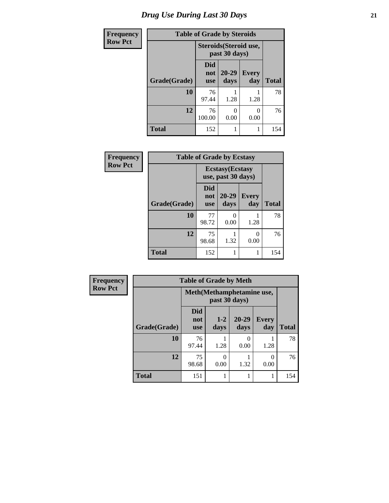| <b>Frequency</b> | <b>Table of Grade by Steroids</b> |                                         |                   |                     |              |  |
|------------------|-----------------------------------|-----------------------------------------|-------------------|---------------------|--------------|--|
| <b>Row Pct</b>   |                                   | Steroids (Steroid use,<br>past 30 days) |                   |                     |              |  |
|                  | Grade(Grade)                      | <b>Did</b><br>not<br><b>use</b>         | $20 - 29$<br>days | <b>Every</b><br>day | <b>Total</b> |  |
|                  | 10                                | 76<br>97.44                             | 1.28              | 1.28                | 78           |  |
|                  | 12                                | 76<br>100.00                            | 0.00              | 0.00                | 76           |  |
|                  | <b>Total</b>                      | 152                                     |                   |                     | 154          |  |

| Frequency      | <b>Table of Grade by Ecstasy</b> |                                               |                      |                     |              |
|----------------|----------------------------------|-----------------------------------------------|----------------------|---------------------|--------------|
| <b>Row Pct</b> |                                  | <b>Ecstasy</b> (Ecstasy<br>use, past 30 days) |                      |                     |              |
|                | Grade(Grade)                     | <b>Did</b><br>not<br><b>use</b>               | 20-29<br>days        | <b>Every</b><br>day | <b>Total</b> |
|                | 10                               | 77<br>98.72                                   | $\mathbf{0}$<br>0.00 | 1.28                | 78           |
|                | 12                               | 75<br>98.68                                   | 1.32                 | ∩<br>0.00           | 76           |
|                | <b>Total</b>                     | 152                                           | 1                    | 1                   | 154          |

| Frequency      | <b>Table of Grade by Meth</b> |                                 |               |                   |                     |              |
|----------------|-------------------------------|---------------------------------|---------------|-------------------|---------------------|--------------|
| <b>Row Pct</b> |                               | Meth(Methamphetamine use,       |               |                   |                     |              |
|                | Grade(Grade)                  | <b>Did</b><br>not<br><b>use</b> | $1-2$<br>days | $20 - 29$<br>days | <b>Every</b><br>day | <b>Total</b> |
|                | 10                            | 76<br>97.44                     | 1.28          | 0.00              | 1.28                | 78           |
|                | 12                            | 75<br>98.68                     | 0<br>0.00     | 1.32              | 0.00                | 76           |
|                | <b>Total</b>                  | 151                             |               |                   |                     | 154          |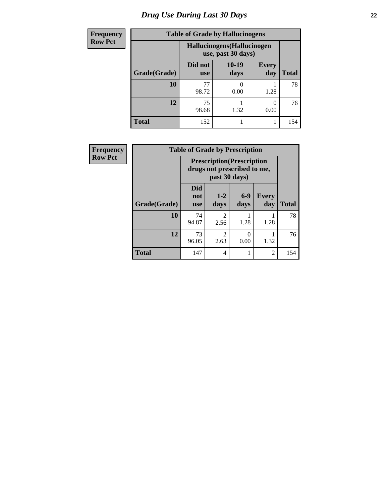# *Drug Use During Last 30 Days* **22**

| <b>Frequency</b> | <b>Table of Grade by Hallucinogens</b> |                       |                                                   |                     |              |  |  |
|------------------|----------------------------------------|-----------------------|---------------------------------------------------|---------------------|--------------|--|--|
| <b>Row Pct</b>   |                                        |                       | Hallucinogens (Hallucinogen<br>use, past 30 days) |                     |              |  |  |
|                  | Grade(Grade)                           | Did not<br><b>use</b> | $10-19$<br>days                                   | <b>Every</b><br>day | <b>Total</b> |  |  |
|                  | 10                                     | 77<br>98.72           | 0.00                                              | 1.28                | 78           |  |  |
|                  | 12                                     | 75<br>98.68           | 1.32                                              | 0.00                | 76           |  |  |
|                  | <b>Total</b>                           | 152                   |                                                   |                     | 154          |  |  |

| <b>Frequency</b> |              | <b>Table of Grade by Prescription</b> |                             |                 |                     |              |  |  |
|------------------|--------------|---------------------------------------|-----------------------------|-----------------|---------------------|--------------|--|--|
| <b>Row Pct</b>   |              | <b>Prescription</b> (Prescription     | drugs not prescribed to me, |                 |                     |              |  |  |
|                  | Grade(Grade) | <b>Did</b><br>not<br><b>use</b>       | $1 - 2$<br>days             | $6 - 9$<br>days | <b>Every</b><br>day | <b>Total</b> |  |  |
|                  | 10           | 74<br>94.87                           | $\overline{c}$<br>2.56      | 1.28            | 1.28                | 78           |  |  |
|                  | 12           | 73<br>96.05                           | $\overline{c}$<br>2.63      | 0.00            | 1.32                | 76           |  |  |
|                  | <b>Total</b> | 147                                   | 4                           |                 | $\overline{2}$      | 154          |  |  |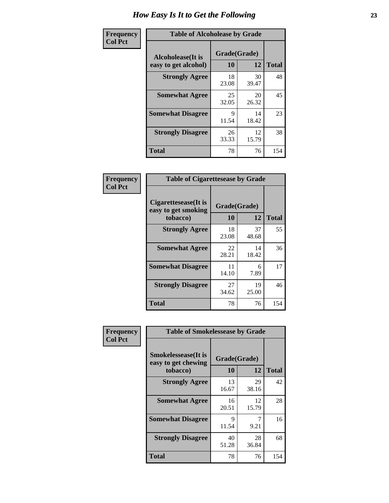| Frequency      | <b>Table of Alcoholease by Grade</b>              |                    |             |              |  |
|----------------|---------------------------------------------------|--------------------|-------------|--------------|--|
| <b>Col Pct</b> | <b>Alcoholease</b> (It is<br>easy to get alcohol) | Grade(Grade)<br>10 | 12          | <b>Total</b> |  |
|                | <b>Strongly Agree</b>                             | 18<br>23.08        | 30<br>39.47 | 48           |  |
|                | <b>Somewhat Agree</b>                             | 25<br>32.05        | 20<br>26.32 | 45           |  |
|                | <b>Somewhat Disagree</b>                          | 9<br>11.54         | 14<br>18.42 | 23           |  |
|                | <b>Strongly Disagree</b>                          | 26<br>33.33        | 12<br>15.79 | 38           |  |
|                | <b>Total</b>                                      | 78                 | 76          | 154          |  |

| Frequency      | <b>Table of Cigarettesease by Grade</b>                  |                    |             |              |
|----------------|----------------------------------------------------------|--------------------|-------------|--------------|
| <b>Col Pct</b> | Cigarettesease (It is<br>easy to get smoking<br>tobacco) | Grade(Grade)<br>10 | 12          | <b>Total</b> |
|                | <b>Strongly Agree</b>                                    | 18<br>23.08        | 37<br>48.68 | 55           |
|                | <b>Somewhat Agree</b>                                    | 22<br>28.21        | 14<br>18.42 | 36           |
|                | <b>Somewhat Disagree</b>                                 | 11<br>14.10        | 6<br>7.89   | 17           |
|                | <b>Strongly Disagree</b>                                 | 27<br>34.62        | 19<br>25.00 | 46           |
|                | Total                                                    | 78                 | 76          | 154          |

| Frequency      | <b>Table of Smokelessease by Grade</b>                         |                    |             |              |
|----------------|----------------------------------------------------------------|--------------------|-------------|--------------|
| <b>Col Pct</b> | <b>Smokelessease</b> (It is<br>easy to get chewing<br>tobacco) | Grade(Grade)<br>10 | 12          | <b>Total</b> |
|                | <b>Strongly Agree</b>                                          | 13<br>16.67        | 29<br>38.16 | 42           |
|                | <b>Somewhat Agree</b>                                          | 16<br>20.51        | 12<br>15.79 | 28           |
|                | <b>Somewhat Disagree</b>                                       | 9<br>11.54         | 9.21        | 16           |
|                | <b>Strongly Disagree</b>                                       | 40<br>51.28        | 28<br>36.84 | 68           |
|                | Total                                                          | 78                 | 76          | 154          |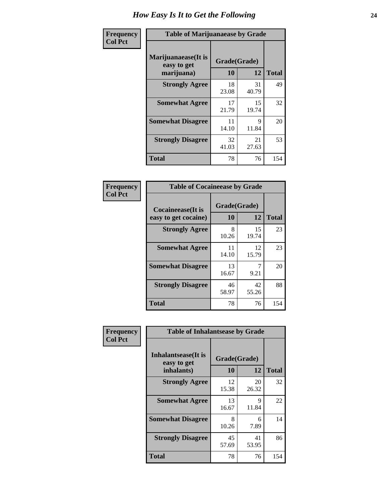| Frequency      | <b>Table of Marijuanaease by Grade</b>           |                    |             |              |
|----------------|--------------------------------------------------|--------------------|-------------|--------------|
| <b>Col Pct</b> | Marijuanaease(It is<br>easy to get<br>marijuana) | Grade(Grade)<br>10 | 12          | <b>Total</b> |
|                | <b>Strongly Agree</b>                            | 18<br>23.08        | 31<br>40.79 | 49           |
|                | <b>Somewhat Agree</b>                            | 17<br>21.79        | 15<br>19.74 | 32           |
|                | <b>Somewhat Disagree</b>                         | 11<br>14.10        | 9<br>11.84  | 20           |
|                | <b>Strongly Disagree</b>                         | 32<br>41.03        | 21<br>27.63 | 53           |
|                | <b>Total</b>                                     | 78                 | 76          | 154          |

| <b>Table of Cocaineease by Grade</b>              |                    |              |     |  |  |  |
|---------------------------------------------------|--------------------|--------------|-----|--|--|--|
| <b>Cocaineease</b> (It is<br>easy to get cocaine) | Grade(Grade)<br>10 | <b>Total</b> |     |  |  |  |
|                                                   |                    | 12           |     |  |  |  |
| <b>Strongly Agree</b>                             | 8<br>10.26         | 15<br>19.74  | 23  |  |  |  |
| <b>Somewhat Agree</b>                             | 11<br>14.10        | 12<br>15.79  | 23  |  |  |  |
| <b>Somewhat Disagree</b>                          | 13<br>16.67        | 9.21         | 20  |  |  |  |
| <b>Strongly Disagree</b>                          | 46<br>58.97        | 42<br>55.26  | 88  |  |  |  |
| <b>Total</b>                                      | 78                 | 76           | 154 |  |  |  |

| Frequency      | <b>Table of Inhalantsease by Grade</b>                   |                    |             |              |  |
|----------------|----------------------------------------------------------|--------------------|-------------|--------------|--|
| <b>Col Pct</b> | <b>Inhalantsease</b> (It is<br>easy to get<br>inhalants) | Grade(Grade)<br>10 | 12          | <b>Total</b> |  |
|                | <b>Strongly Agree</b>                                    | 12<br>15.38        | 20<br>26.32 | 32           |  |
|                | <b>Somewhat Agree</b>                                    | 13<br>16.67        | 9<br>11.84  | 22           |  |
|                | <b>Somewhat Disagree</b>                                 | 8<br>10.26         | 6<br>7.89   | 14           |  |
|                | <b>Strongly Disagree</b>                                 | 45<br>57.69        | 41<br>53.95 | 86           |  |
|                | <b>Total</b>                                             | 78                 | 76          | 154          |  |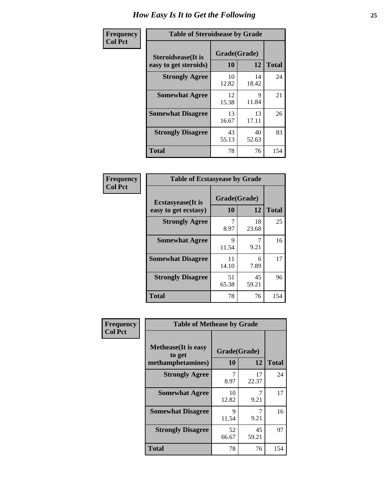| Frequency      | <b>Table of Steroidsease by Grade</b>               |                          |             |              |  |
|----------------|-----------------------------------------------------|--------------------------|-------------|--------------|--|
| <b>Col Pct</b> | <b>Steroidsease</b> (It is<br>easy to get steroids) | Grade(Grade)<br>10<br>12 |             | <b>Total</b> |  |
|                | <b>Strongly Agree</b>                               | 10<br>12.82              | 14<br>18.42 | 24           |  |
|                | <b>Somewhat Agree</b>                               | 12<br>15.38              | 9<br>11.84  | 21           |  |
|                | <b>Somewhat Disagree</b>                            | 13<br>16.67              | 13<br>17.11 | 26           |  |
|                | <b>Strongly Disagree</b>                            | 43<br>55.13              | 40<br>52.63 | 83           |  |
|                | <b>Total</b>                                        | 78                       | 76          | 154          |  |

| Frequency      | <b>Table of Ecstasyease by Grade</b>              |                    |             |              |
|----------------|---------------------------------------------------|--------------------|-------------|--------------|
| <b>Col Pct</b> | <b>Ecstasyease</b> (It is<br>easy to get ecstasy) | Grade(Grade)<br>10 | 12          | <b>Total</b> |
|                | <b>Strongly Agree</b>                             | 7<br>8.97          | 18<br>23.68 | 25           |
|                | <b>Somewhat Agree</b>                             | 9<br>11.54         | 9.21        | 16           |
|                | <b>Somewhat Disagree</b>                          | 11<br>14.10        | 6<br>7.89   | 17           |
|                | <b>Strongly Disagree</b>                          | 51<br>65.38        | 45<br>59.21 | 96           |
|                | Total                                             | 78                 | 76          | 154          |

| Frequency      | <b>Table of Methease by Grade</b>                          |                    |             |              |
|----------------|------------------------------------------------------------|--------------------|-------------|--------------|
| <b>Col Pct</b> | <b>Methease</b> (It is easy<br>to get<br>methamphetamines) | Grade(Grade)<br>10 | 12          | <b>Total</b> |
|                | <b>Strongly Agree</b>                                      | 8.97               | 17<br>22.37 | 24           |
|                | <b>Somewhat Agree</b>                                      | 10<br>12.82        | 7<br>9.21   | 17           |
|                | <b>Somewhat Disagree</b>                                   | 9<br>11.54         | 7<br>9.21   | 16           |
|                | <b>Strongly Disagree</b>                                   | 52<br>66.67        | 45<br>59.21 | 97           |
|                | <b>Total</b>                                               | 78                 | 76          | 154          |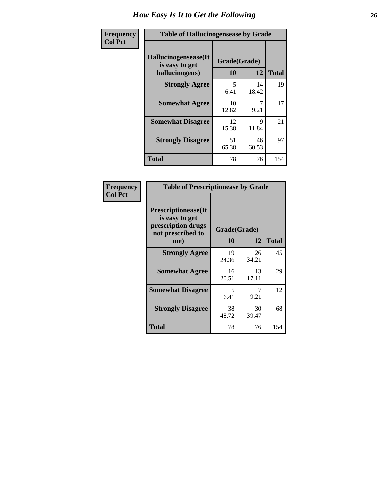| <b>Frequency</b> | <b>Table of Hallucinogensease by Grade</b>               |                    |             |              |  |  |  |
|------------------|----------------------------------------------------------|--------------------|-------------|--------------|--|--|--|
| <b>Col Pct</b>   | Hallucinogensease(It<br>is easy to get<br>hallucinogens) | Grade(Grade)<br>10 | 12          | <b>Total</b> |  |  |  |
|                  | <b>Strongly Agree</b>                                    | 5<br>6.41          | 14<br>18.42 | 19           |  |  |  |
|                  | <b>Somewhat Agree</b>                                    | 10<br>12.82        | 9.21        | 17           |  |  |  |
|                  | <b>Somewhat Disagree</b>                                 | 12<br>15.38        | 9<br>11.84  | 21           |  |  |  |
|                  | <b>Strongly Disagree</b>                                 | 51<br>65.38        | 46<br>60.53 | 97           |  |  |  |
|                  | <b>Total</b>                                             | 78                 | 76          | 154          |  |  |  |

| <b>Table of Prescriptionease by Grade</b>                                                |              |             |              |  |  |  |
|------------------------------------------------------------------------------------------|--------------|-------------|--------------|--|--|--|
| <b>Prescriptionease</b> (It<br>is easy to get<br>prescription drugs<br>not prescribed to | Grade(Grade) |             |              |  |  |  |
| me)                                                                                      | 10           | 12          | <b>Total</b> |  |  |  |
| <b>Strongly Agree</b>                                                                    | 19<br>24.36  | 26<br>34.21 | 45           |  |  |  |
| <b>Somewhat Agree</b>                                                                    | 16<br>20.51  | 13<br>17.11 | 29           |  |  |  |
| <b>Somewhat Disagree</b>                                                                 | 5<br>6.41    | 9.21        | 12           |  |  |  |
| <b>Strongly Disagree</b>                                                                 | 38<br>48.72  | 30<br>39.47 | 68           |  |  |  |
| Total                                                                                    | 78           | 76          | 154          |  |  |  |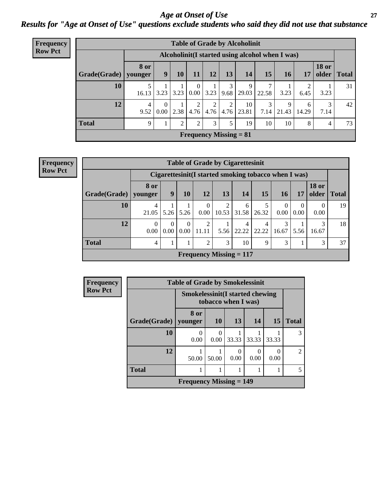### *Age at Onset of Use* **27** *Results for "Age at Onset of Use" questions exclude students who said they did not use that substance*

| Frequency      |              |                        |                                                  |                |                                 |                |           | <b>Table of Grade by Alcoholinit</b> |           |            |            |                                |              |
|----------------|--------------|------------------------|--------------------------------------------------|----------------|---------------------------------|----------------|-----------|--------------------------------------|-----------|------------|------------|--------------------------------|--------------|
| <b>Row Pct</b> |              |                        | Alcoholinit (I started using alcohol when I was) |                |                                 |                |           |                                      |           |            |            |                                |              |
|                | Grade(Grade) | <b>8 or</b><br>younger | 9                                                | 10             | 11                              | 12             | 13        | 14                                   | 15        | 16         | 17         | <b>18 or</b><br>$\Omega$ older | <b>Total</b> |
|                | 10           | 16.13                  | 3.23                                             | 3.23           | $\overline{0}$<br>$0.00\degree$ | 3.23           |           | 9<br>$9.68$   29.03                  | 22.58     | 3.23       | 2<br>6.45  | 3.23                           | 31           |
|                | 12           | 4<br>9.52              | $\Omega$<br>0.00                                 | 2.38           | 2<br>4.76                       | 2<br>4.76      | 2<br>4.76 | 10<br>23.81                          | 3<br>7.14 | 9<br>21.43 | 6<br>14.29 | 3<br>7.14                      | 42           |
|                | <b>Total</b> | 9                      | л.                                               | $\overline{2}$ | 2                               | $\mathfrak{Z}$ | 5         | 19                                   | 10        | 10         | 8          | 4                              | 73           |
|                |              |                        |                                                  |                |                                 |                |           | <b>Frequency Missing = 81</b>        |           |            |            |                                |              |

**Frequency Row Pct**

|                        | <b>Table of Grade by Cigarettesinit</b> |                                                      |                  |                           |            |            |            |                  |                  |                       |              |
|------------------------|-----------------------------------------|------------------------------------------------------|------------------|---------------------------|------------|------------|------------|------------------|------------------|-----------------------|--------------|
|                        |                                         | Cigarettesinit(I started smoking tobacco when I was) |                  |                           |            |            |            |                  |                  |                       |              |
| Grade(Grade)   younger | 8 or                                    | 9                                                    | 10               | 12                        | 13         | 14         | 15         | <b>16</b>        | 17               | <b>18 or</b><br>older | <b>Total</b> |
| 10                     | $\overline{4}$<br>21.05                 | 5.26                                                 | 5.26             | $\theta$<br>0.00          | 2<br>10.53 | 6<br>31.58 | 26.32      | $\Omega$<br>0.00 | $\Omega$<br>0.00 | $\Omega$<br>0.00      | 19           |
| 12                     | $\Omega$<br>0.00                        | $\Omega$<br>0.00                                     | $\Omega$<br>0.00 | 2<br>11.11                | 5.56       | 4<br>22.22 | 4<br>22.22 | 3<br>16.67       | 5.56             | 3<br>16.67            | 18           |
| <b>Total</b>           | $\overline{4}$                          |                                                      |                  | 2                         | 3          | 10         | 9          | 3                |                  | 3                     | 37           |
|                        |                                         |                                                      |                  | Frequency Missing $= 117$ |            |            |            |                  |                  |                       |              |

| <b>Frequency</b> |              | <b>Table of Grade by Smokelessinit</b>                         |           |                           |       |           |                |
|------------------|--------------|----------------------------------------------------------------|-----------|---------------------------|-------|-----------|----------------|
| <b>Row Pct</b>   |              | <b>Smokelessinit (I started chewing</b><br>tobacco when I was) |           |                           |       |           |                |
|                  | Grade(Grade) | 8 or<br>younger                                                | <b>10</b> | 13                        | 14    | <b>15</b> | <b>Total</b>   |
|                  | 10           | 0<br>0.00                                                      | 0.00      | 33.33                     | 33.33 | 33.33     | 3              |
|                  | 12           | 50.00                                                          | 50.00     | $\mathbf{\Omega}$<br>0.00 | 0.00  | 0.00      | $\mathfrak{D}$ |
|                  | <b>Total</b> |                                                                |           |                           |       |           | 5              |
|                  |              | <b>Frequency Missing <math>= 149</math></b>                    |           |                           |       |           |                |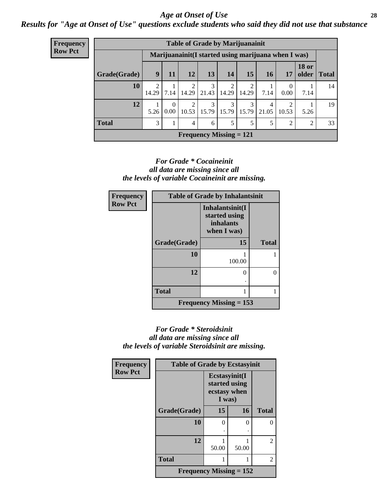### *Age at Onset of Use* **28**

*Results for "Age at Onset of Use" questions exclude students who said they did not use that substance*

| <b>Frequency</b> | <b>Table of Grade by Marijuanainit</b>               |                         |      |                             |                              |                         |                         |            |                  |                       |              |
|------------------|------------------------------------------------------|-------------------------|------|-----------------------------|------------------------------|-------------------------|-------------------------|------------|------------------|-----------------------|--------------|
| <b>Row Pct</b>   | Marijuanainit (I started using marijuana when I was) |                         |      |                             |                              |                         |                         |            |                  |                       |              |
|                  | Grade(Grade)                                         | 9                       | 11   | <b>12</b>                   | 13                           | 14                      | 15                      | 16         | <b>17</b>        | <b>18 or</b><br>older | <b>Total</b> |
|                  | 10                                                   | $\mathfrak{D}$<br>14.29 | 7.14 | 14.29                       | 3<br>21.43                   | $\mathfrak{D}$<br>14.29 | $\overline{2}$<br>14.29 | 7.14       | $\theta$<br>0.00 | 7.14                  | 14           |
|                  | 12                                                   | 5.26                    | 0    | 2<br>$0.00 \mid 10.53 \mid$ | 3<br>$15.79$   15.79   15.79 | 3                       | 3                       | 4<br>21.05 | 2<br>10.53       | 5.26                  | 19           |
|                  | <b>Total</b>                                         | 3                       |      | $\overline{4}$              | 6                            | 5                       | 5                       | 5          | 2                | 2                     | 33           |
|                  | <b>Frequency Missing = 121</b>                       |                         |      |                             |                              |                         |                         |            |                  |                       |              |

### *For Grade \* Cocaineinit all data are missing since all the levels of variable Cocaineinit are missing.*

| Frequency      | <b>Table of Grade by Inhalantsinit</b> |                                                                     |              |  |  |  |  |
|----------------|----------------------------------------|---------------------------------------------------------------------|--------------|--|--|--|--|
| <b>Row Pct</b> |                                        | Inhalantsinit(I<br>started using<br><i>inhalants</i><br>when I was) |              |  |  |  |  |
|                | Grade(Grade)                           | 15                                                                  | <b>Total</b> |  |  |  |  |
|                | 10                                     | 100.00                                                              |              |  |  |  |  |
|                | 12                                     |                                                                     | $\Omega$     |  |  |  |  |
|                | <b>Total</b>                           |                                                                     |              |  |  |  |  |
|                |                                        | Frequency Missing $= 153$                                           |              |  |  |  |  |

### *For Grade \* Steroidsinit all data are missing since all the levels of variable Steroidsinit are missing.*

| <b>Frequency</b> | <b>Table of Grade by Ecstasyinit</b> |                                                          |       |                |  |  |
|------------------|--------------------------------------|----------------------------------------------------------|-------|----------------|--|--|
| <b>Row Pct</b>   |                                      | Ecstasyinit(I<br>started using<br>ecstasy when<br>I was) |       |                |  |  |
|                  | Grade(Grade)                         | 15                                                       | 16    | <b>Total</b>   |  |  |
|                  | 10                                   | 0                                                        | 0     | 0              |  |  |
|                  |                                      |                                                          |       |                |  |  |
|                  | 12                                   | 50.00                                                    | 50.00 | 2              |  |  |
|                  | <b>Total</b>                         |                                                          |       | $\overline{2}$ |  |  |
|                  | Frequency Missing $= 152$            |                                                          |       |                |  |  |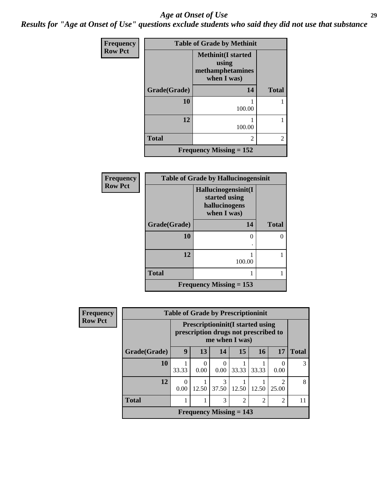### *Age at Onset of Use* **29**

*Results for "Age at Onset of Use" questions exclude students who said they did not use that substance*

| <b>Frequency</b> | <b>Table of Grade by Methinit</b> |                                                                       |                |  |  |  |  |
|------------------|-----------------------------------|-----------------------------------------------------------------------|----------------|--|--|--|--|
| <b>Row Pct</b>   |                                   | <b>Methinit(I started</b><br>using<br>methamphetamines<br>when I was) |                |  |  |  |  |
|                  | Grade(Grade)                      | 14                                                                    | <b>Total</b>   |  |  |  |  |
|                  | 10                                | 100.00                                                                |                |  |  |  |  |
|                  | 12                                | 100.00                                                                |                |  |  |  |  |
|                  | <b>Total</b>                      | $\overline{c}$                                                        | $\overline{2}$ |  |  |  |  |
|                  |                                   | Frequency Missing $= 152$                                             |                |  |  |  |  |

| <b>Frequency</b> |              | <b>Table of Grade by Hallucinogensinit</b>                           |              |
|------------------|--------------|----------------------------------------------------------------------|--------------|
| <b>Row Pct</b>   |              | Hallucinogensinit(I<br>started using<br>hallucinogens<br>when I was) |              |
|                  | Grade(Grade) | 14                                                                   | <b>Total</b> |
|                  | 10           | 0                                                                    | 0            |
|                  | 12           | 100.00                                                               |              |
|                  | <b>Total</b> |                                                                      |              |
|                  |              | <b>Frequency Missing = 153</b>                                       |              |

| <b>Frequency</b> |              | <b>Table of Grade by Prescriptioninit</b>                                                          |                  |                        |                           |                |                         |              |
|------------------|--------------|----------------------------------------------------------------------------------------------------|------------------|------------------------|---------------------------|----------------|-------------------------|--------------|
| <b>Row Pct</b>   |              | <b>Prescriptioninit (I started using</b><br>prescription drugs not prescribed to<br>me when I was) |                  |                        |                           |                |                         |              |
|                  | Grade(Grade) | 9                                                                                                  | 13               | 14                     | 15                        | 16             | 17                      | <b>Total</b> |
|                  | 10           | 33.33                                                                                              | $\Omega$<br>0.00 | $\Omega$<br>0.00       | 33.33                     | 33.33          | 0.00                    | 3            |
|                  | 12           | 0<br>0.00                                                                                          | 12.50            | $\mathcal{R}$<br>37.50 | 12.50                     | 12.50          | $\mathfrak{D}$<br>25.00 | 8            |
|                  | <b>Total</b> |                                                                                                    |                  | 3                      | $\mathfrak{D}$            | $\overline{2}$ | $\overline{2}$          | 11           |
|                  |              |                                                                                                    |                  |                        | Frequency Missing $= 143$ |                |                         |              |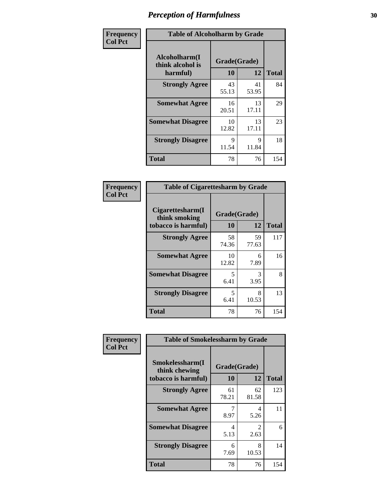| Frequency      | <b>Table of Alcoholharm by Grade</b>          |                    |             |              |
|----------------|-----------------------------------------------|--------------------|-------------|--------------|
| <b>Col Pct</b> | Alcoholharm(I<br>think alcohol is<br>harmful) | Grade(Grade)<br>10 | 12          | <b>Total</b> |
|                | <b>Strongly Agree</b>                         | 43<br>55.13        | 41<br>53.95 | 84           |
|                | <b>Somewhat Agree</b>                         | 16<br>20.51        | 13<br>17.11 | 29           |
|                | <b>Somewhat Disagree</b>                      | 10<br>12.82        | 13<br>17.11 | 23           |
|                | <b>Strongly Disagree</b>                      | 9<br>11.54         | 9<br>11.84  | 18           |
|                | <b>Total</b>                                  | 78                 | 76          | 154          |

| <b>Table of Cigarettesharm by Grade</b>                  |                    |             |              |  |  |
|----------------------------------------------------------|--------------------|-------------|--------------|--|--|
| Cigarettesharm(I<br>think smoking<br>tobacco is harmful) | Grade(Grade)<br>10 | 12          | <b>Total</b> |  |  |
| <b>Strongly Agree</b>                                    | 58<br>74.36        | 59<br>77.63 | 117          |  |  |
| <b>Somewhat Agree</b>                                    | 10<br>12.82        | 6<br>7.89   | 16           |  |  |
| <b>Somewhat Disagree</b>                                 | 5<br>6.41          | 3<br>3.95   | 8            |  |  |
| <b>Strongly Disagree</b>                                 | 5<br>6.41          | 8<br>10.53  | 13           |  |  |
| <b>Total</b>                                             | 78                 | 76          | 154          |  |  |

| Frequency      | <b>Table of Smokelessharm by Grade</b>                  |                    |                        |              |
|----------------|---------------------------------------------------------|--------------------|------------------------|--------------|
| <b>Col Pct</b> | Smokelessharm(I<br>think chewing<br>tobacco is harmful) | Grade(Grade)<br>10 | 12                     | <b>Total</b> |
|                | <b>Strongly Agree</b>                                   | 61<br>78.21        | 62<br>81.58            | 123          |
|                | <b>Somewhat Agree</b>                                   | 8.97               | 4<br>5.26              | 11           |
|                | <b>Somewhat Disagree</b>                                | 4<br>5.13          | $\mathfrak{D}$<br>2.63 | 6            |
|                | <b>Strongly Disagree</b>                                | 6<br>7.69          | 8<br>10.53             | 14           |
|                | <b>Total</b>                                            | 78                 | 76                     | 154          |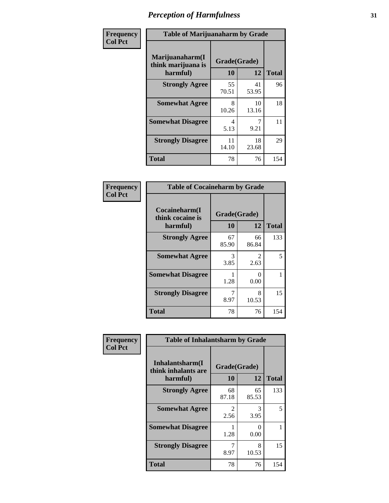| Frequency      | <b>Table of Marijuanaharm by Grade</b>            |                    |             |              |
|----------------|---------------------------------------------------|--------------------|-------------|--------------|
| <b>Col Pct</b> | Marijuanaharm(I<br>think marijuana is<br>harmful) | Grade(Grade)<br>10 | 12          | <b>Total</b> |
|                | <b>Strongly Agree</b>                             | 55<br>70.51        | 41<br>53.95 | 96           |
|                | <b>Somewhat Agree</b>                             | 8<br>10.26         | 10<br>13.16 | 18           |
|                | <b>Somewhat Disagree</b>                          | 4<br>5.13          | 9.21        | 11           |
|                | <b>Strongly Disagree</b>                          | 11<br>14.10        | 18<br>23.68 | 29           |
|                | <b>Total</b>                                      | 78                 | 76          | 154          |

| <b>Table of Cocaineharm by Grade</b>          |                    |             |              |  |  |
|-----------------------------------------------|--------------------|-------------|--------------|--|--|
| Cocaineharm(I<br>think cocaine is<br>harmful) | Grade(Grade)<br>10 | 12          | <b>Total</b> |  |  |
| <b>Strongly Agree</b>                         | 67<br>85.90        | 66<br>86.84 | 133          |  |  |
| <b>Somewhat Agree</b>                         | 3<br>3.85          | 2<br>2.63   | 5            |  |  |
| <b>Somewhat Disagree</b>                      | 1<br>1.28          | 0<br>0.00   | 1            |  |  |
| <b>Strongly Disagree</b>                      | 7<br>8.97          | 8<br>10.53  | 15           |  |  |
| <b>Total</b>                                  | 78                 | 76          | 154          |  |  |

| Frequency      | <b>Table of Inhalantsharm by Grade</b>             |                    |             |              |
|----------------|----------------------------------------------------|--------------------|-------------|--------------|
| <b>Col Pct</b> | Inhalantsharm(I<br>think inhalants are<br>harmful) | Grade(Grade)<br>10 | 12          | <b>Total</b> |
|                | <b>Strongly Agree</b>                              | 68<br>87.18        | 65<br>85.53 | 133          |
|                | <b>Somewhat Agree</b>                              | 2<br>2.56          | 3<br>3.95   | 5            |
|                | <b>Somewhat Disagree</b>                           | 1.28               | 0<br>0.00   |              |
|                | <b>Strongly Disagree</b>                           | 8.97               | 8<br>10.53  | 15           |
|                | <b>Total</b>                                       | 78                 | 76          | 154          |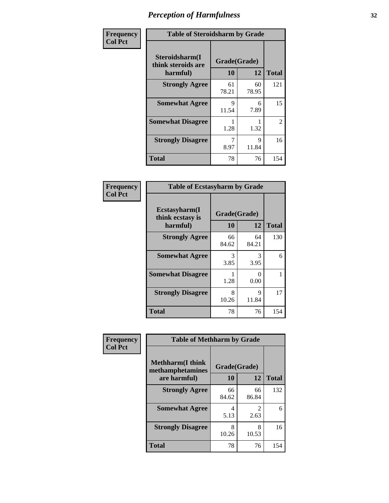| Frequency      | <b>Table of Steroidsharm by Grade</b>            |                    |             |              |
|----------------|--------------------------------------------------|--------------------|-------------|--------------|
| <b>Col Pct</b> | Steroidsharm(I<br>think steroids are<br>harmful) | Grade(Grade)<br>10 | 12          | <b>Total</b> |
|                | <b>Strongly Agree</b>                            | 61<br>78.21        | 60<br>78.95 | 121          |
|                | <b>Somewhat Agree</b>                            | 9<br>11.54         | 6<br>7.89   | 15           |
|                | <b>Somewhat Disagree</b>                         | 1.28               | 1.32        | 2            |
|                | <b>Strongly Disagree</b>                         | 8.97               | 9<br>11.84  | 16           |
|                | <b>Total</b>                                     | 78                 | 76          | 154          |

| <b>Table of Ecstasyharm by Grade</b>          |                    |             |              |  |  |
|-----------------------------------------------|--------------------|-------------|--------------|--|--|
| Ecstasyharm(I<br>think ecstasy is<br>harmful) | Grade(Grade)<br>10 | 12          | <b>Total</b> |  |  |
| <b>Strongly Agree</b>                         | 66<br>84.62        | 64<br>84.21 | 130          |  |  |
| <b>Somewhat Agree</b>                         | 3<br>3.85          | 3<br>3.95   | 6            |  |  |
| <b>Somewhat Disagree</b>                      | 1.28               | 0<br>0.00   | 1            |  |  |
| <b>Strongly Disagree</b>                      | 8<br>10.26         | 9<br>11.84  | 17           |  |  |
| <b>Total</b>                                  | 78                 | 76          | 154          |  |  |

| Frequency      | <b>Table of Methharm by Grade</b>            |              |                                  |              |  |
|----------------|----------------------------------------------|--------------|----------------------------------|--------------|--|
| <b>Col Pct</b> | <b>Methharm</b> (I think<br>methamphetamines | Grade(Grade) |                                  |              |  |
|                | are harmful)                                 | 10           | 12                               | <b>Total</b> |  |
|                | <b>Strongly Agree</b>                        | 66<br>84.62  | 66<br>86.84                      | 132          |  |
|                | <b>Somewhat Agree</b>                        | 4<br>5.13    | $\overline{\mathcal{L}}$<br>2.63 | 6            |  |
|                | <b>Strongly Disagree</b>                     | 8<br>10.26   | 8<br>10.53                       | 16           |  |
|                | <b>Total</b>                                 | 78           | 76                               | 154          |  |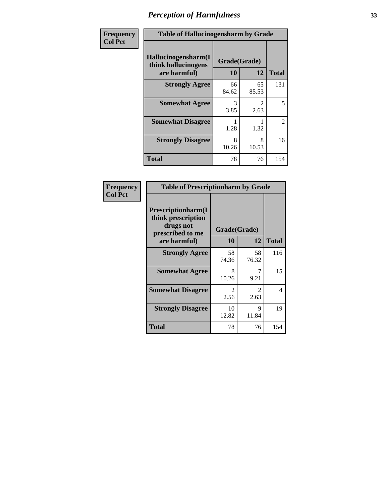| Frequency      | <b>Table of Hallucinogensharm by Grade</b>                 |                    |                       |                |
|----------------|------------------------------------------------------------|--------------------|-----------------------|----------------|
| <b>Col Pct</b> | Hallucinogensharm(I<br>think hallucinogens<br>are harmful) | Grade(Grade)<br>10 | 12                    | <b>Total</b>   |
|                | <b>Strongly Agree</b>                                      | 66<br>84.62        | 65<br>85.53           | 131            |
|                | <b>Somewhat Agree</b>                                      | 3<br>3.85          | $\mathcal{L}$<br>2.63 | 5              |
|                | <b>Somewhat Disagree</b>                                   | 1.28               | 1.32                  | $\overline{2}$ |
|                | <b>Strongly Disagree</b>                                   | 8<br>10.26         | 8<br>10.53            | 16             |
|                | <b>Total</b>                                               | 78                 | 76                    | 154            |

| <b>Table of Prescriptionharm by Grade</b>                                                 |                       |                        |              |  |
|-------------------------------------------------------------------------------------------|-----------------------|------------------------|--------------|--|
| Prescriptionharm(I<br>think prescription<br>drugs not<br>prescribed to me<br>are harmful) | Grade(Grade)<br>10    | 12                     | <b>Total</b> |  |
| <b>Strongly Agree</b>                                                                     | 58<br>74.36           | 58<br>76.32            | 116          |  |
| <b>Somewhat Agree</b>                                                                     | 8<br>10.26            | 9.21                   | 15           |  |
| <b>Somewhat Disagree</b>                                                                  | $\mathcal{L}$<br>2.56 | $\mathfrak{D}$<br>2.63 | 4            |  |
| <b>Strongly Disagree</b>                                                                  | 10<br>12.82           | 9<br>11.84             | 19           |  |
| <b>Total</b>                                                                              | 78                    | 76                     | 154          |  |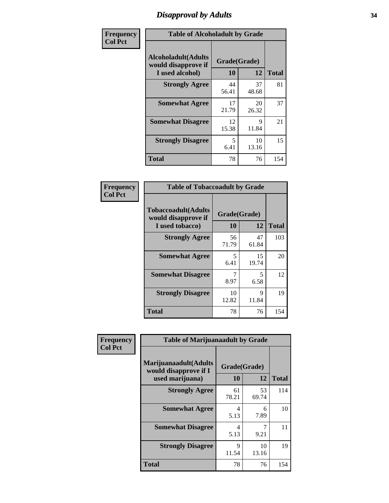# *Disapproval by Adults* **34**

| Frequency      | <b>Table of Alcoholadult by Grade</b>                                 |                    |             |              |
|----------------|-----------------------------------------------------------------------|--------------------|-------------|--------------|
| <b>Col Pct</b> | <b>Alcoholadult</b> (Adults<br>would disapprove if<br>I used alcohol) | Grade(Grade)<br>10 | 12          | <b>Total</b> |
|                | <b>Strongly Agree</b>                                                 | 44<br>56.41        | 37<br>48.68 | 81           |
|                | <b>Somewhat Agree</b>                                                 | 17<br>21.79        | 20<br>26.32 | 37           |
|                | <b>Somewhat Disagree</b>                                              | 12<br>15.38        | 9<br>11.84  | 21           |
|                | <b>Strongly Disagree</b>                                              | 5<br>6.41          | 10<br>13.16 | 15           |
|                | <b>Total</b>                                                          | 78                 | 76          | 154          |

| <b>Table of Tobaccoadult by Grade</b>                                 |                    |              |     |  |  |  |
|-----------------------------------------------------------------------|--------------------|--------------|-----|--|--|--|
| <b>Tobaccoadult</b> (Adults<br>would disapprove if<br>I used tobacco) | Grade(Grade)<br>10 | <b>Total</b> |     |  |  |  |
| <b>Strongly Agree</b>                                                 | 56<br>71.79        | 47<br>61.84  | 103 |  |  |  |
| <b>Somewhat Agree</b>                                                 | 5<br>6.41          | 15<br>19.74  | 20  |  |  |  |
| <b>Somewhat Disagree</b>                                              | 8.97               | 5<br>6.58    | 12  |  |  |  |
| <b>Strongly Disagree</b>                                              | 10<br>12.82        | 9<br>11.84   | 19  |  |  |  |
| <b>Total</b>                                                          | 78                 | 76           | 154 |  |  |  |

| Frequency<br><b>Col Pct</b> | <b>Table of Marijuanaadult by Grade</b>                           |                    |             |              |
|-----------------------------|-------------------------------------------------------------------|--------------------|-------------|--------------|
|                             | Marijuanaadult(Adults<br>would disapprove if I<br>used marijuana) | Grade(Grade)<br>10 | 12          | <b>Total</b> |
|                             | <b>Strongly Agree</b>                                             | 61<br>78.21        | 53<br>69.74 | 114          |
|                             | <b>Somewhat Agree</b>                                             | 4<br>5.13          | 6<br>7.89   | 10           |
|                             | <b>Somewhat Disagree</b>                                          | 4<br>5.13          | 7<br>9.21   | 11           |
|                             | <b>Strongly Disagree</b>                                          | 9<br>11.54         | 10<br>13.16 | 19           |
|                             | <b>Total</b>                                                      | 78                 | 76          | 154          |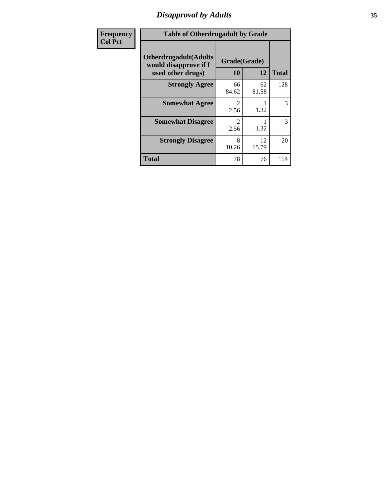# *Disapproval by Adults* **35**

| <b>Frequency</b> | <b>Table of Otherdrugadult by Grade</b>                                     |                                     |             |              |
|------------------|-----------------------------------------------------------------------------|-------------------------------------|-------------|--------------|
| <b>Col Pct</b>   | <b>Otherdrugadult</b> (Adults<br>would disapprove if I<br>used other drugs) | Grade(Grade)<br>10                  | 12          | <b>Total</b> |
|                  | <b>Strongly Agree</b>                                                       | 66<br>84.62                         | 62<br>81.58 | 128          |
|                  | <b>Somewhat Agree</b>                                                       | $\mathcal{D}$<br>2.56               | 1.32        | 3            |
|                  | <b>Somewhat Disagree</b>                                                    | $\mathcal{D}_{\mathcal{L}}$<br>2.56 | 1.32        | 3            |
|                  | <b>Strongly Disagree</b>                                                    | 8<br>10.26                          | 12<br>15.79 | 20           |
|                  | <b>Total</b>                                                                | 78                                  | 76          | 154          |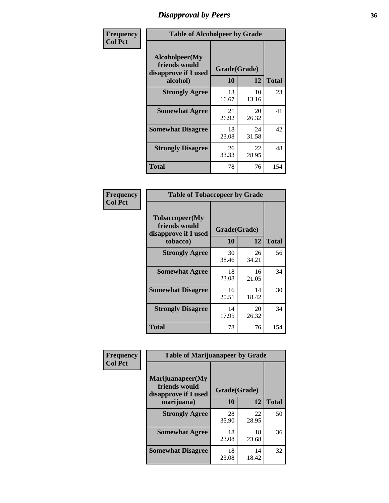# *Disapproval by Peers* **36**

| Frequency      | <b>Table of Alcoholpeer by Grade</b>                    |              |             |              |
|----------------|---------------------------------------------------------|--------------|-------------|--------------|
| <b>Col Pct</b> | Alcoholpeer(My<br>friends would<br>disapprove if I used | Grade(Grade) |             |              |
|                | alcohol)                                                | 10           | 12          | <b>Total</b> |
|                | <b>Strongly Agree</b>                                   | 13<br>16.67  | 10<br>13.16 | 23           |
|                | <b>Somewhat Agree</b>                                   | 21<br>26.92  | 20<br>26.32 | 41           |
|                | <b>Somewhat Disagree</b>                                | 18<br>23.08  | 24<br>31.58 | 42           |
|                | <b>Strongly Disagree</b>                                | 26<br>33.33  | 22<br>28.95 | 48           |
|                | Total                                                   | 78           | 76          | 154          |

| Frequency      | <b>Table of Tobaccopeer by Grade</b>                    |              |             |              |
|----------------|---------------------------------------------------------|--------------|-------------|--------------|
| <b>Col Pct</b> | Tobaccopeer(My<br>friends would<br>disapprove if I used | Grade(Grade) |             |              |
|                | tobacco)                                                | 10           | 12          | <b>Total</b> |
|                | <b>Strongly Agree</b>                                   | 30<br>38.46  | 26<br>34.21 | 56           |
|                | <b>Somewhat Agree</b>                                   | 18<br>23.08  | 16<br>21.05 | 34           |
|                | <b>Somewhat Disagree</b>                                | 16<br>20.51  | 14<br>18.42 | 30           |
|                | <b>Strongly Disagree</b>                                | 14<br>17.95  | 20<br>26.32 | 34           |
|                | Total                                                   | 78           | 76          | 154          |

| Frequency      | <b>Table of Marijuanapeer by Grade</b>                    |              |             |              |
|----------------|-----------------------------------------------------------|--------------|-------------|--------------|
| <b>Col Pct</b> | Marijuanapeer(My<br>friends would<br>disapprove if I used | Grade(Grade) |             |              |
|                | marijuana)                                                | 10           | 12          | <b>Total</b> |
|                | <b>Strongly Agree</b>                                     | 28<br>35.90  | 22<br>28.95 | 50           |
|                | <b>Somewhat Agree</b>                                     | 18<br>23.08  | 18<br>23.68 | 36           |
|                | <b>Somewhat Disagree</b>                                  | 18<br>23.08  | 14<br>18.42 | 32           |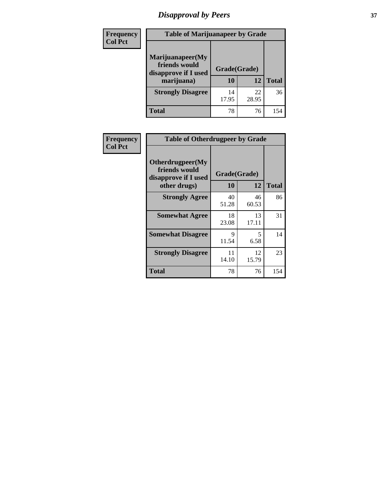# *Disapproval by Peers* **37**

| <b>Frequency</b> | <b>Table of Marijuanapeer by Grade</b>                                  |                    |             |              |  |
|------------------|-------------------------------------------------------------------------|--------------------|-------------|--------------|--|
| <b>Col Pct</b>   | Marijuanapeer(My<br>friends would<br>disapprove if I used<br>marijuana) | Grade(Grade)<br>10 | 12          | <b>Total</b> |  |
|                  | <b>Strongly Disagree</b>                                                | 14<br>17.95        | 22<br>28.95 | 36           |  |
|                  | <b>Total</b>                                                            | 78                 | 76          | 154          |  |

| <b>Frequency</b> | <b>Table of Otherdrugpeer by Grade</b>                                    |             |                    |              |
|------------------|---------------------------------------------------------------------------|-------------|--------------------|--------------|
| <b>Col Pct</b>   | Otherdrugpeer(My<br>friends would<br>disapprove if I used<br>other drugs) | <b>10</b>   | Grade(Grade)<br>12 | <b>Total</b> |
|                  | <b>Strongly Agree</b>                                                     | 40<br>51.28 | 46<br>60.53        | 86           |
|                  | <b>Somewhat Agree</b>                                                     | 18<br>23.08 | 13<br>17.11        | 31           |
|                  | <b>Somewhat Disagree</b>                                                  | 9<br>11.54  | 5<br>6.58          | 14           |
|                  | <b>Strongly Disagree</b>                                                  | 11<br>14.10 | 12<br>15.79        | 23           |
|                  | <b>Total</b>                                                              | 78          | 76                 | 154          |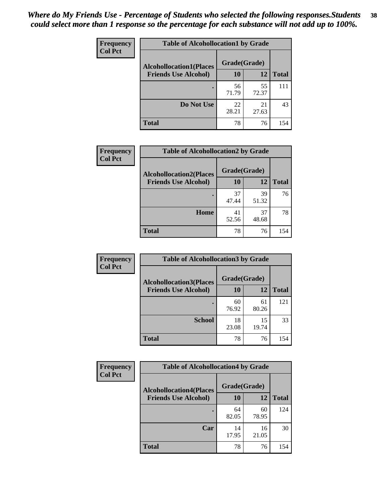| Frequency      | <b>Table of Alcohollocation1 by Grade</b> |             |              |              |  |
|----------------|-------------------------------------------|-------------|--------------|--------------|--|
| <b>Col Pct</b> | <b>Alcohollocation1(Places</b>            |             | Grade(Grade) |              |  |
|                | <b>Friends Use Alcohol)</b>               | 10          | 12           | <b>Total</b> |  |
|                |                                           | 56<br>71.79 | 55<br>72.37  | 111          |  |
|                | Do Not Use                                | 22<br>28.21 | 21<br>27.63  | 43           |  |
|                | <b>Total</b>                              | 78          | 76           | 154          |  |

| Frequency      | <b>Table of Alcohollocation2 by Grade</b>                     |                    |             |              |  |
|----------------|---------------------------------------------------------------|--------------------|-------------|--------------|--|
| <b>Col Pct</b> | <b>Alcohollocation2(Places</b><br><b>Friends Use Alcohol)</b> | Grade(Grade)<br>10 | 12          | <b>Total</b> |  |
|                |                                                               | 37<br>47.44        | 39<br>51.32 | 76           |  |
|                | Home                                                          | 41<br>52.56        | 37<br>48.68 | 78           |  |
|                | <b>Total</b>                                                  | 78                 | 76          | 154          |  |

| Frequency<br><b>Col Pct</b> | <b>Table of Alcohollocation 3 by Grade</b> |              |             |              |
|-----------------------------|--------------------------------------------|--------------|-------------|--------------|
|                             | <b>Alcohollocation3(Places</b>             | Grade(Grade) |             |              |
|                             | <b>Friends Use Alcohol)</b>                | 10           | 12          | <b>Total</b> |
|                             |                                            | 60<br>76.92  | 61<br>80.26 | 121          |
|                             | <b>School</b>                              | 18<br>23.08  | 15<br>19.74 | 33           |
|                             | <b>Total</b>                               | 78           | 76          | 154          |

| <b>Frequency</b> | <b>Table of Alcohollocation4 by Grade</b> |              |             |              |  |
|------------------|-------------------------------------------|--------------|-------------|--------------|--|
| <b>Col Pct</b>   | <b>Alcohollocation4(Places</b>            | Grade(Grade) |             |              |  |
|                  | <b>Friends Use Alcohol)</b>               | 10           | 12          | <b>Total</b> |  |
|                  |                                           | 64<br>82.05  | 60<br>78.95 | 124          |  |
|                  | Car                                       | 14<br>17.95  | 16<br>21.05 | 30           |  |
|                  | <b>Total</b>                              | 78           | 76          | 154          |  |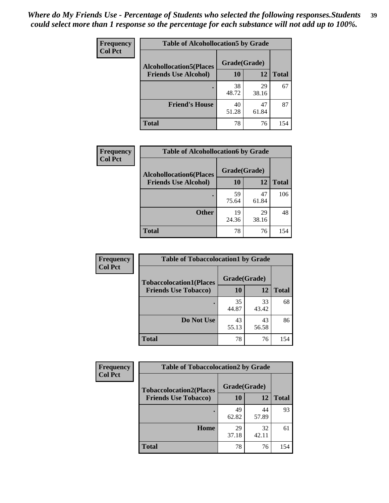| Frequency<br><b>Col Pct</b> | <b>Table of Alcohollocation5 by Grade</b> |              |             |              |  |
|-----------------------------|-------------------------------------------|--------------|-------------|--------------|--|
|                             | <b>Alcohollocation5(Places</b>            | Grade(Grade) |             |              |  |
|                             | <b>Friends Use Alcohol)</b>               | 10           | 12          | <b>Total</b> |  |
|                             |                                           | 38<br>48.72  | 29<br>38.16 | 67           |  |
|                             | <b>Friend's House</b>                     | 40<br>51.28  | 47<br>61.84 | 87           |  |
|                             | <b>Total</b>                              | 78           | 76          | 154          |  |

| <b>Frequency</b> | <b>Table of Alcohollocation6 by Grade</b> |              |             |              |
|------------------|-------------------------------------------|--------------|-------------|--------------|
| <b>Col Pct</b>   | <b>Alcohollocation6(Places</b>            | Grade(Grade) |             |              |
|                  | <b>Friends Use Alcohol)</b>               | 10           | 12          | <b>Total</b> |
|                  |                                           | 59<br>75.64  | 47<br>61.84 | 106          |
|                  | <b>Other</b>                              | 19<br>24.36  | 29<br>38.16 | 48           |
|                  | <b>Total</b>                              | 78           | 76          | 154          |

| <b>Frequency</b> | <b>Table of Tobaccolocation1 by Grade</b> |              |             |              |
|------------------|-------------------------------------------|--------------|-------------|--------------|
| <b>Col Pct</b>   | <b>Tobaccolocation1(Places</b>            | Grade(Grade) |             |              |
|                  | <b>Friends Use Tobacco)</b>               | 10           | 12          | <b>Total</b> |
|                  |                                           | 35<br>44.87  | 33<br>43.42 | 68           |
|                  | Do Not Use                                | 43<br>55.13  | 43<br>56.58 | 86           |
|                  | <b>Total</b>                              | 78           | 76          | 154          |

| <b>Frequency</b> | <b>Table of Tobaccolocation2 by Grade</b> |              |             |              |  |
|------------------|-------------------------------------------|--------------|-------------|--------------|--|
| <b>Col Pct</b>   | <b>Tobaccolocation2(Places</b>            | Grade(Grade) |             |              |  |
|                  | <b>Friends Use Tobacco)</b>               | 10           | 12          | <b>Total</b> |  |
|                  |                                           | 49<br>62.82  | 44<br>57.89 | 93           |  |
|                  | Home                                      | 29<br>37.18  | 32<br>42.11 | 61           |  |
|                  | <b>Total</b>                              | 78           | 76          | 154          |  |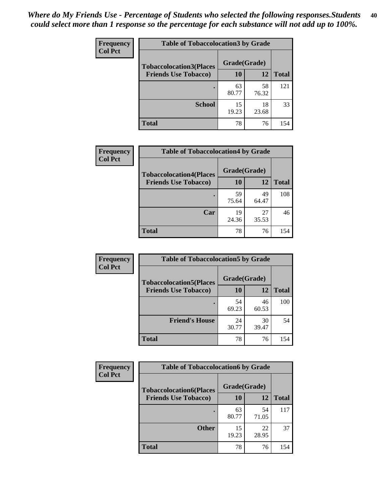| Frequency      | <b>Table of Tobaccolocation 3 by Grade</b> |              |             |              |  |
|----------------|--------------------------------------------|--------------|-------------|--------------|--|
| <b>Col Pct</b> | <b>Tobaccolocation3(Places</b>             | Grade(Grade) |             |              |  |
|                | <b>Friends Use Tobacco)</b>                | 10           | <b>12</b>   | <b>Total</b> |  |
|                |                                            | 63<br>80.77  | 58<br>76.32 | 121          |  |
|                | <b>School</b>                              | 15<br>19.23  | 18<br>23.68 | 33           |  |
|                | <b>Total</b>                               | 78           | 76          | 154          |  |

| <b>Frequency</b> | <b>Table of Tobaccolocation4 by Grade</b> |              |             |              |
|------------------|-------------------------------------------|--------------|-------------|--------------|
| <b>Col Pct</b>   | <b>Tobaccolocation4(Places</b>            | Grade(Grade) |             |              |
|                  | <b>Friends Use Tobacco)</b>               | 10           | 12          | <b>Total</b> |
|                  |                                           | 59<br>75.64  | 49<br>64.47 | 108          |
|                  | Car                                       | 19<br>24.36  | 27<br>35.53 | 46           |
|                  | <b>Total</b>                              | 78           | 76          | 154          |

| Frequency      | <b>Table of Tobaccolocation5 by Grade</b> |              |             |              |
|----------------|-------------------------------------------|--------------|-------------|--------------|
| <b>Col Pct</b> | <b>Tobaccolocation5(Places</b>            | Grade(Grade) |             |              |
|                | <b>Friends Use Tobacco)</b>               | 10           | <b>12</b>   | <b>Total</b> |
|                |                                           | 54<br>69.23  | 46<br>60.53 | 100          |
|                | <b>Friend's House</b>                     | 24<br>30.77  | 30<br>39.47 | 54           |
|                | <b>Total</b>                              | 78           | 76          | 154          |

| <b>Frequency</b> | <b>Table of Tobaccolocation6 by Grade</b> |              |             |              |  |
|------------------|-------------------------------------------|--------------|-------------|--------------|--|
| <b>Col Pct</b>   | <b>Tobaccolocation6(Places</b>            | Grade(Grade) |             |              |  |
|                  | <b>Friends Use Tobacco)</b>               | 10           | 12          | <b>Total</b> |  |
|                  |                                           | 63<br>80.77  | 54<br>71.05 | 117          |  |
|                  | <b>Other</b>                              | 15<br>19.23  | 22<br>28.95 | 37           |  |
|                  | <b>Total</b>                              | 78           | 76          | 154          |  |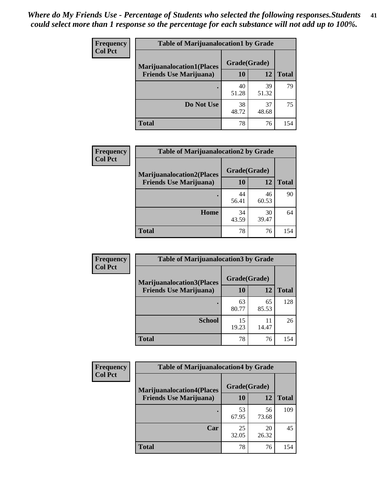| <b>Frequency</b> | <b>Table of Marijuanalocation1 by Grade</b> |              |             |              |
|------------------|---------------------------------------------|--------------|-------------|--------------|
| <b>Col Pct</b>   | <b>Marijuanalocation1(Places</b>            | Grade(Grade) |             |              |
|                  | <b>Friends Use Marijuana</b> )              | <b>10</b>    | 12          | <b>Total</b> |
|                  |                                             | 40<br>51.28  | 39<br>51.32 | 79           |
|                  | Do Not Use                                  | 38<br>48.72  | 37<br>48.68 | 75           |
|                  | <b>Total</b>                                | 78           | 76          | 154          |

| <b>Frequency</b> | <b>Table of Marijuanalocation2 by Grade</b>                        |                    |             |              |
|------------------|--------------------------------------------------------------------|--------------------|-------------|--------------|
| <b>Col Pct</b>   | <b>Marijuanalocation2(Places</b><br><b>Friends Use Marijuana</b> ) | Grade(Grade)<br>10 | 12          | <b>Total</b> |
|                  |                                                                    | 44<br>56.41        | 46<br>60.53 | 90           |
|                  | Home                                                               | 34<br>43.59        | 30<br>39.47 | 64           |
|                  | <b>Total</b>                                                       | 78                 | 76          | 154          |

| Frequency<br><b>Col Pct</b> | <b>Table of Marijuanalocation3 by Grade</b> |              |             |              |
|-----------------------------|---------------------------------------------|--------------|-------------|--------------|
|                             | <b>Marijuanalocation3</b> (Places           | Grade(Grade) |             |              |
|                             | <b>Friends Use Marijuana</b> )              | 10           | 12          | <b>Total</b> |
|                             |                                             | 63<br>80.77  | 65<br>85.53 | 128          |
|                             | <b>School</b>                               | 15<br>19.23  | 11<br>14.47 | 26           |
|                             | <b>Total</b>                                | 78           | 76          | 154          |

| Frequency      | <b>Table of Marijuanalocation4 by Grade</b> |              |             |              |  |
|----------------|---------------------------------------------|--------------|-------------|--------------|--|
| <b>Col Pct</b> | <b>Marijuanalocation4(Places</b>            | Grade(Grade) |             |              |  |
|                | <b>Friends Use Marijuana</b> )              | <b>10</b>    | 12          | <b>Total</b> |  |
|                |                                             | 53<br>67.95  | 56<br>73.68 | 109          |  |
|                | Car                                         | 25<br>32.05  | 20<br>26.32 | 45           |  |
|                | <b>Total</b>                                | 78           | 76          | 154          |  |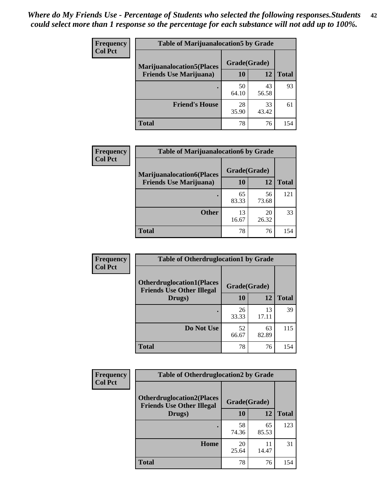| <b>Frequency</b> | <b>Table of Marijuanalocation5 by Grade</b>                         |              |             |              |
|------------------|---------------------------------------------------------------------|--------------|-------------|--------------|
| <b>Col Pct</b>   | <b>Marijuanalocation5(Places)</b><br><b>Friends Use Marijuana</b> ) | Grade(Grade) |             |              |
|                  |                                                                     | 10           | 12          | <b>Total</b> |
|                  |                                                                     | 50<br>64.10  | 43<br>56.58 | 93           |
|                  | <b>Friend's House</b>                                               | 28<br>35.90  | 33<br>43.42 | 61           |
|                  | <b>Total</b>                                                        | 78           | 76          | 154          |

| <b>Frequency</b> | <b>Table of Marijuanalocation6 by Grade</b>                        |                           |             |       |
|------------------|--------------------------------------------------------------------|---------------------------|-------------|-------|
| <b>Col Pct</b>   | <b>Marijuanalocation6(Places</b><br><b>Friends Use Marijuana</b> ) | Grade(Grade)<br><b>10</b> | 12          | Total |
|                  |                                                                    | 65<br>83.33               | 56<br>73.68 | 121   |
|                  | <b>Other</b>                                                       | 13<br>16.67               | 20<br>26.32 | 33    |
|                  | <b>Total</b>                                                       | 78                        | 76          | 154   |

| <b>Frequency</b> | <b>Table of Otherdruglocation1 by Grade</b>                          |              |             |              |
|------------------|----------------------------------------------------------------------|--------------|-------------|--------------|
| <b>Col Pct</b>   | <b>Otherdruglocation1(Places</b><br><b>Friends Use Other Illegal</b> | Grade(Grade) |             |              |
|                  | Drugs)                                                               | 10           | 12          | <b>Total</b> |
|                  |                                                                      | 26<br>33.33  | 13<br>17.11 | 39           |
|                  | Do Not Use                                                           | 52<br>66.67  | 63<br>82.89 | 115          |
|                  | <b>Total</b>                                                         | 78           | 76          | 154          |

| <b>Frequency</b> | <b>Table of Otherdruglocation2 by Grade</b>                          |              |             |              |
|------------------|----------------------------------------------------------------------|--------------|-------------|--------------|
| <b>Col Pct</b>   | <b>Otherdruglocation2(Places</b><br><b>Friends Use Other Illegal</b> | Grade(Grade) |             |              |
|                  | Drugs)                                                               | 10           | 12          | <b>Total</b> |
|                  |                                                                      | 58<br>74.36  | 65<br>85.53 | 123          |
|                  | <b>Home</b>                                                          | 20<br>25.64  | 11<br>14.47 | 31           |
|                  | <b>Total</b>                                                         | 78           | 76          | 154          |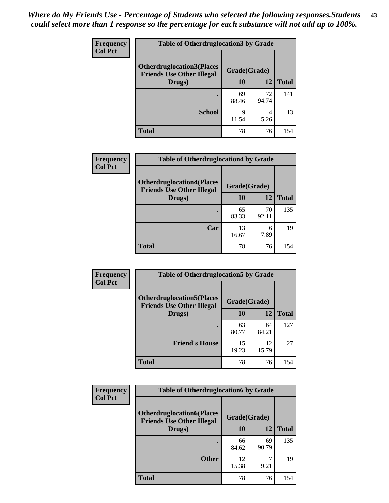| <b>Frequency</b> | <b>Table of Otherdruglocation3 by Grade</b>                          |              |             |              |
|------------------|----------------------------------------------------------------------|--------------|-------------|--------------|
| <b>Col Pct</b>   | <b>Otherdruglocation3(Places</b><br><b>Friends Use Other Illegal</b> | Grade(Grade) |             |              |
|                  | Drugs)                                                               | 10           | 12          | <b>Total</b> |
|                  |                                                                      | 69<br>88.46  | 72<br>94.74 | 141          |
|                  | <b>School</b>                                                        | Q<br>11.54   | 4<br>5.26   | 13           |
|                  | <b>Total</b>                                                         | 78           | 76          | 154          |

| Frequency      | <b>Table of Otherdruglocation4 by Grade</b>                          |              |             |              |  |
|----------------|----------------------------------------------------------------------|--------------|-------------|--------------|--|
| <b>Col Pct</b> | <b>Otherdruglocation4(Places</b><br><b>Friends Use Other Illegal</b> | Grade(Grade) |             |              |  |
|                | Drugs)                                                               | 10           | 12          | <b>Total</b> |  |
|                |                                                                      | 65<br>83.33  | 70<br>92.11 | 135          |  |
|                | Car                                                                  | 13<br>16.67  | 6<br>7.89   | 19           |  |
|                | <b>Total</b>                                                         | 78           | 76          | 154          |  |

| Frequency      | <b>Table of Otherdruglocation5 by Grade</b>                          |              |             |              |
|----------------|----------------------------------------------------------------------|--------------|-------------|--------------|
| <b>Col Pct</b> | <b>Otherdruglocation5(Places</b><br><b>Friends Use Other Illegal</b> | Grade(Grade) |             |              |
|                | Drugs)                                                               | 10           | 12          | <b>Total</b> |
|                |                                                                      | 63<br>80.77  | 64<br>84.21 | 127          |
|                | <b>Friend's House</b>                                                | 15<br>19.23  | 12<br>15.79 | 27           |
|                | <b>Total</b>                                                         | 78           | 76          | 154          |

| Frequency      | <b>Table of Otherdruglocation6 by Grade</b>                          |              |             |              |  |
|----------------|----------------------------------------------------------------------|--------------|-------------|--------------|--|
| <b>Col Pct</b> | <b>Otherdruglocation6(Places</b><br><b>Friends Use Other Illegal</b> | Grade(Grade) |             |              |  |
|                | Drugs)                                                               | 10           | 12          | <b>Total</b> |  |
|                |                                                                      | 66<br>84.62  | 69<br>90.79 | 135          |  |
|                | <b>Other</b>                                                         | 12<br>15.38  | 9.21        | 19           |  |
|                | <b>Total</b>                                                         | 78           | 76          | 154          |  |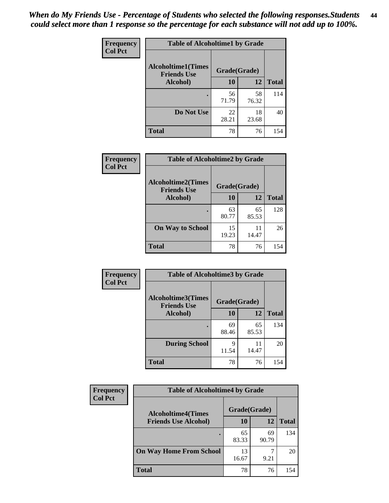| Frequency      | <b>Table of Alcoholtime1 by Grade</b>           |              |             |              |
|----------------|-------------------------------------------------|--------------|-------------|--------------|
| <b>Col Pct</b> | <b>Alcoholtime1(Times</b><br><b>Friends Use</b> | Grade(Grade) |             |              |
|                | Alcohol)                                        | 10           | 12          | <b>Total</b> |
|                |                                                 | 56<br>71.79  | 58<br>76.32 | 114          |
|                | Do Not Use                                      | 22<br>28.21  | 18<br>23.68 | 40           |
|                | <b>Total</b>                                    | 78           | 76          | 154          |

| Frequency      | <b>Table of Alcoholtime2 by Grade</b>           |              |             |              |
|----------------|-------------------------------------------------|--------------|-------------|--------------|
| <b>Col Pct</b> | <b>Alcoholtime2(Times</b><br><b>Friends Use</b> | Grade(Grade) |             |              |
|                | Alcohol)                                        | 10           | 12          | <b>Total</b> |
|                |                                                 | 63<br>80.77  | 65<br>85.53 | 128          |
|                | <b>On Way to School</b>                         | 15<br>19.23  | 11<br>14.47 | 26           |
|                | <b>Total</b>                                    | 78           | 76          | 154          |

| Frequency<br><b>Col Pct</b> | <b>Table of Alcoholtime3 by Grade</b>           |              |             |              |  |
|-----------------------------|-------------------------------------------------|--------------|-------------|--------------|--|
|                             | <b>Alcoholtime3(Times</b><br><b>Friends Use</b> | Grade(Grade) |             |              |  |
|                             | Alcohol)                                        | 10           | 12          | <b>Total</b> |  |
|                             |                                                 | 69<br>88.46  | 65<br>85.53 | 134          |  |
|                             | <b>During School</b>                            | 9<br>11.54   | 11<br>14.47 | 20           |  |
|                             | Total                                           | 78           | 76          | 154          |  |

| <b>Frequency</b> | <b>Table of Alcoholtime4 by Grade</b> |              |             |              |  |
|------------------|---------------------------------------|--------------|-------------|--------------|--|
| <b>Col Pct</b>   | <b>Alcoholtime4(Times</b>             | Grade(Grade) |             |              |  |
|                  | <b>Friends Use Alcohol)</b>           | 10           | 12          | <b>Total</b> |  |
|                  | ٠                                     | 65<br>83.33  | 69<br>90.79 | 134          |  |
|                  | <b>On Way Home From School</b>        | 13<br>16.67  | 9.21        | 20           |  |
|                  | <b>Total</b>                          | 78           | 76          | 154          |  |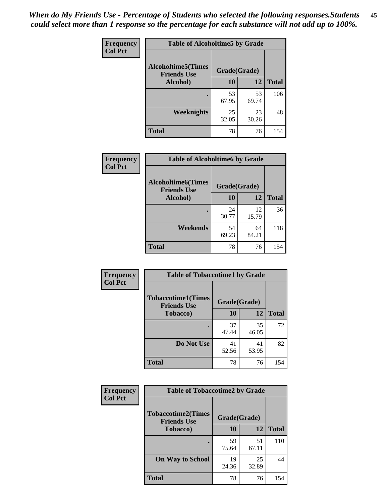*When do My Friends Use - Percentage of Students who selected the following responses.Students could select more than 1 response so the percentage for each substance will not add up to 100%.* **45**

| Frequency      | <b>Table of Alcoholtime5 by Grade</b>           |              |             |              |
|----------------|-------------------------------------------------|--------------|-------------|--------------|
| <b>Col Pct</b> | <b>Alcoholtime5(Times</b><br><b>Friends Use</b> | Grade(Grade) |             |              |
|                | Alcohol)                                        | 10           | 12          | <b>Total</b> |
|                |                                                 | 53<br>67.95  | 53<br>69.74 | 106          |
|                | Weeknights                                      | 25<br>32.05  | 23<br>30.26 | 48           |
|                | <b>Total</b>                                    | 78           | 76          | 154          |

| <b>Frequency</b> | <b>Table of Alcoholtime6 by Grade</b>           |              |             |              |  |
|------------------|-------------------------------------------------|--------------|-------------|--------------|--|
| <b>Col Pct</b>   | <b>Alcoholtime6(Times</b><br><b>Friends Use</b> | Grade(Grade) |             |              |  |
|                  | Alcohol)                                        | 10           | 12          | <b>Total</b> |  |
|                  |                                                 | 24<br>30.77  | 12<br>15.79 | 36           |  |
|                  | Weekends                                        | 54<br>69.23  | 64<br>84.21 | 118          |  |
|                  | <b>Total</b>                                    | 78           | 76          | 154          |  |

| Frequency      | <b>Table of Tobaccotime1 by Grade</b>           |              |             |              |
|----------------|-------------------------------------------------|--------------|-------------|--------------|
| <b>Col Pct</b> | <b>Tobaccotime1(Times</b><br><b>Friends Use</b> | Grade(Grade) |             |              |
|                | <b>Tobacco</b> )                                | 10           | 12          | <b>Total</b> |
|                | $\bullet$                                       | 37<br>47.44  | 35<br>46.05 | 72           |
|                | Do Not Use                                      | 41<br>52.56  | 41<br>53.95 | 82           |
|                | <b>Total</b>                                    | 78           | 76          | 154          |

| <b>Frequency</b> | <b>Table of Tobaccotime2 by Grade</b>           |              |             |              |
|------------------|-------------------------------------------------|--------------|-------------|--------------|
| <b>Col Pct</b>   | <b>Tobaccotime2(Times</b><br><b>Friends Use</b> | Grade(Grade) |             |              |
|                  | <b>Tobacco</b> )                                | <b>10</b>    | 12          | <b>Total</b> |
|                  |                                                 | 59<br>75.64  | 51<br>67.11 | 110          |
|                  | <b>On Way to School</b>                         | 19<br>24.36  | 25<br>32.89 | 44           |
|                  | <b>Total</b>                                    | 78           | 76          | 154          |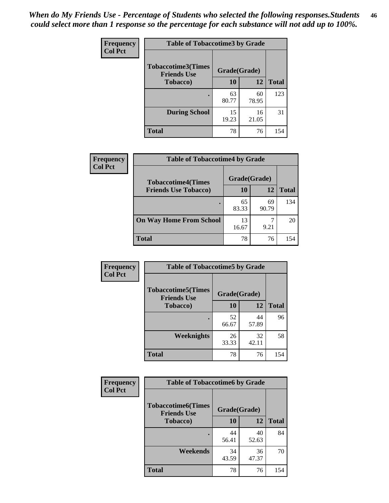| Frequency      | <b>Table of Tobaccotime3 by Grade</b>           |              |             |              |
|----------------|-------------------------------------------------|--------------|-------------|--------------|
| <b>Col Pct</b> | <b>Tobaccotime3(Times</b><br><b>Friends Use</b> | Grade(Grade) |             |              |
|                | <b>Tobacco</b> )                                | 10           | 12          | <b>Total</b> |
|                | ٠                                               | 63<br>80.77  | 60<br>78.95 | 123          |
|                | <b>During School</b>                            | 15<br>19.23  | 16<br>21.05 | 31           |
|                | <b>Total</b>                                    | 78           | 76          | 154          |

| Frequency<br><b>Col Pct</b> | <b>Table of Tobaccotime4 by Grade</b> |              |             |              |  |
|-----------------------------|---------------------------------------|--------------|-------------|--------------|--|
|                             | <b>Tobaccotime4(Times</b>             | Grade(Grade) |             |              |  |
|                             | <b>Friends Use Tobacco)</b>           | 10           | 12          | <b>Total</b> |  |
|                             |                                       | 65<br>83.33  | 69<br>90.79 | 134          |  |
|                             | <b>On Way Home From School</b>        | 13<br>16.67  | 9.21        | 20           |  |
|                             | <b>Total</b>                          | 78           | 76          | 154          |  |

| Frequency      | <b>Table of Tobaccotime5 by Grade</b>           |              |             |              |
|----------------|-------------------------------------------------|--------------|-------------|--------------|
| <b>Col Pct</b> | <b>Tobaccotime5(Times</b><br><b>Friends Use</b> | Grade(Grade) |             |              |
|                | <b>Tobacco</b> )                                | 10           | 12          | <b>Total</b> |
|                |                                                 | 52<br>66.67  | 44<br>57.89 | 96           |
|                | <b>Weeknights</b>                               | 26<br>33.33  | 32<br>42.11 | 58           |
|                | <b>Total</b>                                    | 78           | 76          | 154          |

| Frequency      | <b>Table of Tobaccotime6 by Grade</b>           |              |             |              |
|----------------|-------------------------------------------------|--------------|-------------|--------------|
| <b>Col Pct</b> | <b>Tobaccotime6(Times</b><br><b>Friends Use</b> | Grade(Grade) |             |              |
|                | <b>Tobacco</b> )                                | 10           | 12          | <b>Total</b> |
|                |                                                 | 44<br>56.41  | 40<br>52.63 | 84           |
|                | Weekends                                        | 34<br>43.59  | 36<br>47.37 | 70           |
|                | Total                                           | 78           | 76          | 154          |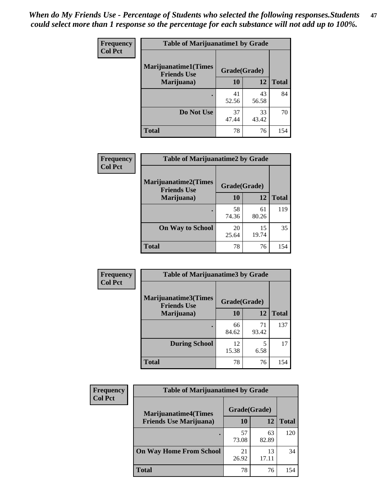| Frequency<br><b>Col Pct</b> | <b>Table of Marijuanatime1 by Grade</b>           |              |             |              |
|-----------------------------|---------------------------------------------------|--------------|-------------|--------------|
|                             | <b>Marijuanatime1(Times</b><br><b>Friends Use</b> | Grade(Grade) |             |              |
|                             | Marijuana)                                        | 10           | 12          | <b>Total</b> |
|                             |                                                   | 41<br>52.56  | 43<br>56.58 | 84           |
|                             | Do Not Use                                        | 37<br>47.44  | 33<br>43.42 | 70           |
|                             | <b>Total</b>                                      | 78           | 76          | 154          |

| Frequency      | <b>Table of Marijuanatime2 by Grade</b>           |              |             |              |  |
|----------------|---------------------------------------------------|--------------|-------------|--------------|--|
| <b>Col Pct</b> | <b>Marijuanatime2(Times</b><br><b>Friends Use</b> | Grade(Grade) |             |              |  |
|                | Marijuana)                                        | 10           | 12          | <b>Total</b> |  |
|                |                                                   | 58<br>74.36  | 61<br>80.26 | 119          |  |
|                | <b>On Way to School</b>                           | 20<br>25.64  | 15<br>19.74 | 35           |  |
|                | <b>Total</b>                                      | 78           | 76          | 154          |  |

| Frequency      | <b>Table of Marijuanatime3 by Grade</b>    |              |             |              |  |
|----------------|--------------------------------------------|--------------|-------------|--------------|--|
| <b>Col Pct</b> | Marijuanatime3(Times<br><b>Friends Use</b> | Grade(Grade) |             |              |  |
|                | Marijuana)                                 | 10           | 12          | <b>Total</b> |  |
|                |                                            | 66<br>84.62  | 71<br>93.42 | 137          |  |
|                | <b>During School</b>                       | 12<br>15.38  | 5<br>6.58   | 17           |  |
|                | <b>Total</b>                               | 78           | 76          | 154          |  |

| <b>Frequency</b> | <b>Table of Marijuanatime4 by Grade</b>                       |              |             |              |
|------------------|---------------------------------------------------------------|--------------|-------------|--------------|
| <b>Col Pct</b>   | <b>Marijuanatime4(Times</b><br><b>Friends Use Marijuana</b> ) | Grade(Grade) |             |              |
|                  |                                                               | 10           | 12          | <b>Total</b> |
|                  |                                                               | 57<br>73.08  | 63<br>82.89 | 120          |
|                  | <b>On Way Home From School</b>                                | 21<br>26.92  | 13<br>17.11 | 34           |
|                  | <b>Total</b>                                                  | 78           | 76          | 154          |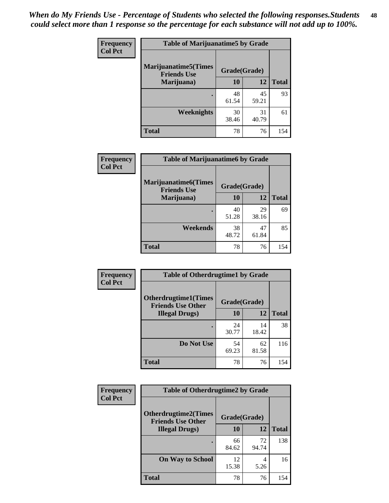| Frequency      | <b>Table of Marijuanatime5 by Grade</b>            |              |             |              |
|----------------|----------------------------------------------------|--------------|-------------|--------------|
| <b>Col Pct</b> | <b>Marijuanatime5</b> (Times<br><b>Friends Use</b> | Grade(Grade) |             |              |
|                | Marijuana)                                         | 10           | 12          | <b>Total</b> |
|                |                                                    | 48<br>61.54  | 45<br>59.21 | 93           |
|                | Weeknights                                         | 30<br>38.46  | 31<br>40.79 | 61           |
|                | <b>Total</b>                                       | 78           | 76          | 154          |

| Frequency      | <b>Table of Marijuanatime6 by Grade</b>            |              |             |              |
|----------------|----------------------------------------------------|--------------|-------------|--------------|
| <b>Col Pct</b> | <b>Marijuanatime6</b> (Times<br><b>Friends Use</b> | Grade(Grade) |             |              |
|                | Marijuana)                                         | 10           | 12          | <b>Total</b> |
|                |                                                    | 40<br>51.28  | 29<br>38.16 | 69           |
|                | Weekends                                           | 38<br>48.72  | 47<br>61.84 | 85           |
|                | <b>Total</b>                                       | 78           | 76          | 154          |

| <b>Frequency</b> | <b>Table of Otherdrugtime1 by Grade</b>                 |              |             |              |
|------------------|---------------------------------------------------------|--------------|-------------|--------------|
| <b>Col Pct</b>   | <b>Otherdrugtime1(Times</b><br><b>Friends Use Other</b> | Grade(Grade) |             |              |
|                  | <b>Illegal Drugs</b> )                                  | 10           | 12          | <b>Total</b> |
|                  |                                                         | 24<br>30.77  | 14<br>18.42 | 38           |
|                  | Do Not Use                                              | 54<br>69.23  | 62<br>81.58 | 116          |
|                  | <b>Total</b>                                            | 78           | 76          | 154          |

| <b>Frequency</b><br><b>Col Pct</b> | <b>Table of Otherdrugtime2 by Grade</b>                 |              |             |              |
|------------------------------------|---------------------------------------------------------|--------------|-------------|--------------|
|                                    | <b>Otherdrugtime2(Times</b><br><b>Friends Use Other</b> | Grade(Grade) |             |              |
|                                    | <b>Illegal Drugs</b> )                                  | 10           | 12          | <b>Total</b> |
|                                    |                                                         | 66<br>84.62  | 72<br>94.74 | 138          |
|                                    | <b>On Way to School</b>                                 | 12<br>15.38  | 4<br>5.26   | 16           |
|                                    | Total                                                   | 78           | 76          | 154          |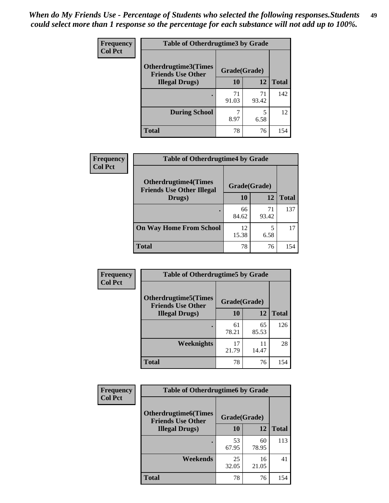| <b>Frequency</b> | <b>Table of Otherdrugtime3 by Grade</b>                          |             |             |              |
|------------------|------------------------------------------------------------------|-------------|-------------|--------------|
| <b>Col Pct</b>   | Otherdrugtime3(Times<br>Grade(Grade)<br><b>Friends Use Other</b> |             |             |              |
|                  | <b>Illegal Drugs</b> )                                           | 10          | 12          | <b>Total</b> |
|                  |                                                                  | 71<br>91.03 | 71<br>93.42 | 142          |
|                  | <b>During School</b>                                             | 8.97        | 5<br>6.58   | 12           |
|                  | Total                                                            | 78          | 76          | 154          |

| Frequency      | <b>Table of Otherdrugtime4 by Grade</b>                         |              |             |              |
|----------------|-----------------------------------------------------------------|--------------|-------------|--------------|
| <b>Col Pct</b> | <b>Otherdrugtime4(Times</b><br><b>Friends Use Other Illegal</b> | Grade(Grade) |             |              |
|                | Drugs)                                                          | 10           | 12          | <b>Total</b> |
|                | ٠                                                               | 66<br>84.62  | 71<br>93.42 | 137          |
|                | <b>On Way Home From School</b>                                  | 12<br>15.38  | 5<br>6.58   | 17           |
|                | <b>Total</b>                                                    | 78           | 76          | 154          |

| <b>Frequency</b> | <b>Table of Otherdrugtime5 by Grade</b>                  |              |             |              |  |  |
|------------------|----------------------------------------------------------|--------------|-------------|--------------|--|--|
| <b>Col Pct</b>   | <b>Otherdrugtime5</b> (Times<br><b>Friends Use Other</b> | Grade(Grade) |             |              |  |  |
|                  | <b>Illegal Drugs</b> )                                   | 10           | 12          | <b>Total</b> |  |  |
|                  |                                                          | 61<br>78.21  | 65<br>85.53 | 126          |  |  |
|                  | <b>Weeknights</b>                                        | 17<br>21.79  | 11<br>14.47 | 28           |  |  |
|                  | Total                                                    | 78           | 76          | 154          |  |  |

| <b>Frequency</b> | <b>Table of Otherdrugtime6 by Grade</b>                 |              |             |              |
|------------------|---------------------------------------------------------|--------------|-------------|--------------|
| <b>Col Pct</b>   | <b>Otherdrugtime6(Times</b><br><b>Friends Use Other</b> | Grade(Grade) |             |              |
|                  | <b>Illegal Drugs</b> )                                  | 10           | 12          | <b>Total</b> |
|                  |                                                         | 53<br>67.95  | 60<br>78.95 | 113          |
|                  | Weekends                                                | 25<br>32.05  | 16<br>21.05 | 41           |
|                  | <b>Total</b>                                            | 78           | 76          | 154          |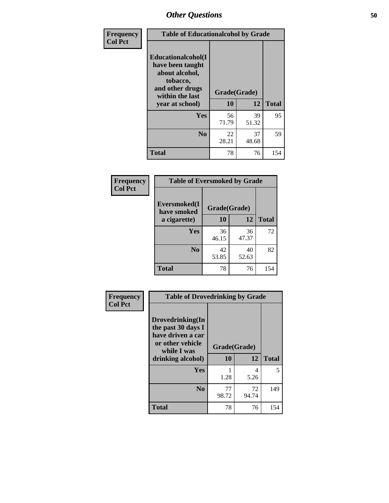| Frequency      | <b>Table of Educationalcohol by Grade</b>                                                                  |              |             |              |  |
|----------------|------------------------------------------------------------------------------------------------------------|--------------|-------------|--------------|--|
| <b>Col Pct</b> | Educationalcohol(I<br>have been taught<br>about alcohol,<br>tobacco,<br>and other drugs<br>within the last | Grade(Grade) |             |              |  |
|                | year at school)                                                                                            | 10           | 12          | <b>Total</b> |  |
|                | <b>Yes</b>                                                                                                 | 56<br>71.79  | 39<br>51.32 | 95           |  |
|                | N <sub>0</sub>                                                                                             | 22<br>28.21  | 37<br>48.68 | 59           |  |
|                | <b>Total</b>                                                                                               | 78           | 76          | 154          |  |

| Frequency      | <b>Table of Eversmoked by Grade</b> |              |             |              |  |  |
|----------------|-------------------------------------|--------------|-------------|--------------|--|--|
| <b>Col Pct</b> | Eversmoked(I<br>have smoked         | Grade(Grade) |             |              |  |  |
|                | a cigarette)                        | 10           | 12          | <b>Total</b> |  |  |
|                | Yes                                 | 36<br>46.15  | 36<br>47.37 | 72           |  |  |
|                | N <sub>0</sub>                      | 42<br>53.85  | 40<br>52.63 | 82           |  |  |
|                | <b>Total</b>                        | 78           | 76          | 154          |  |  |

| Frequency      | <b>Table of Drovedrinking by Grade</b>                                                                              |                    |              |     |
|----------------|---------------------------------------------------------------------------------------------------------------------|--------------------|--------------|-----|
| <b>Col Pct</b> | Drovedrinking(In<br>the past 30 days I<br>have driven a car<br>or other vehicle<br>while I was<br>drinking alcohol) | Grade(Grade)<br>10 | <b>Total</b> |     |
|                | <b>Yes</b>                                                                                                          | 1.28               | 4<br>5.26    | 5   |
|                | N <sub>0</sub>                                                                                                      | 77<br>98.72        | 72<br>94.74  | 149 |
|                | <b>Total</b>                                                                                                        | 78                 | 76           | 154 |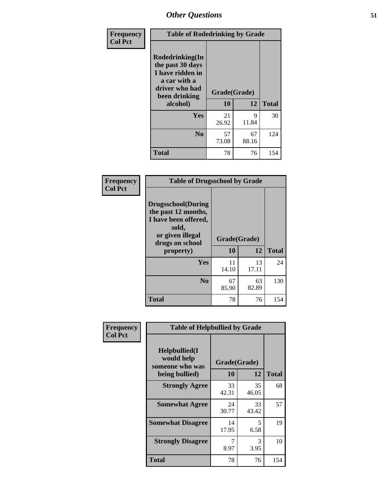| Frequency      | <b>Table of Rodedrinking by Grade</b>                                                                                  |                    |             |              |
|----------------|------------------------------------------------------------------------------------------------------------------------|--------------------|-------------|--------------|
| <b>Col Pct</b> | Rodedrinking(In<br>the past 30 days<br>I have ridden in<br>a car with a<br>driver who had<br>been drinking<br>alcohol) | Grade(Grade)<br>10 | 12          | <b>Total</b> |
|                | <b>Yes</b>                                                                                                             | 21<br>26.92        | 9<br>11.84  | 30           |
|                | N <sub>0</sub>                                                                                                         | 57<br>73.08        | 67<br>88.16 | 124          |
|                | <b>Total</b>                                                                                                           | 78                 | 76          | 154          |

#### **Frequency Col Pct**

| <b>Table of Drugsschool by Grade</b>                                                                                      |              |             |              |  |  |
|---------------------------------------------------------------------------------------------------------------------------|--------------|-------------|--------------|--|--|
| <b>Drugsschool</b> (During<br>the past 12 months,<br>I have been offered,<br>sold,<br>or given illegal<br>drugs on school | Grade(Grade) |             |              |  |  |
| property)                                                                                                                 | 10           | 12          | <b>Total</b> |  |  |
| Yes                                                                                                                       | 11<br>14.10  | 13<br>17.11 | 24           |  |  |
| N <sub>0</sub>                                                                                                            | 67<br>85.90  | 63<br>82.89 | 130          |  |  |
| <b>Total</b>                                                                                                              | 78           | 76          | 154          |  |  |

| Frequency      | <b>Table of Helpbullied by Grade</b>           |              |             |              |  |  |  |
|----------------|------------------------------------------------|--------------|-------------|--------------|--|--|--|
| <b>Col Pct</b> | Helpbullied(I<br>would help<br>someone who was | Grade(Grade) |             |              |  |  |  |
|                | being bullied)                                 | <b>10</b>    | 12          | <b>Total</b> |  |  |  |
|                | <b>Strongly Agree</b>                          | 33<br>42.31  | 35<br>46.05 | 68           |  |  |  |
|                | <b>Somewhat Agree</b>                          | 24<br>30.77  | 33<br>43.42 | 57           |  |  |  |
|                | <b>Somewhat Disagree</b>                       | 14<br>17.95  | 5<br>6.58   | 19           |  |  |  |
|                | <b>Strongly Disagree</b>                       | 8.97         | 3<br>3.95   | 10           |  |  |  |
|                | <b>Total</b>                                   | 78           | 76          | 154          |  |  |  |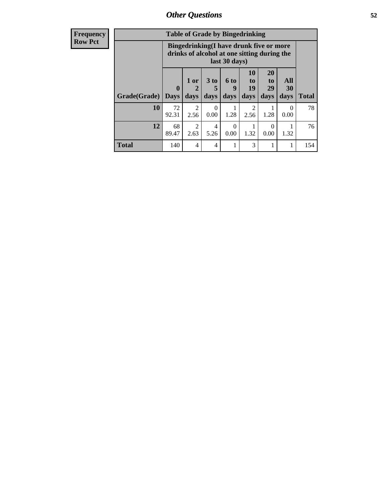| Frequency      | <b>Table of Grade by Bingedrinking</b> |                             |                        |                              |                   |                                                                                        |                               |                   |              |
|----------------|----------------------------------------|-----------------------------|------------------------|------------------------------|-------------------|----------------------------------------------------------------------------------------|-------------------------------|-------------------|--------------|
| <b>Row Pct</b> |                                        |                             |                        |                              | last 30 days)     | Bingedrinking(I have drunk five or more<br>drinks of alcohol at one sitting during the |                               |                   |              |
|                | Grade(Grade)                           | $\mathbf{0}$<br><b>Days</b> | 1 or<br>days           | 3 <sub>to</sub><br>5<br>days | 6 to<br>q<br>days | <b>10</b><br>to<br>19<br>days                                                          | <b>20</b><br>to<br>29<br>days | All<br>30<br>days | <b>Total</b> |
|                | 10                                     | 72<br>92.31                 | $\mathfrak{D}$<br>2.56 | $\Omega$<br>0.00             | 1.28              | $\mathcal{D}_{\mathcal{L}}$<br>2.56                                                    | 1.28                          | $\Omega$<br>0.00  | 78           |
|                | 12                                     | 68<br>89.47                 | 2<br>2.63              | 4<br>5.26                    | $\Omega$<br>0.00  | 1.32                                                                                   | $\Omega$<br>0.00              | 1.32              | 76           |
|                | <b>Total</b>                           | 140                         | 4                      | 4                            |                   | 3                                                                                      |                               |                   | 154          |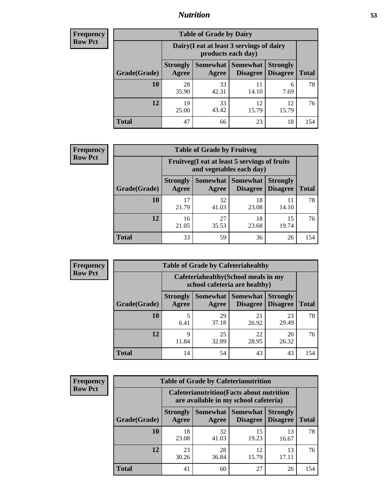## *Nutrition* **53**

| Frequency |
|-----------|
| Row Pct   |

| <b>Table of Grade by Dairy</b> |                          |                                                                 |                             |                                    |              |  |  |
|--------------------------------|--------------------------|-----------------------------------------------------------------|-----------------------------|------------------------------------|--------------|--|--|
|                                |                          | Dairy (I eat at least 3 servings of dairy<br>products each day) |                             |                                    |              |  |  |
| Grade(Grade)                   | <b>Strongly</b><br>Agree | <b>Somewhat</b><br>Agree                                        | <b>Somewhat</b><br>Disagree | <b>Strongly</b><br><b>Disagree</b> | <b>Total</b> |  |  |
| 10                             | 28<br>35.90              | 33<br>42.31                                                     | 11<br>14.10                 | 6<br>7.69                          | 78           |  |  |
| 12                             | 19<br>25.00              | 33<br>43.42                                                     | 12<br>15.79                 | 12<br>15.79                        | 76           |  |  |
| <b>Total</b>                   | 47                       | 66                                                              | 23                          | 18                                 | 154          |  |  |

| <b>Frequency</b> |  |
|------------------|--|
| <b>Row Pct</b>   |  |

| <b>Table of Grade by Fruitveg</b> |                          |                                                                          |                                      |                                    |              |  |
|-----------------------------------|--------------------------|--------------------------------------------------------------------------|--------------------------------------|------------------------------------|--------------|--|
|                                   |                          | Fruitveg(I eat at least 5 servings of fruits<br>and vegetables each day) |                                      |                                    |              |  |
| Grade(Grade)                      | <b>Strongly</b><br>Agree | Agree                                                                    | Somewhat Somewhat<br><b>Disagree</b> | <b>Strongly</b><br><b>Disagree</b> | <b>Total</b> |  |
| 10                                | 17<br>21.79              | 32<br>41.03                                                              | 18<br>23.08                          | 14.10                              | 78           |  |
| 12                                | 16<br>21.05              | 27<br>35.53                                                              | 18<br>23.68                          | 15<br>19.74                        | 76           |  |
| <b>Total</b>                      | 33                       | 59                                                                       | 36                                   | 26                                 | 154          |  |

| <b>Frequency</b> |
|------------------|
| <b>Row Pct</b>   |

| <b>Table of Grade by Cafeteriahealthy</b> |                                                                                                                              |                                                                       |             |             |     |  |  |
|-------------------------------------------|------------------------------------------------------------------------------------------------------------------------------|-----------------------------------------------------------------------|-------------|-------------|-----|--|--|
|                                           |                                                                                                                              | Cafeteriahealthy (School meals in my<br>school cafeteria are healthy) |             |             |     |  |  |
| Grade(Grade)                              | Somewhat   Somewhat  <br><b>Strongly</b><br><b>Strongly</b><br><b>Disagree</b><br>Agree<br>Disagree<br><b>Total</b><br>Agree |                                                                       |             |             |     |  |  |
| 10                                        | 5<br>6.41                                                                                                                    | 29<br>37.18                                                           | 21<br>26.92 | 23<br>29.49 | 78  |  |  |
| 12                                        | 9<br>11.84                                                                                                                   | 25<br>32.89                                                           | 22<br>28.95 | 20<br>26.32 | 76  |  |  |
| <b>Total</b>                              | 14                                                                                                                           | 54                                                                    | 43          | 43          | 154 |  |  |

**Frequency Row Pct**

| <b>Table of Grade by Cafeterianutrition</b> |                                                                                           |              |                     |                                        |              |  |
|---------------------------------------------|-------------------------------------------------------------------------------------------|--------------|---------------------|----------------------------------------|--------------|--|
|                                             | <b>Cafeterianutrition</b> (Facts about nutrition<br>are available in my school cafeteria) |              |                     |                                        |              |  |
| Grade(Grade)                                | <b>Strongly</b><br>Agree                                                                  | <b>Agree</b> | Somewhat   Somewhat | <b>Strongly</b><br>Disagree   Disagree | <b>Total</b> |  |
| 10                                          | 18<br>23.08                                                                               | 32<br>41.03  | 15<br>19.23         | 13<br>16.67                            | 78           |  |
| 12                                          | 23<br>30.26                                                                               | 28<br>36.84  | 12<br>15.79         | 13<br>17.11                            | 76           |  |
| Total                                       | 41                                                                                        | 60           | 27                  | 26                                     | 154          |  |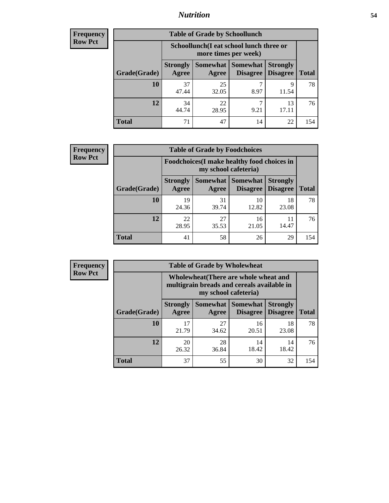## *Nutrition* **54**

| <b>Frequency</b> |
|------------------|
| Row Pct          |

| <b>Table of Grade by Schoollunch</b> |                                                                                                                       |                                                                 |           |             |     |  |  |
|--------------------------------------|-----------------------------------------------------------------------------------------------------------------------|-----------------------------------------------------------------|-----------|-------------|-----|--|--|
|                                      |                                                                                                                       | Schoollunch(I eat school lunch three or<br>more times per week) |           |             |     |  |  |
| Grade(Grade)                         | Somewhat<br>Somewhat  <br><b>Strongly</b><br><b>Strongly</b><br>Disagree   Disagree<br><b>Total</b><br>Agree<br>Agree |                                                                 |           |             |     |  |  |
| 10                                   | 37<br>47.44                                                                                                           | 25<br>32.05                                                     | 8.97      | 9<br>11.54  | 78  |  |  |
| 12                                   | 34<br>44.74                                                                                                           | 22<br>28.95                                                     | ┑<br>9.21 | 13<br>17.11 | 76  |  |  |
| <b>Total</b>                         | 71                                                                                                                    | 47                                                              | 14        | 22          | 154 |  |  |

| <b>Frequency</b> |  |
|------------------|--|
| <b>Row Pct</b>   |  |

| <b>Table of Grade by Foodchoices</b> |                                                                     |             |                                        |                                    |              |  |
|--------------------------------------|---------------------------------------------------------------------|-------------|----------------------------------------|------------------------------------|--------------|--|
|                                      | Foodchoices (I make healthy food choices in<br>my school cafeteria) |             |                                        |                                    |              |  |
| Grade(Grade)                         | <b>Strongly</b><br>Agree                                            | Agree       | <b>Somewhat   Somewhat</b><br>Disagree | <b>Strongly</b><br><b>Disagree</b> | <b>Total</b> |  |
| 10                                   | 19<br>24.36                                                         | 31<br>39.74 | 10<br>12.82                            | 18<br>23.08                        | 78           |  |
| 12                                   | 22<br>28.95                                                         | 27<br>35.53 | 16<br>21.05                            | 11<br>14.47                        | 76           |  |
| <b>Total</b>                         | 41                                                                  | 58          | 26                                     | 29                                 | 154          |  |

| Frequency      | <b>Table of Grade by Wholewheat</b> |                                                                                                             |                   |                             |                                    |              |  |  |  |
|----------------|-------------------------------------|-------------------------------------------------------------------------------------------------------------|-------------------|-----------------------------|------------------------------------|--------------|--|--|--|
| <b>Row Pct</b> |                                     | Wholewheat (There are whole wheat and<br>multigrain breads and cereals available in<br>my school cafeteria) |                   |                             |                                    |              |  |  |  |
|                | Grade(Grade)                        | <b>Strongly</b><br>Agree                                                                                    | Somewhat<br>Agree | Somewhat<br><b>Disagree</b> | <b>Strongly</b><br><b>Disagree</b> | <b>Total</b> |  |  |  |
|                | 10                                  | 17<br>21.79                                                                                                 | 27<br>34.62       | 16<br>20.51                 | 18<br>23.08                        | 78           |  |  |  |
|                | 12                                  | 20<br>26.32                                                                                                 | 28<br>36.84       | 14<br>18.42                 | 14<br>18.42                        | 76           |  |  |  |
|                | <b>Total</b>                        | 37                                                                                                          | 55                | 30                          | 32                                 | 154          |  |  |  |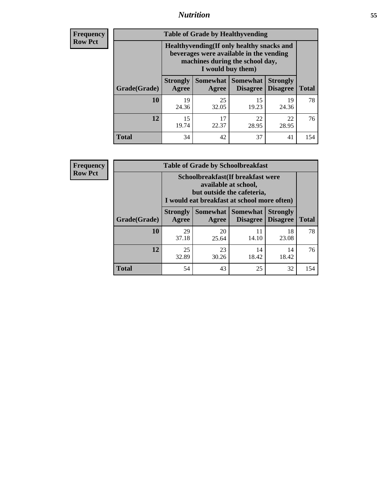## *Nutrition* **55**

**Frequency Row Pct**

| <b>Table of Grade by Healthyvending</b> |                                                                                                                                               |                          |                                    |                                    |              |  |  |
|-----------------------------------------|-----------------------------------------------------------------------------------------------------------------------------------------------|--------------------------|------------------------------------|------------------------------------|--------------|--|--|
|                                         | Healthyvending (If only healthy snacks and<br>beverages were available in the vending<br>machines during the school day,<br>I would buy them) |                          |                                    |                                    |              |  |  |
| Grade(Grade)                            | <b>Strongly</b><br>Agree                                                                                                                      | <b>Somewhat</b><br>Agree | <b>Somewhat</b><br><b>Disagree</b> | <b>Strongly</b><br><b>Disagree</b> | <b>Total</b> |  |  |
| 10                                      | 19<br>24.36                                                                                                                                   | 25<br>32.05              | 15<br>19.23                        | 19<br>24.36                        | 78           |  |  |
| 12                                      | 15<br>19.74                                                                                                                                   | 17<br>22.37              | 22<br>28.95                        | 22<br>28.95                        | 76           |  |  |
| Total                                   | 34                                                                                                                                            | 42                       | 37                                 | 41                                 | 154          |  |  |

**Frequency Row Pct**

| <b>Table of Grade by Schoolbreakfast</b>                                                                                          |                                                                                                                                         |             |             |             |              |  |  |
|-----------------------------------------------------------------------------------------------------------------------------------|-----------------------------------------------------------------------------------------------------------------------------------------|-------------|-------------|-------------|--------------|--|--|
|                                                                                                                                   | Schoolbreakfast (If breakfast were<br>available at school,<br>but outside the cafeteria,<br>I would eat breakfast at school more often) |             |             |             |              |  |  |
| Somewhat   Somewhat<br><b>Strongly</b><br><b>Strongly</b><br><b>Disagree</b><br>Grade(Grade)<br>Agree<br><b>Disagree</b><br>Agree |                                                                                                                                         |             |             |             | <b>Total</b> |  |  |
| 10                                                                                                                                | 29<br>37.18                                                                                                                             | 20<br>25.64 | 11<br>14.10 | 18<br>23.08 | 78           |  |  |
| 12                                                                                                                                | 25<br>32.89                                                                                                                             | 23<br>30.26 | 14<br>18.42 | 14<br>18.42 | 76           |  |  |
| <b>Total</b>                                                                                                                      | 54                                                                                                                                      | 43          | 25          | 32          | 154          |  |  |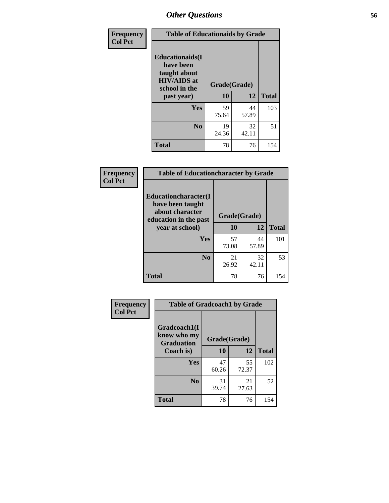| Frequency<br><b>Col Pct</b> | <b>Table of Educationaids by Grade</b>                                                                    |                    |              |     |  |  |
|-----------------------------|-----------------------------------------------------------------------------------------------------------|--------------------|--------------|-----|--|--|
|                             | <b>Educationaids</b> (I<br>have been<br>taught about<br><b>HIV/AIDS</b> at<br>school in the<br>past year) | Grade(Grade)<br>10 | <b>Total</b> |     |  |  |
|                             | Yes                                                                                                       | 59<br>75.64        | 44<br>57.89  | 103 |  |  |
|                             | N <sub>0</sub>                                                                                            | 19<br>24.36        | 32<br>42.11  | 51  |  |  |
|                             | <b>Total</b>                                                                                              | 78                 | 76           | 154 |  |  |

| Frequency      | <b>Table of Educationcharacter by Grade</b>                         |              |             |              |  |  |
|----------------|---------------------------------------------------------------------|--------------|-------------|--------------|--|--|
| <b>Col Pct</b> | <b>Educationcharacter(I)</b><br>have been taught<br>about character | Grade(Grade) |             |              |  |  |
|                | education in the past<br>year at school)                            | 10           | 12          | <b>Total</b> |  |  |
|                | Yes                                                                 | 57<br>73.08  | 44<br>57.89 | 101          |  |  |
|                | N <sub>0</sub>                                                      | 21<br>26.92  | 32<br>42.11 | 53           |  |  |
|                | <b>Total</b>                                                        | 78           | 76          | 154          |  |  |

| Frequency      | <b>Table of Gradcoach1 by Grade</b>              |              |             |              |
|----------------|--------------------------------------------------|--------------|-------------|--------------|
| <b>Col Pct</b> | Gradcoach1(I<br>know who my<br><b>Graduation</b> | Grade(Grade) |             |              |
|                | Coach is)                                        | 10           | 12          | <b>Total</b> |
|                | Yes                                              | 47<br>60.26  | 55<br>72.37 | 102          |
|                | N <sub>0</sub>                                   | 31<br>39.74  | 21<br>27.63 | 52           |
|                | <b>Total</b>                                     | 78           | 76          | 154          |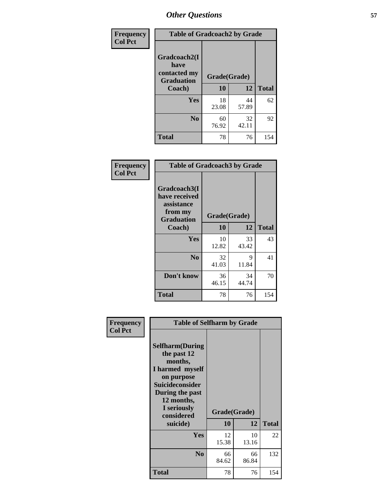| Frequency      | <b>Table of Gradcoach2 by Grade</b>         |              |             |              |
|----------------|---------------------------------------------|--------------|-------------|--------------|
| <b>Col Pct</b> | Gradcoach2(I<br>have                        |              |             |              |
|                | contacted my<br><b>Graduation</b><br>Coach) | Grade(Grade) |             |              |
|                |                                             | 10           | 12          | <b>Total</b> |
|                | Yes                                         | 18<br>23.08  | 44<br>57.89 | 62           |
|                | N <sub>0</sub>                              | 60<br>76.92  | 32<br>42.11 | 92           |
|                | <b>Total</b>                                | 78           | 76          | 154          |

| <b>Frequency</b><br><b>Col Pct</b> | <b>Table of Gradcoach3 by Grade</b>                                         |              |             |              |
|------------------------------------|-----------------------------------------------------------------------------|--------------|-------------|--------------|
|                                    | Gradcoach3(I<br>have received<br>assistance<br>from my<br><b>Graduation</b> | Grade(Grade) |             |              |
|                                    | Coach)                                                                      | 10           | 12          | <b>Total</b> |
|                                    | Yes                                                                         | 10<br>12.82  | 33<br>43.42 | 43           |
|                                    | N <sub>0</sub>                                                              | 32<br>41.03  | 9<br>11.84  | 41           |
|                                    | Don't know                                                                  | 36<br>46.15  | 34<br>44.74 | 70           |
|                                    | <b>Total</b>                                                                | 78           | 76          | 154          |

| Frequency      | <b>Table of Selfharm by Grade</b>                                                                                                                                                      |                    |             |              |
|----------------|----------------------------------------------------------------------------------------------------------------------------------------------------------------------------------------|--------------------|-------------|--------------|
| <b>Col Pct</b> | <b>Selfharm</b> (During<br>the past 12<br>months,<br>I harmed myself<br>on purpose<br><b>Suicideconsider</b><br>During the past<br>12 months,<br>I seriously<br>considered<br>suicide) | Grade(Grade)<br>10 | 12          | <b>Total</b> |
|                | Yes                                                                                                                                                                                    | 12<br>15.38        | 10<br>13.16 | 22           |
|                | N <sub>0</sub>                                                                                                                                                                         | 66<br>84.62        | 66<br>86.84 | 132          |
|                | Total                                                                                                                                                                                  | 78                 | 76          | 154          |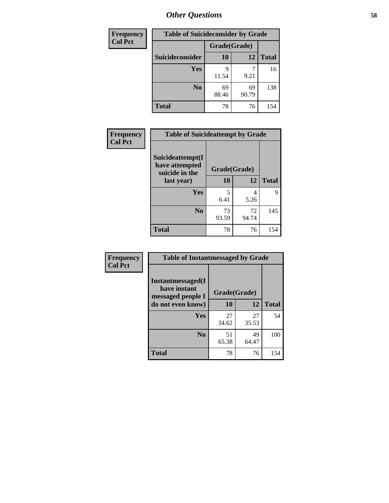| <b>Frequency</b> | <b>Table of Suicideconsider by Grade</b> |              |             |              |  |
|------------------|------------------------------------------|--------------|-------------|--------------|--|
| <b>Col Pct</b>   |                                          | Grade(Grade) |             |              |  |
|                  | Suicideconsider                          | <b>10</b>    | 12          | <b>Total</b> |  |
|                  | <b>Yes</b>                               | q<br>11.54   | 9.21        | 16           |  |
|                  | N <sub>0</sub>                           | 69<br>88.46  | 69<br>90.79 | 138          |  |
|                  | <b>Total</b>                             | 78           | 76          | 154          |  |

| Frequency      | <b>Table of Suicideattempt by Grade</b>              |              |             |              |
|----------------|------------------------------------------------------|--------------|-------------|--------------|
| <b>Col Pct</b> | Suicideattempt(I<br>have attempted<br>suicide in the | Grade(Grade) |             |              |
|                | last year)                                           | 10           | 12          | <b>Total</b> |
|                | Yes                                                  | 5<br>6.41    | 4<br>5.26   | 9            |
|                | N <sub>0</sub>                                       | 73<br>93.59  | 72<br>94.74 | 145          |
|                | <b>Total</b>                                         | 78           | 76          | 154          |

| Frequency      | <b>Table of Instantmessaged by Grade</b>               |              |             |              |
|----------------|--------------------------------------------------------|--------------|-------------|--------------|
| <b>Col Pct</b> | Instantmessaged(I<br>have instant<br>messaged people I | Grade(Grade) |             |              |
|                | do not even know)                                      | 10           | 12          | <b>Total</b> |
|                | Yes                                                    | 27<br>34.62  | 27<br>35.53 | 54           |
|                | N <sub>0</sub>                                         | 51<br>65.38  | 49<br>64.47 | 100          |
|                | <b>Total</b>                                           | 78           | 76          | 154          |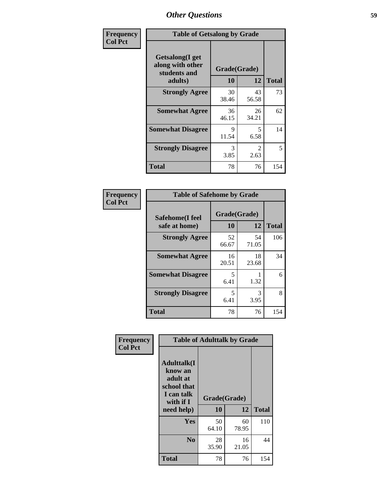| Frequency      | <b>Table of Getsalong by Grade</b>                  |              |                        |              |  |
|----------------|-----------------------------------------------------|--------------|------------------------|--------------|--|
| <b>Col Pct</b> | Getsalong(I get<br>along with other<br>students and | Grade(Grade) |                        |              |  |
|                | adults)                                             | 10           | 12                     | <b>Total</b> |  |
|                | <b>Strongly Agree</b>                               | 30<br>38.46  | 43<br>56.58            | 73           |  |
|                | <b>Somewhat Agree</b>                               | 36<br>46.15  | 26<br>34.21            | 62           |  |
|                | <b>Somewhat Disagree</b>                            | 9<br>11.54   | 5<br>6.58              | 14           |  |
|                | <b>Strongly Disagree</b>                            | 3<br>3.85    | $\mathfrak{D}$<br>2.63 | 5            |  |
|                | <b>Total</b>                                        | 78           | 76                     | 154          |  |

| Frequency      | <b>Table of Safehome by Grade</b> |                    |             |              |  |
|----------------|-----------------------------------|--------------------|-------------|--------------|--|
| <b>Col Pct</b> | Safehome(I feel<br>safe at home)  | Grade(Grade)<br>10 | 12          | <b>Total</b> |  |
|                | <b>Strongly Agree</b>             | 52<br>66.67        | 54<br>71.05 | 106          |  |
|                | <b>Somewhat Agree</b>             | 16<br>20.51        | 18<br>23.68 | 34           |  |
|                | <b>Somewhat Disagree</b>          | 5<br>6.41          | 1.32        | 6            |  |
|                | <b>Strongly Disagree</b>          | 5<br>6.41          | 3<br>3.95   | 8            |  |
|                | <b>Total</b>                      | 78                 | 76          | 154          |  |

| Frequency      | <b>Table of Adulttalk by Grade</b>                                                  |                    |             |              |  |
|----------------|-------------------------------------------------------------------------------------|--------------------|-------------|--------------|--|
| <b>Col Pct</b> | <b>Adulttalk(I</b><br>know an<br>adult at<br>school that<br>I can talk<br>with if I | Grade(Grade)<br>10 | 12          | <b>Total</b> |  |
|                | need help)                                                                          |                    |             |              |  |
|                | <b>Yes</b>                                                                          | 50<br>64.10        | 60<br>78.95 | 110          |  |
|                | N <sub>0</sub>                                                                      | 28<br>35.90        | 16<br>21.05 | 44           |  |
|                | <b>Total</b>                                                                        | 78                 | 76          | 154          |  |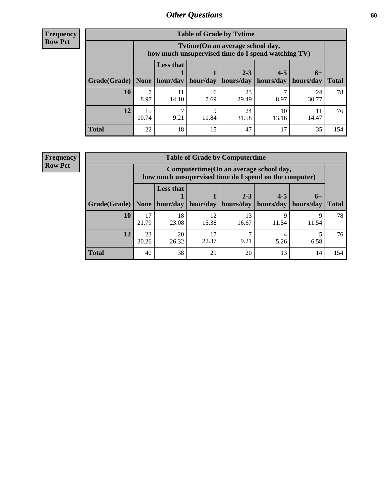**Frequency Row Pct**

| <b>Table of Grade by Tvtime</b> |             |                                                                                         |            |                                                         |             |             |              |
|---------------------------------|-------------|-----------------------------------------------------------------------------------------|------------|---------------------------------------------------------|-------------|-------------|--------------|
|                                 |             | Tytime (On an average school day,<br>how much unsupervised time do I spend watching TV) |            |                                                         |             |             |              |
| Grade(Grade)   None             |             | <b>Less that</b><br>hour/day                                                            |            | $2 - 3$<br>hour/day   hours/day   hours/day   hours/day | $4 - 5$     | $6+$        | <b>Total</b> |
| 10                              | 8.97        | 11<br>14.10                                                                             | 6<br>7.69  | 23<br>29.49                                             | 8.97        | 24<br>30.77 | 78           |
| 12                              | 15<br>19.74 | 9.21                                                                                    | Q<br>11.84 | 24<br>31.58                                             | 10<br>13.16 | 14.47       | 76           |
| <b>Total</b>                    | 22          | 18                                                                                      | 15         | 47                                                      | 17          | 35          | 154          |

**Frequency Row Pct**

| <b>Table of Grade by Computertime</b> |             |                                                                                                                             |             |             |       |            |     |  |
|---------------------------------------|-------------|-----------------------------------------------------------------------------------------------------------------------------|-------------|-------------|-------|------------|-----|--|
|                                       |             | Computertime (On an average school day,<br>how much unsupervised time do I spend on the computer)                           |             |             |       |            |     |  |
| Grade(Grade)                          | None        | <b>Less that</b><br>$4 - 5$<br>$2 - 3$<br>$6+$<br>hour/day   hour/day<br>hours/day   hours/day<br>hours/day<br><b>Total</b> |             |             |       |            |     |  |
| 10                                    | 17<br>21.79 | 18<br>23.08                                                                                                                 | 12<br>15.38 | 13<br>16.67 | 11.54 | Q<br>11.54 | 78  |  |
| 12                                    | 23<br>30.26 | 20<br>17<br>22.37<br>9.21<br>26.32<br>5.26<br>6.58                                                                          |             |             |       |            |     |  |
| <b>Total</b>                          | 40          | 38                                                                                                                          | 29          | 20          | 13    | 14         | 154 |  |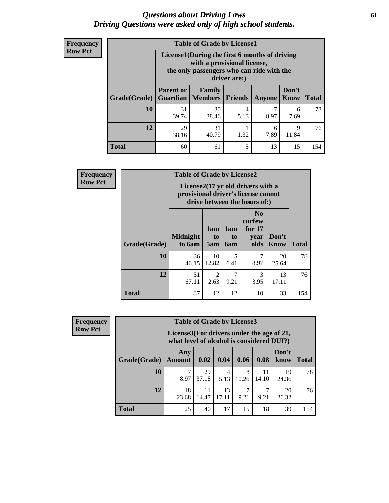### *Questions about Driving Laws* **61** *Driving Questions were asked only of high school students.*

| <b>Frequency</b> |
|------------------|
| <b>Row Pct</b>   |

| <b>Table of Grade by License1</b> |                  |                                                                                                                                           |                |           |               |              |  |  |  |
|-----------------------------------|------------------|-------------------------------------------------------------------------------------------------------------------------------------------|----------------|-----------|---------------|--------------|--|--|--|
|                                   |                  | License1(During the first 6 months of driving<br>with a provisional license,<br>the only passengers who can ride with the<br>driver are:) |                |           |               |              |  |  |  |
| Grade(Grade)                      | <b>Parent or</b> | Family<br><b>Guardian</b>   Members                                                                                                       | <b>Friends</b> | Anyone    | Don't<br>Know | <b>Total</b> |  |  |  |
| 10                                | 31<br>39.74      | 30<br>38.46                                                                                                                               | 4<br>5.13      | 8.97      | 6<br>7.69     | 78           |  |  |  |
| 12                                | 29<br>38.16      | 31<br>40.79                                                                                                                               | 1.32           | 6<br>7.89 | 9<br>11.84    | 76           |  |  |  |
| Total                             | 60               | 61                                                                                                                                        | 5              | 13        | 15            | 154          |  |  |  |

| Frequency      |              | <b>Table of Grade by License2</b>                                                                        |                        |                  |                                                      |                      |              |  |  |
|----------------|--------------|----------------------------------------------------------------------------------------------------------|------------------------|------------------|------------------------------------------------------|----------------------|--------------|--|--|
| <b>Row Pct</b> |              | License2(17 yr old drivers with a<br>provisional driver's license cannot<br>drive between the hours of:) |                        |                  |                                                      |                      |              |  |  |
|                | Grade(Grade) | <b>Midnight</b><br>to 6am                                                                                | 1am<br>to<br>5am       | 1am<br>to<br>6am | N <sub>0</sub><br>curfew<br>for $17$<br>year<br>olds | Don't<br><b>Know</b> | <b>Total</b> |  |  |
|                | 10           | 36<br>46.15                                                                                              | 10<br>12.82            | 5<br>6.41        | 7<br>8.97                                            | 20<br>25.64          | 78           |  |  |
|                | 12           | 51<br>67.11                                                                                              | $\overline{c}$<br>2.63 | 7<br>9.21        | 3<br>3.95                                            | 13<br>17.11          | 76           |  |  |
|                | <b>Total</b> | 87                                                                                                       | 12                     | 12               | 10                                                   | 33                   | 154          |  |  |

| Frequency      | <b>Table of Grade by License3</b> |                                                                                        |             |             |            |             |               |              |
|----------------|-----------------------------------|----------------------------------------------------------------------------------------|-------------|-------------|------------|-------------|---------------|--------------|
| <b>Row Pct</b> |                                   | License3(For drivers under the age of 21,<br>what level of alcohol is considered DUI?) |             |             |            |             |               |              |
|                | Grade(Grade)                      | Any<br><b>Amount</b>                                                                   | 0.02        | 0.04        | 0.06       | 0.08        | Don't<br>know | <b>Total</b> |
|                | 10                                | 8.97                                                                                   | 29<br>37.18 | 4<br>5.13   | 8<br>10.26 | 11<br>14.10 | 19<br>24.36   | 78           |
|                | 12                                | 18<br>23.68                                                                            | 11<br>14.47 | 13<br>17.11 | 9.21       | 9.21        | 20<br>26.32   | 76           |
|                | <b>Total</b>                      | 25                                                                                     | 40          | 17          | 15         | 18          | 39            | 154          |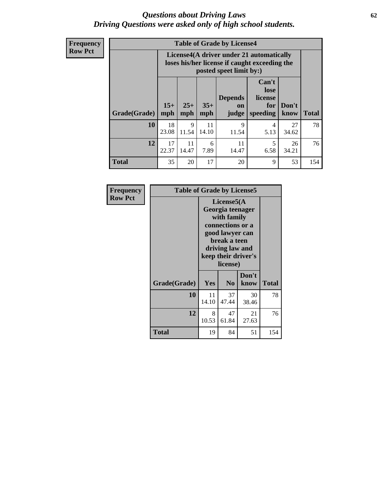### *Questions about Driving Laws* **62** *Driving Questions were asked only of high school students.*

**Frequency Row Pct**

| <b>Table of Grade by License4</b> |             |                                                                                                                                                                                                                                                                                |             |             |           |             |     |  |
|-----------------------------------|-------------|--------------------------------------------------------------------------------------------------------------------------------------------------------------------------------------------------------------------------------------------------------------------------------|-------------|-------------|-----------|-------------|-----|--|
|                                   |             | License4(A driver under 21 automatically<br>loses his/her license if caught exceeding the<br>posted speet limit by:)<br>Can't<br>lose<br><b>Depends</b><br>license<br>$15+$<br>$25+$<br>$35+$<br>Don't<br>for<br>on<br><b>Total</b><br>mph<br>speeding<br>know<br>mph<br>judge |             |             |           |             |     |  |
| Grade(Grade)                      | mph         |                                                                                                                                                                                                                                                                                |             |             |           |             |     |  |
| 10                                | 18<br>23.08 | 9<br>11.54                                                                                                                                                                                                                                                                     | 11<br>14.10 | 9<br>11.54  | 4<br>5.13 | 27<br>34.62 | 78  |  |
| 12                                | 17<br>22.37 | 11<br>14.47                                                                                                                                                                                                                                                                    | 6<br>7.89   | 11<br>14.47 | 5<br>6.58 | 26<br>34.21 | 76  |  |
| <b>Total</b>                      | 35          | 20                                                                                                                                                                                                                                                                             | 17          | 20          | 9         | 53          | 154 |  |

| Frequency      |              | <b>Table of Grade by License5</b>                                                                                                                           |                |               |              |  |  |  |
|----------------|--------------|-------------------------------------------------------------------------------------------------------------------------------------------------------------|----------------|---------------|--------------|--|--|--|
| <b>Row Pct</b> |              | License5(A)<br>Georgia teenager<br>with family<br>connections or a<br>good lawyer can<br>break a teen<br>driving law and<br>keep their driver's<br>license) |                |               |              |  |  |  |
|                | Grade(Grade) | <b>Yes</b>                                                                                                                                                  | N <sub>0</sub> | Don't<br>know | <b>Total</b> |  |  |  |
|                | 10           | 11<br>14.10                                                                                                                                                 | 37<br>47.44    | 30<br>38.46   | 78           |  |  |  |
|                | 12           | 8<br>10.53                                                                                                                                                  | 47<br>61.84    | 21<br>27.63   | 76           |  |  |  |
|                | Total        | 19                                                                                                                                                          | 84             | 51            | 154          |  |  |  |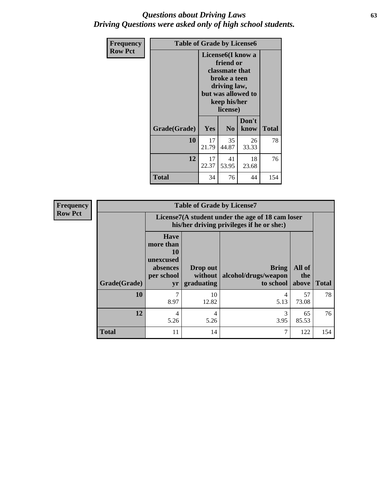### *Questions about Driving Laws* **63** *Driving Questions were asked only of high school students.*

| <b>Frequency</b> | <b>Table of Grade by License6</b> |                                                                                                                                                 |                |               |              |  |
|------------------|-----------------------------------|-------------------------------------------------------------------------------------------------------------------------------------------------|----------------|---------------|--------------|--|
| <b>Row Pct</b>   |                                   | License <sub>6</sub> (I know a<br>friend or<br>classmate that<br>broke a teen<br>driving law,<br>but was allowed to<br>keep his/her<br>license) |                |               |              |  |
|                  | Grade(Grade)                      | Yes                                                                                                                                             | N <sub>0</sub> | Don't<br>know | <b>Total</b> |  |
|                  | 10                                | 17<br>21.79                                                                                                                                     | 35<br>44.87    | 26<br>33.33   | 78           |  |
|                  | 12                                | 17<br>22.37                                                                                                                                     | 41<br>53.95    | 18<br>23.68   | 76           |  |
|                  | <b>Total</b>                      | 34                                                                                                                                              | 76             | 44            | 154          |  |

| <b>Frequency</b> | <b>Table of Grade by License7</b> |                                                                             |                                                                                               |                                                   |                        |              |  |  |  |  |
|------------------|-----------------------------------|-----------------------------------------------------------------------------|-----------------------------------------------------------------------------------------------|---------------------------------------------------|------------------------|--------------|--|--|--|--|
| <b>Row Pct</b>   |                                   |                                                                             | License7(A student under the age of 18 cam loser<br>his/her driving privileges if he or she:) |                                                   |                        |              |  |  |  |  |
|                  | Grade(Grade)                      | <b>Have</b><br>more than<br>10<br>unexcused<br>absences<br>per school<br>yr | Drop out<br>without  <br>graduating                                                           | <b>Bring</b><br>alcohol/drugs/weapon<br>to school | All of<br>the<br>above | <b>Total</b> |  |  |  |  |
|                  | 10                                | 7<br>8.97                                                                   | 10<br>12.82                                                                                   | 4<br>5.13                                         | 57<br>73.08            | 78           |  |  |  |  |
|                  | 12                                | 4<br>5.26                                                                   | 4<br>5.26                                                                                     | 3.95                                              | 65<br>85.53            | 76           |  |  |  |  |
|                  | <b>Total</b>                      | 11                                                                          | 14                                                                                            | 7                                                 | 122                    | 154          |  |  |  |  |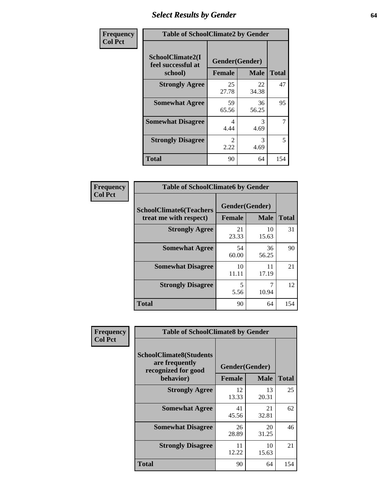# *Select Results by Gender* **64**

| Frequency      | <b>Table of SchoolClimate2 by Gender</b>          |                                 |             |              |  |  |
|----------------|---------------------------------------------------|---------------------------------|-------------|--------------|--|--|
| <b>Col Pct</b> | SchoolClimate2(I<br>feel successful at<br>school) | Gender(Gender)<br><b>Female</b> | <b>Male</b> | <b>Total</b> |  |  |
|                | <b>Strongly Agree</b>                             | 25<br>27.78                     | 22<br>34.38 | 47           |  |  |
|                | <b>Somewhat Agree</b>                             | 59<br>65.56                     | 36<br>56.25 | 95           |  |  |
|                | <b>Somewhat Disagree</b>                          | 4<br>4.44                       | 3<br>4.69   | 7            |  |  |
|                | <b>Strongly Disagree</b>                          | $\mathcal{L}$<br>2.22           | 3<br>4.69   | 5            |  |  |
|                | <b>Total</b>                                      | 90                              | 64          | 154          |  |  |

| Frequency      | <b>Table of SchoolClimate6 by Gender</b>                 |                                 |             |              |  |  |  |  |
|----------------|----------------------------------------------------------|---------------------------------|-------------|--------------|--|--|--|--|
| <b>Col Pct</b> | <b>SchoolClimate6(Teachers</b><br>treat me with respect) | Gender(Gender)<br><b>Female</b> | <b>Male</b> | <b>Total</b> |  |  |  |  |
|                | <b>Strongly Agree</b>                                    | 21<br>23.33                     | 10<br>15.63 | 31           |  |  |  |  |
|                | <b>Somewhat Agree</b>                                    | 54<br>60.00                     | 36<br>56.25 | 90           |  |  |  |  |
|                | <b>Somewhat Disagree</b>                                 | 10<br>11.11                     | 11<br>17.19 | 21           |  |  |  |  |
|                | <b>Strongly Disagree</b>                                 | 5<br>5.56                       | 10.94       | 12           |  |  |  |  |
|                | <b>Total</b>                                             | 90                              | 64          | 154          |  |  |  |  |

| <b>Frequency</b> |                                                                                      | <b>Table of SchoolClimate8 by Gender</b> |                               |              |  |  |  |  |  |  |
|------------------|--------------------------------------------------------------------------------------|------------------------------------------|-------------------------------|--------------|--|--|--|--|--|--|
| <b>Col Pct</b>   | <b>SchoolClimate8(Students</b><br>are frequently<br>recognized for good<br>behavior) | <b>Female</b>                            | Gender(Gender)<br><b>Male</b> | <b>Total</b> |  |  |  |  |  |  |
|                  | <b>Strongly Agree</b>                                                                | 12<br>13.33                              | 13<br>20.31                   | 25           |  |  |  |  |  |  |
|                  | <b>Somewhat Agree</b>                                                                | 41<br>45.56                              | 21<br>32.81                   | 62           |  |  |  |  |  |  |
|                  | <b>Somewhat Disagree</b>                                                             | 26<br>28.89                              | 20<br>31.25                   | 46           |  |  |  |  |  |  |
|                  | <b>Strongly Disagree</b>                                                             | 11<br>12.22                              | 10<br>15.63                   | 21           |  |  |  |  |  |  |
|                  | Total                                                                                | 90                                       | 64                            | 154          |  |  |  |  |  |  |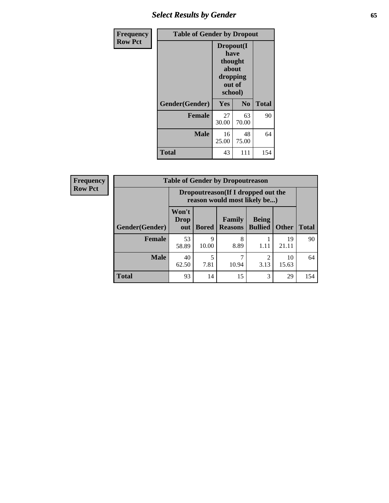# *Select Results by Gender* **65**

| Frequency      | <b>Table of Gender by Dropout</b> |                                                                        |                |              |
|----------------|-----------------------------------|------------------------------------------------------------------------|----------------|--------------|
| <b>Row Pct</b> |                                   | Dropout(I<br>have<br>thought<br>about<br>dropping<br>out of<br>school) |                |              |
|                | Gender(Gender)                    | Yes                                                                    | N <sub>0</sub> | <b>Total</b> |
|                | <b>Female</b>                     | 27<br>30.00                                                            | 63<br>70.00    | 90           |
|                | <b>Male</b>                       | 16<br>25.00                                                            | 48<br>75.00    | 64           |
|                | <b>Total</b>                      | 43                                                                     | 111            | 154          |

| <b>Frequency</b> |                | <b>Table of Gender by Dropoutreason</b>                            |              |                                 |                                |              |              |
|------------------|----------------|--------------------------------------------------------------------|--------------|---------------------------------|--------------------------------|--------------|--------------|
| <b>Row Pct</b>   |                | Dropoutreason(If I dropped out the<br>reason would most likely be) |              |                                 |                                |              |              |
|                  | Gender(Gender) | Won't<br>Drop<br>out                                               | <b>Bored</b> | <b>Family</b><br><b>Reasons</b> | <b>Being</b><br><b>Bullied</b> | <b>Other</b> | <b>Total</b> |
|                  | Female         | 53<br>58.89                                                        | 9<br>10.00   | 8<br>8.89                       | 1.11                           | 19<br>21.11  | 90           |
|                  | <b>Male</b>    | 40<br>62.50                                                        | 5<br>7.81    | 10.94                           | っ<br>3.13                      | 10<br>15.63  | 64           |
|                  | <b>Total</b>   | 93                                                                 | 14           | 15                              | 3                              | 29           | 154          |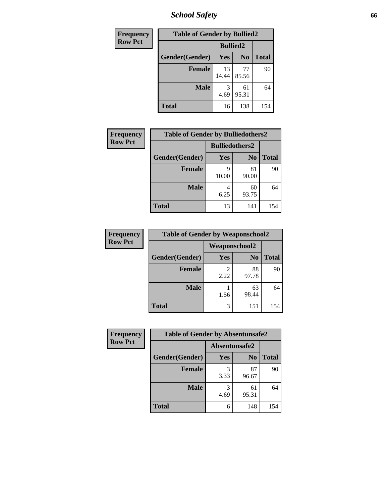*School Safety* **66**

| Frequency      | <b>Table of Gender by Bullied2</b> |                 |                |              |
|----------------|------------------------------------|-----------------|----------------|--------------|
| <b>Row Pct</b> |                                    | <b>Bullied2</b> |                |              |
|                | Gender(Gender)                     | <b>Yes</b>      | N <sub>0</sub> | <b>Total</b> |
|                | <b>Female</b>                      | 13<br>14.44     | 77<br>85.56    | 90           |
|                | <b>Male</b>                        | 3<br>4.69       | 61<br>95.31    | 64           |
|                | <b>Total</b>                       | 16              | 138            | 154          |

| Frequency      | <b>Table of Gender by Bulliedothers2</b> |                       |                |              |
|----------------|------------------------------------------|-----------------------|----------------|--------------|
| <b>Row Pct</b> |                                          | <b>Bulliedothers2</b> |                |              |
|                | Gender(Gender)                           | <b>Yes</b>            | N <sub>0</sub> | <b>Total</b> |
|                | <b>Female</b>                            | Q<br>10.00            | 81<br>90.00    | 90           |
|                | <b>Male</b>                              | 6.25                  | 60<br>93.75    | 64           |
|                | <b>Total</b>                             | 13                    | 141            | 154          |

| Frequency      | <b>Table of Gender by Weaponschool2</b> |                      |                |              |
|----------------|-----------------------------------------|----------------------|----------------|--------------|
| <b>Row Pct</b> |                                         | <b>Weaponschool2</b> |                |              |
|                | Gender(Gender)                          | Yes                  | N <sub>0</sub> | <b>Total</b> |
|                | <b>Female</b>                           | 2.22                 | 88<br>97.78    | 90           |
|                | <b>Male</b>                             | 1.56                 | 63<br>98.44    | 64           |
|                | <b>Total</b>                            | 3                    | 151            | 154          |

| Frequency      | <b>Table of Gender by Absentunsafe2</b> |               |                |              |
|----------------|-----------------------------------------|---------------|----------------|--------------|
| <b>Row Pct</b> |                                         | Absentunsafe2 |                |              |
|                | Gender(Gender)                          | <b>Yes</b>    | N <sub>0</sub> | <b>Total</b> |
|                | <b>Female</b>                           | 3.33          | 87<br>96.67    | 90           |
|                | <b>Male</b>                             | 4.69          | 61<br>95.31    | 64           |
|                | <b>Total</b>                            | 6             | 148            | 154          |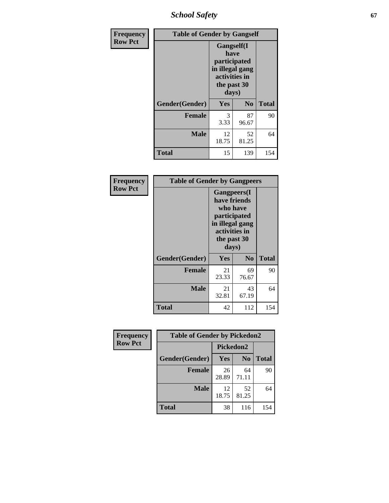*School Safety* **67**

| Frequency      | <b>Table of Gender by Gangself</b> |                                                                                                |             |              |
|----------------|------------------------------------|------------------------------------------------------------------------------------------------|-------------|--------------|
| <b>Row Pct</b> |                                    | Gangself(I<br>have<br>participated<br>in illegal gang<br>activities in<br>the past 30<br>days) |             |              |
|                | Gender(Gender)                     | Yes                                                                                            | $\bf No$    | <b>Total</b> |
|                | <b>Female</b>                      | 3<br>3.33                                                                                      | 87<br>96.67 | 90           |
|                | <b>Male</b>                        | 12<br>18.75                                                                                    | 52<br>81.25 | 64           |
|                | <b>Total</b>                       | 15                                                                                             | 139         | 154          |

| Frequency      | <b>Table of Gender by Gangpeers</b> |                                                                                                                             |                |              |
|----------------|-------------------------------------|-----------------------------------------------------------------------------------------------------------------------------|----------------|--------------|
| <b>Row Pct</b> |                                     | <b>Gangpeers</b> (I<br>have friends<br>who have<br>participated<br>in illegal gang<br>activities in<br>the past 30<br>days) |                |              |
|                | Gender(Gender)                      | <b>Yes</b>                                                                                                                  | N <sub>0</sub> | <b>Total</b> |
|                | <b>Female</b>                       | 21<br>23.33                                                                                                                 | 69<br>76.67    | 90           |
|                | <b>Male</b>                         | 21<br>32.81                                                                                                                 | 43<br>67.19    | 64           |
|                | Total                               | 42                                                                                                                          | 112            | 154          |

| Frequency      | <b>Table of Gender by Pickedon2</b> |             |                |              |
|----------------|-------------------------------------|-------------|----------------|--------------|
| <b>Row Pct</b> |                                     | Pickedon2   |                |              |
|                | Gender(Gender)                      | <b>Yes</b>  | N <sub>0</sub> | <b>Total</b> |
|                | <b>Female</b>                       | 26<br>28.89 | 64<br>71.11    | 90           |
|                | <b>Male</b>                         | 12<br>18.75 | 52<br>81.25    | 64           |
|                | <b>Total</b>                        | 38          | 116            | 154          |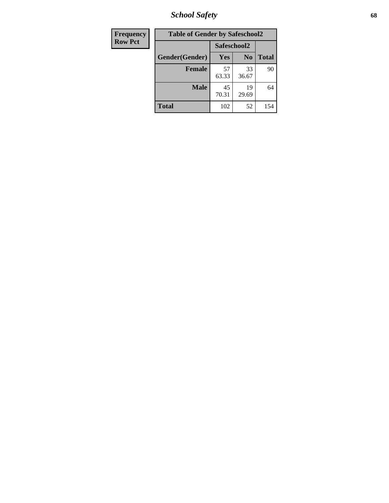*School Safety* **68**

| Frequency      | <b>Table of Gender by Safeschool2</b> |             |                |              |  |
|----------------|---------------------------------------|-------------|----------------|--------------|--|
| <b>Row Pct</b> |                                       | Safeschool2 |                |              |  |
|                | Gender(Gender)                        | Yes         | N <sub>0</sub> | <b>Total</b> |  |
|                | <b>Female</b>                         | 57<br>63.33 | 33<br>36.67    | 90           |  |
|                | Male                                  | 45<br>70.31 | 19<br>29.69    | 64           |  |
|                | <b>Total</b>                          | 102         | 52             | 154          |  |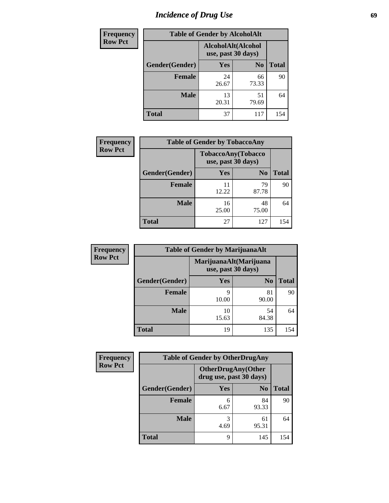# *Incidence of Drug Use* 69

| <b>Frequency</b> | <b>Table of Gender by AlcoholAlt</b> |                    |                    |              |  |
|------------------|--------------------------------------|--------------------|--------------------|--------------|--|
| <b>Row Pct</b>   |                                      | use, past 30 days) | AlcoholAlt(Alcohol |              |  |
|                  | Gender(Gender)                       | <b>Yes</b>         | N <sub>0</sub>     | <b>Total</b> |  |
|                  | <b>Female</b>                        | 24<br>26.67        | 66<br>73.33        | 90           |  |
|                  | <b>Male</b>                          | 13<br>20.31        | 51<br>79.69        | 64           |  |
|                  | <b>Total</b>                         | 37                 | 117                | 154          |  |

| <b>Frequency</b> | <b>Table of Gender by TobaccoAny</b> |                    |                    |              |  |
|------------------|--------------------------------------|--------------------|--------------------|--------------|--|
| <b>Row Pct</b>   |                                      | use, past 30 days) | TobaccoAny(Tobacco |              |  |
|                  | Gender(Gender)                       | Yes                | N <sub>0</sub>     | <b>Total</b> |  |
|                  | <b>Female</b>                        | 11<br>12.22        | 79<br>87.78        | 90           |  |
|                  | <b>Male</b>                          | 16<br>25.00        | 48<br>75.00        | 64           |  |
|                  | <b>Total</b>                         | 27                 | 127                | 154          |  |

| <b>Frequency</b> | <b>Table of Gender by MarijuanaAlt</b> |             |                                              |       |
|------------------|----------------------------------------|-------------|----------------------------------------------|-------|
| <b>Row Pct</b>   |                                        |             | MarijuanaAlt(Marijuana<br>use, past 30 days) |       |
|                  | Gender(Gender)                         | Yes         | N <sub>0</sub>                               | Total |
|                  | <b>Female</b>                          | 9<br>10.00  | 81<br>90.00                                  | 90    |
|                  | <b>Male</b>                            | 10<br>15.63 | 54<br>84.38                                  | 64    |
|                  | <b>Total</b>                           | 19          | 135                                          | 154   |

| <b>Frequency</b> | <b>Table of Gender by OtherDrugAny</b> |                         |                           |              |  |
|------------------|----------------------------------------|-------------------------|---------------------------|--------------|--|
| <b>Row Pct</b>   |                                        | drug use, past 30 days) | <b>OtherDrugAny(Other</b> |              |  |
|                  | Gender(Gender)                         | <b>Yes</b>              | N <sub>0</sub>            | <b>Total</b> |  |
|                  | <b>Female</b>                          | 6<br>6.67               | 84<br>93.33               | 90           |  |
|                  | <b>Male</b>                            | 3<br>4.69               | 61<br>95.31               | 64           |  |
|                  | <b>Total</b>                           | 9                       | 145                       | 154          |  |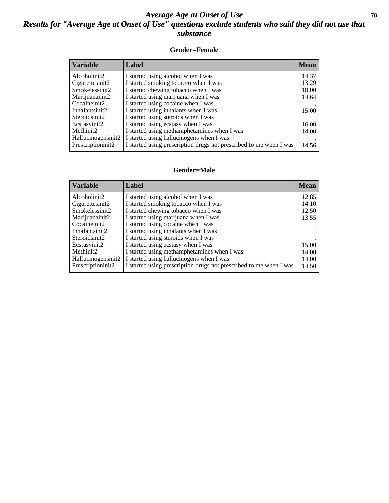### *Average Age at Onset of Use* 70 *Results for "Average Age at Onset of Use" questions exclude students who said they did not use that substance*

#### **Gender=Female**

| <b>Variable</b>    | <b>Label</b>                                                       | <b>Mean</b> |
|--------------------|--------------------------------------------------------------------|-------------|
| Alcoholinit2       | I started using alcohol when I was                                 | 14.37       |
| Cigarettesinit2    | I started smoking tobacco when I was                               | 13.29       |
| Smokelessinit2     | I started chewing tobacco when I was                               | 10.00       |
| Marijuanainit2     | I started using marijuana when I was                               | 14.64       |
| Cocaineinit2       | I started using cocaine when I was                                 |             |
| Inhalantsinit2     | I started using inhalants when I was                               | 15.00       |
| Steroidsinit2      | I started using steroids when I was                                |             |
| Ecstasyinit2       | I started using ecstasy when I was                                 | 16.00       |
| Methinit2          | I started using methamphetamines when I was                        | 14.00       |
| Hallucinogensinit2 | I started using hallucinogens when I was                           |             |
| Prescription in t2 | I started using prescription drugs not prescribed to me when I was | 14.56       |

#### **Gender=Male**

| <b>Variable</b>                                                                                                                        | Label                                                                                                                                                                                                                                                                                                                 | <b>Mean</b>                               |
|----------------------------------------------------------------------------------------------------------------------------------------|-----------------------------------------------------------------------------------------------------------------------------------------------------------------------------------------------------------------------------------------------------------------------------------------------------------------------|-------------------------------------------|
| Alcoholinit2<br>Cigarettesinit2<br>Smokelessinit2<br>Marijuanainit2<br>Cocaineinit2<br>Inhalantsinit2<br>Steroidsinit2<br>Ecstasyinit2 | I started using alcohol when I was<br>I started smoking tobacco when I was<br>I started chewing tobacco when I was<br>I started using marijuana when I was<br>I started using cocaine when I was<br>I started using inhalants when I was<br>I started using steroids when I was<br>I started using ecstasy when I was | 12.85<br>14.10<br>12.50<br>13.55<br>15.00 |
| Methinit2<br>Hallucinogensinit2<br>Prescriptioninit2                                                                                   | I started using methamphetamines when I was<br>I started using hallucinogens when I was<br>I started using prescription drugs not prescribed to me when I was                                                                                                                                                         | 14.00<br>14.00<br>14.50                   |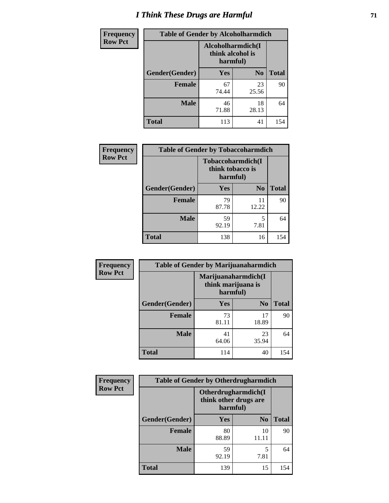# *I Think These Drugs are Harmful* **71**

| <b>Frequency</b> | <b>Table of Gender by Alcoholharmdich</b> |             |                                                   |              |
|------------------|-------------------------------------------|-------------|---------------------------------------------------|--------------|
| <b>Row Pct</b>   |                                           |             | Alcoholharmdich(I<br>think alcohol is<br>harmful) |              |
|                  | Gender(Gender)                            | Yes         | N <sub>0</sub>                                    | <b>Total</b> |
|                  | <b>Female</b>                             | 67<br>74.44 | 23<br>25.56                                       | 90           |
|                  | <b>Male</b>                               | 46<br>71.88 | 18<br>28.13                                       | 64           |
|                  | Total                                     | 113         | 41                                                | 154          |

| Frequency      | <b>Table of Gender by Tobaccoharmdich</b> |                  |                               |              |
|----------------|-------------------------------------------|------------------|-------------------------------|--------------|
| <b>Row Pct</b> |                                           | think tobacco is | Tobaccoharmdich(I<br>harmful) |              |
|                | Gender(Gender)                            | Yes              | N <sub>0</sub>                | <b>Total</b> |
|                | <b>Female</b>                             | 79<br>87.78      | 11<br>12.22                   | 90           |
|                | <b>Male</b>                               | 59<br>92.19      | 5<br>7.81                     | 64           |
|                | <b>Total</b>                              | 138              | 16                            | 154          |

| Frequency      | <b>Table of Gender by Marijuanaharmdich</b> |                                |                     |              |  |
|----------------|---------------------------------------------|--------------------------------|---------------------|--------------|--|
| <b>Row Pct</b> |                                             | think marijuana is<br>harmful) | Marijuanaharmdich(I |              |  |
|                | Gender(Gender)                              | <b>Yes</b>                     | N <sub>0</sub>      | <b>Total</b> |  |
|                | <b>Female</b>                               | 73<br>81.11                    | 17<br>18.89         | 90           |  |
|                | <b>Male</b>                                 | 41<br>64.06                    | 23<br>35.94         | 64           |  |
|                | <b>Total</b>                                | 114                            | 40                  | 154          |  |

| <b>Frequency</b> | <b>Table of Gender by Otherdrugharmdich</b> |                                                          |                |              |  |
|------------------|---------------------------------------------|----------------------------------------------------------|----------------|--------------|--|
| <b>Row Pct</b>   |                                             | Otherdrugharmdich(I<br>think other drugs are<br>harmful) |                |              |  |
|                  | Gender(Gender)                              | <b>Yes</b>                                               | N <sub>0</sub> | <b>Total</b> |  |
|                  | <b>Female</b>                               | 80<br>88.89                                              | 10<br>11.11    | 90           |  |
|                  | <b>Male</b>                                 | 59<br>92.19                                              | 5<br>7.81      | 64           |  |
|                  | <b>Total</b>                                | 139                                                      | 15             | 154          |  |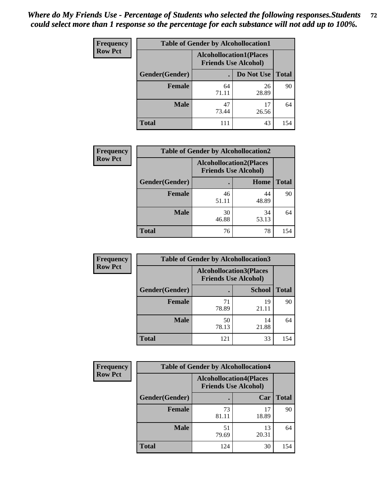| <b>Frequency</b> | <b>Table of Gender by Alcohollocation1</b> |                                                               |             |              |
|------------------|--------------------------------------------|---------------------------------------------------------------|-------------|--------------|
| <b>Row Pct</b>   |                                            | <b>Alcohollocation1(Places</b><br><b>Friends Use Alcohol)</b> |             |              |
|                  | <b>Gender</b> (Gender)                     |                                                               | Do Not Use  | <b>Total</b> |
|                  | <b>Female</b>                              | 64<br>71.11                                                   | 26<br>28.89 | 90           |
|                  | <b>Male</b>                                | 47<br>73.44                                                   | 17<br>26.56 | 64           |
|                  | <b>Total</b>                               | 111                                                           | 43          | 154          |

| <b>Frequency</b> | <b>Table of Gender by Alcohollocation2</b> |                                                               |             |              |
|------------------|--------------------------------------------|---------------------------------------------------------------|-------------|--------------|
| <b>Row Pct</b>   |                                            | <b>Alcohollocation2(Places</b><br><b>Friends Use Alcohol)</b> |             |              |
|                  | Gender(Gender)                             |                                                               | Home        | <b>Total</b> |
|                  | <b>Female</b>                              | 46<br>51.11                                                   | 44<br>48.89 | 90           |
|                  | <b>Male</b>                                | 30<br>46.88                                                   | 34<br>53.13 | 64           |
|                  | <b>Total</b>                               | 76                                                            | 78          | 154          |

| Frequency      | <b>Table of Gender by Alcohollocation3</b> |                                                               |               |              |
|----------------|--------------------------------------------|---------------------------------------------------------------|---------------|--------------|
| <b>Row Pct</b> |                                            | <b>Alcohollocation3(Places</b><br><b>Friends Use Alcohol)</b> |               |              |
|                | Gender(Gender)                             |                                                               | <b>School</b> | <b>Total</b> |
|                | <b>Female</b>                              | 71<br>78.89                                                   | 19<br>21.11   | 90           |
|                | <b>Male</b>                                | 50<br>78.13                                                   | 14<br>21.88   | 64           |
|                | <b>Total</b>                               | 121                                                           | 33            | 154          |

| <b>Frequency</b> | <b>Table of Gender by Alcohollocation4</b> |                                |                             |              |
|------------------|--------------------------------------------|--------------------------------|-----------------------------|--------------|
| <b>Row Pct</b>   |                                            | <b>Alcohollocation4(Places</b> | <b>Friends Use Alcohol)</b> |              |
|                  | Gender(Gender)                             |                                | Car                         | <b>Total</b> |
|                  | <b>Female</b>                              | 73<br>81.11                    | 17<br>18.89                 | 90           |
|                  | <b>Male</b>                                | 51<br>79.69                    | 13<br>20.31                 | 64           |
|                  | <b>Total</b>                               | 124                            | 30                          | 154          |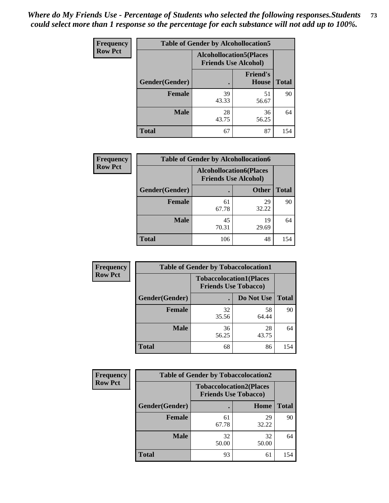| <b>Frequency</b> | <b>Table of Gender by Alcohollocation5</b> |                                                               |                                 |              |
|------------------|--------------------------------------------|---------------------------------------------------------------|---------------------------------|--------------|
| <b>Row Pct</b>   |                                            | <b>Alcohollocation5(Places</b><br><b>Friends Use Alcohol)</b> |                                 |              |
|                  | Gender(Gender)                             |                                                               | <b>Friend's</b><br><b>House</b> | <b>Total</b> |
|                  | <b>Female</b>                              | 39<br>43.33                                                   | 51<br>56.67                     | 90           |
|                  | <b>Male</b>                                | 28<br>43.75                                                   | 36<br>56.25                     | 64           |
|                  | <b>Total</b>                               | 67                                                            | 87                              | 154          |

| Frequency      | <b>Table of Gender by Alcohollocation6</b> |                                                               |              |              |  |
|----------------|--------------------------------------------|---------------------------------------------------------------|--------------|--------------|--|
| <b>Row Pct</b> |                                            | <b>Alcohollocation6(Places</b><br><b>Friends Use Alcohol)</b> |              |              |  |
|                | Gender(Gender)                             |                                                               | <b>Other</b> | <b>Total</b> |  |
|                | <b>Female</b>                              | 61<br>67.78                                                   | 29<br>32.22  | 90           |  |
|                | <b>Male</b>                                | 45<br>70.31                                                   | 19<br>29.69  | 64           |  |
|                | <b>Total</b>                               | 106                                                           | 48           | 154          |  |

| Frequency      | <b>Table of Gender by Tobaccolocation1</b> |                                                               |             |              |  |
|----------------|--------------------------------------------|---------------------------------------------------------------|-------------|--------------|--|
| <b>Row Pct</b> |                                            | <b>Tobaccolocation1(Places</b><br><b>Friends Use Tobacco)</b> |             |              |  |
|                | Gender(Gender)                             |                                                               | Do Not Use  | <b>Total</b> |  |
|                | <b>Female</b>                              | 32<br>35.56                                                   | 58<br>64.44 | 90           |  |
|                | <b>Male</b>                                | 36<br>56.25                                                   | 28<br>43.75 | 64           |  |
|                | <b>Total</b>                               | 68                                                            | 86          | 154          |  |

| Frequency      |                | <b>Table of Gender by Tobaccolocation2</b> |                                |              |
|----------------|----------------|--------------------------------------------|--------------------------------|--------------|
| <b>Row Pct</b> |                | <b>Friends Use Tobacco)</b>                | <b>Tobaccolocation2(Places</b> |              |
|                | Gender(Gender) |                                            | <b>Home</b>                    | <b>Total</b> |
|                | Female         | 61<br>67.78                                | 29<br>32.22                    | 90           |
|                | <b>Male</b>    | 32<br>50.00                                | 32<br>50.00                    | 64           |
|                | <b>Total</b>   | 93                                         | 61                             | 154          |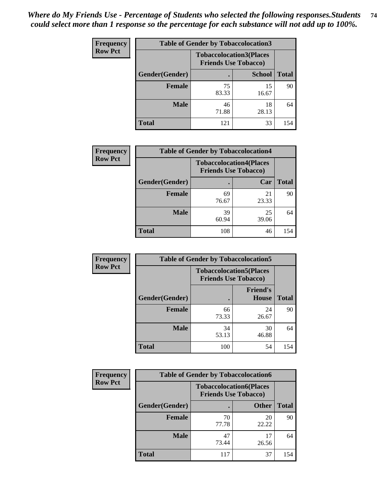| <b>Frequency</b> | <b>Table of Gender by Tobaccolocation3</b> |                                                               |               |              |  |
|------------------|--------------------------------------------|---------------------------------------------------------------|---------------|--------------|--|
| <b>Row Pct</b>   |                                            | <b>Tobaccolocation3(Places</b><br><b>Friends Use Tobacco)</b> |               |              |  |
|                  | Gender(Gender)                             |                                                               | <b>School</b> | <b>Total</b> |  |
|                  | <b>Female</b>                              | 75<br>83.33                                                   | 15<br>16.67   | 90           |  |
|                  | <b>Male</b>                                | 46<br>71.88                                                   | 18<br>28.13   | 64           |  |
|                  | <b>Total</b>                               | 121                                                           | 33            | 154          |  |

| <b>Frequency</b> | <b>Table of Gender by Tobaccolocation4</b> |                                                               |             |              |  |
|------------------|--------------------------------------------|---------------------------------------------------------------|-------------|--------------|--|
| <b>Row Pct</b>   |                                            | <b>Tobaccolocation4(Places</b><br><b>Friends Use Tobacco)</b> |             |              |  |
|                  | Gender(Gender)                             |                                                               | Car         | <b>Total</b> |  |
|                  | <b>Female</b>                              | 69<br>76.67                                                   | 21<br>23.33 | 90           |  |
|                  | <b>Male</b>                                | 39<br>60.94                                                   | 25<br>39.06 | 64           |  |
|                  | <b>Total</b>                               | 108                                                           | 46          | 154          |  |

| <b>Frequency</b> | <b>Table of Gender by Tobaccolocation5</b> |                                                               |                                 |              |  |
|------------------|--------------------------------------------|---------------------------------------------------------------|---------------------------------|--------------|--|
| <b>Row Pct</b>   |                                            | <b>Tobaccolocation5(Places</b><br><b>Friends Use Tobacco)</b> |                                 |              |  |
|                  | Gender(Gender)                             |                                                               | <b>Friend's</b><br><b>House</b> | <b>Total</b> |  |
|                  | Female                                     | 66<br>73.33                                                   | 24<br>26.67                     | 90           |  |
|                  | <b>Male</b>                                | 34<br>53.13                                                   | 30<br>46.88                     | 64           |  |
|                  | <b>Total</b>                               | 100                                                           | 54                              | 154          |  |

| <b>Frequency</b> | <b>Table of Gender by Tobaccolocation6</b> |                             |                                |              |
|------------------|--------------------------------------------|-----------------------------|--------------------------------|--------------|
| <b>Row Pct</b>   |                                            | <b>Friends Use Tobacco)</b> | <b>Tobaccolocation6(Places</b> |              |
|                  | Gender(Gender)                             |                             | <b>Other</b>                   | <b>Total</b> |
|                  | Female                                     | 70<br>77.78                 | 20<br>22.22                    | 90           |
|                  | <b>Male</b>                                | 47<br>73.44                 | 17<br>26.56                    | 64           |
|                  | <b>Total</b>                               | 117                         | 37                             | 154          |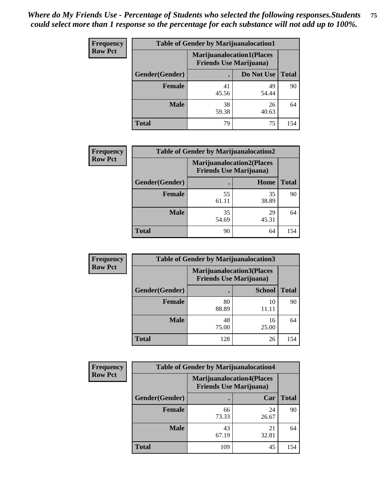| <b>Frequency</b> | <b>Table of Gender by Marijuanalocation1</b> |                                                                    |             |              |
|------------------|----------------------------------------------|--------------------------------------------------------------------|-------------|--------------|
| <b>Row Pct</b>   |                                              | <b>Marijuanalocation1(Places</b><br><b>Friends Use Marijuana</b> ) |             |              |
|                  | <b>Gender</b> (Gender)                       |                                                                    | Do Not Use  | <b>Total</b> |
|                  | <b>Female</b>                                | 41<br>45.56                                                        | 49<br>54.44 | 90           |
|                  | <b>Male</b>                                  | 38<br>59.38                                                        | 26<br>40.63 | 64           |
|                  | <b>Total</b>                                 | 79                                                                 | 75          | 154          |

| <b>Frequency</b> | <b>Table of Gender by Marijuanalocation2</b> |                                                                    |             |              |  |
|------------------|----------------------------------------------|--------------------------------------------------------------------|-------------|--------------|--|
| <b>Row Pct</b>   |                                              | <b>Marijuanalocation2(Places</b><br><b>Friends Use Marijuana</b> ) |             |              |  |
|                  | Gender(Gender)                               |                                                                    | Home        | <b>Total</b> |  |
|                  | <b>Female</b>                                | 55<br>61.11                                                        | 35<br>38.89 | 90           |  |
|                  | <b>Male</b>                                  | 35<br>54.69                                                        | 29<br>45.31 | 64           |  |
|                  | <b>Total</b>                                 | 90                                                                 | 64          | 154          |  |

| Frequency      | <b>Table of Gender by Marijuanalocation3</b> |                                                                    |               |              |
|----------------|----------------------------------------------|--------------------------------------------------------------------|---------------|--------------|
| <b>Row Pct</b> |                                              | <b>Marijuanalocation3(Places</b><br><b>Friends Use Marijuana</b> ) |               |              |
|                | Gender(Gender)                               |                                                                    | <b>School</b> | <b>Total</b> |
|                | Female                                       | 80<br>88.89                                                        | 10<br>11.11   | 90           |
|                | <b>Male</b>                                  | 48<br>75.00                                                        | 16<br>25.00   | 64           |
|                | <b>Total</b>                                 | 128                                                                | 26            | 154          |

| <b>Frequency</b> |                | <b>Table of Gender by Marijuanalocation4</b>                       |             |              |
|------------------|----------------|--------------------------------------------------------------------|-------------|--------------|
| <b>Row Pct</b>   |                | <b>Marijuanalocation4(Places</b><br><b>Friends Use Marijuana</b> ) |             |              |
|                  | Gender(Gender) |                                                                    | Car         | <b>Total</b> |
|                  | <b>Female</b>  | 66<br>73.33                                                        | 24<br>26.67 | 90           |
|                  | <b>Male</b>    | 43<br>67.19                                                        | 21<br>32.81 | 64           |
|                  | <b>Total</b>   | 109                                                                | 45          | 154          |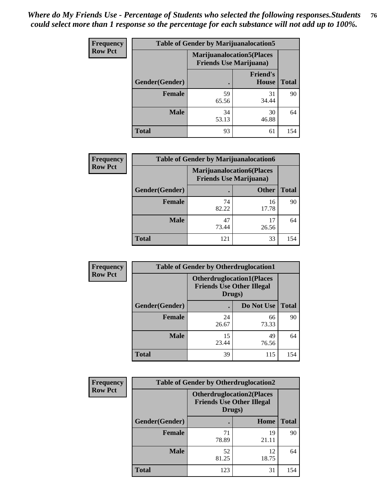| Frequency      | <b>Table of Gender by Marijuanalocation5</b> |                                                                    |                          |              |
|----------------|----------------------------------------------|--------------------------------------------------------------------|--------------------------|--------------|
| <b>Row Pct</b> |                                              | <b>Marijuanalocation5(Places</b><br><b>Friends Use Marijuana</b> ) |                          |              |
|                | Gender(Gender)                               |                                                                    | <b>Friend's</b><br>House | <b>Total</b> |
|                | <b>Female</b>                                | 59<br>65.56                                                        | 31<br>34.44              | 90           |
|                | <b>Male</b>                                  | 34<br>53.13                                                        | 30<br>46.88              | 64           |
|                | <b>Total</b>                                 | 93                                                                 | 61                       | 154          |

| <b>Frequency</b> |                | <b>Table of Gender by Marijuanalocation6</b> |                                                                    |              |
|------------------|----------------|----------------------------------------------|--------------------------------------------------------------------|--------------|
| <b>Row Pct</b>   |                |                                              | <b>Marijuanalocation6(Places</b><br><b>Friends Use Marijuana</b> ) |              |
|                  | Gender(Gender) |                                              | <b>Other</b>                                                       | <b>Total</b> |
|                  | <b>Female</b>  | 74<br>82.22                                  | 16<br>17.78                                                        | 90           |
|                  | <b>Male</b>    | 47<br>73.44                                  | 17<br>26.56                                                        | 64           |
|                  | <b>Total</b>   | 121                                          | 33                                                                 | 154          |

| Frequency      | <b>Table of Gender by Otherdruglocation1</b> |                                                                                |             |              |
|----------------|----------------------------------------------|--------------------------------------------------------------------------------|-------------|--------------|
| <b>Row Pct</b> |                                              | <b>Otherdruglocation1(Places</b><br><b>Friends Use Other Illegal</b><br>Drugs) |             |              |
|                | Gender(Gender)                               |                                                                                | Do Not Use  | <b>Total</b> |
|                | <b>Female</b>                                | 24<br>26.67                                                                    | 66<br>73.33 | 90           |
|                | <b>Male</b>                                  | 15<br>23.44                                                                    | 49<br>76.56 | 64           |
|                | <b>Total</b>                                 | 39                                                                             | 115         | 154          |

| Frequency      | <b>Table of Gender by Otherdruglocation2</b> |                                                                                |             |              |
|----------------|----------------------------------------------|--------------------------------------------------------------------------------|-------------|--------------|
| <b>Row Pct</b> |                                              | <b>Otherdruglocation2(Places</b><br><b>Friends Use Other Illegal</b><br>Drugs) |             |              |
|                | Gender(Gender)                               |                                                                                | Home        | <b>Total</b> |
|                | Female                                       | 71<br>78.89                                                                    | 19<br>21.11 | 90           |
|                | <b>Male</b>                                  | 52<br>81.25                                                                    | 12<br>18.75 | 64           |
|                | <b>Total</b>                                 | 123                                                                            | 31          | 154          |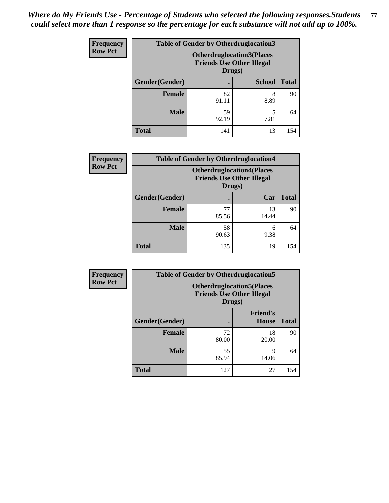| Frequency      | <b>Table of Gender by Otherdruglocation3</b> |                                                                                |               |              |
|----------------|----------------------------------------------|--------------------------------------------------------------------------------|---------------|--------------|
| <b>Row Pct</b> |                                              | <b>Otherdruglocation3(Places</b><br><b>Friends Use Other Illegal</b><br>Drugs) |               |              |
|                | Gender(Gender)                               |                                                                                | <b>School</b> | <b>Total</b> |
|                | <b>Female</b>                                | 82<br>91.11                                                                    | 8<br>8.89     | 90           |
|                | <b>Male</b>                                  | 59<br>92.19                                                                    | 5<br>7.81     | 64           |
|                | <b>Total</b>                                 | 141                                                                            | 13            | 154          |

| <b>Frequency</b> | <b>Table of Gender by Otherdruglocation4</b> |             |                                                                      |              |
|------------------|----------------------------------------------|-------------|----------------------------------------------------------------------|--------------|
| <b>Row Pct</b>   |                                              | Drugs)      | <b>Otherdruglocation4(Places</b><br><b>Friends Use Other Illegal</b> |              |
|                  | Gender(Gender)                               |             | Car                                                                  | <b>Total</b> |
|                  | <b>Female</b>                                | 77<br>85.56 | 13<br>14.44                                                          | 90           |
|                  | <b>Male</b>                                  | 58<br>90.63 | 6<br>9.38                                                            | 64           |
|                  | <b>Total</b>                                 | 135         | 19                                                                   | 154          |

| Frequency      | <b>Table of Gender by Otherdruglocation5</b> |                                                                                |                                 |              |
|----------------|----------------------------------------------|--------------------------------------------------------------------------------|---------------------------------|--------------|
| <b>Row Pct</b> |                                              | <b>Otherdruglocation5(Places</b><br><b>Friends Use Other Illegal</b><br>Drugs) |                                 |              |
|                | Gender(Gender)                               |                                                                                | <b>Friend's</b><br><b>House</b> | <b>Total</b> |
|                | <b>Female</b>                                | 72<br>80.00                                                                    | 18<br>20.00                     | 90           |
|                | <b>Male</b>                                  | 55<br>85.94                                                                    | 9<br>14.06                      | 64           |
|                | <b>Total</b>                                 | 127                                                                            | 27                              | 154          |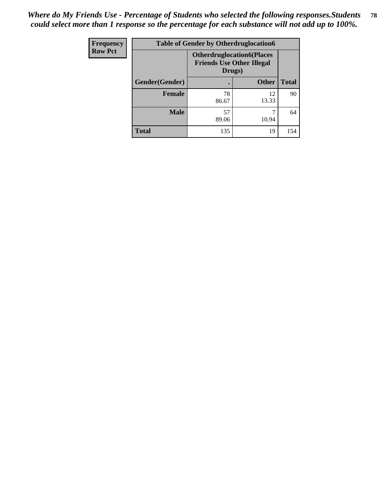| <b>Frequency</b> | <b>Table of Gender by Otherdruglocation6</b> |                                                                                |              |              |
|------------------|----------------------------------------------|--------------------------------------------------------------------------------|--------------|--------------|
| <b>Row Pct</b>   |                                              | <b>Otherdruglocation6(Places</b><br><b>Friends Use Other Illegal</b><br>Drugs) |              |              |
|                  | Gender(Gender)                               |                                                                                | <b>Other</b> | <b>Total</b> |
|                  | Female                                       | 78<br>86.67                                                                    | 12<br>13.33  | 90           |
|                  | <b>Male</b>                                  | 57<br>89.06                                                                    | 10.94        | 64           |
|                  | <b>Total</b>                                 | 135                                                                            | 19           | 154          |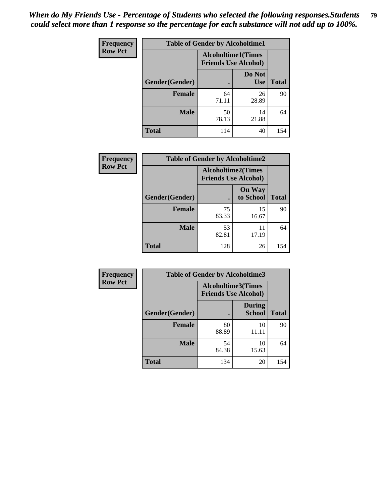| <b>Frequency</b> | <b>Table of Gender by Alcoholtime1</b> |                                                          |                      |              |
|------------------|----------------------------------------|----------------------------------------------------------|----------------------|--------------|
| <b>Row Pct</b>   |                                        | <b>Alcoholtime1(Times</b><br><b>Friends Use Alcohol)</b> |                      |              |
|                  | Gender(Gender)                         | $\bullet$                                                | Do Not<br><b>Use</b> | <b>Total</b> |
|                  | <b>Female</b>                          | 64<br>71.11                                              | 26<br>28.89          | 90           |
|                  | <b>Male</b>                            | 50<br>78.13                                              | 14<br>21.88          | 64           |
|                  | <b>Total</b>                           | 114                                                      | 40                   | 154          |

| Frequency      | <b>Table of Gender by Alcoholtime2</b> |                                                          |                            |              |
|----------------|----------------------------------------|----------------------------------------------------------|----------------------------|--------------|
| <b>Row Pct</b> |                                        | <b>Alcoholtime2(Times</b><br><b>Friends Use Alcohol)</b> |                            |              |
|                | Gender(Gender)                         |                                                          | <b>On Way</b><br>to School | <b>Total</b> |
|                | <b>Female</b>                          | 75<br>83.33                                              | 15<br>16.67                | 90           |
|                | <b>Male</b>                            | 53<br>82.81                                              | 11<br>17.19                | 64           |
|                | <b>Total</b>                           | 128                                                      | 26                         | 154          |

| Frequency      | <b>Table of Gender by Alcoholtime3</b> |                                                   |                                |              |
|----------------|----------------------------------------|---------------------------------------------------|--------------------------------|--------------|
| <b>Row Pct</b> |                                        | Alcoholtime3(Times<br><b>Friends Use Alcohol)</b> |                                |              |
|                | Gender(Gender)                         |                                                   | <b>During</b><br><b>School</b> | <b>Total</b> |
|                | Female                                 | 80<br>88.89                                       | 10<br>11.11                    | 90           |
|                | <b>Male</b>                            | 54<br>84.38                                       | 10<br>15.63                    | 64           |
|                | <b>Total</b>                           | 134                                               | 20                             | 154          |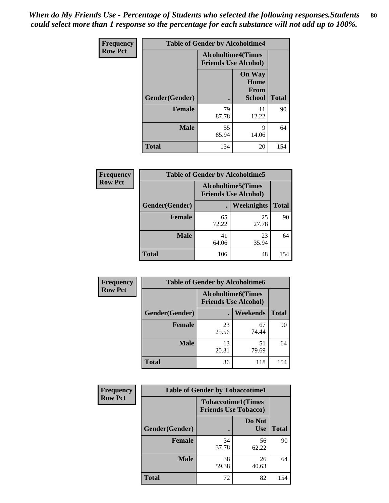*When do My Friends Use - Percentage of Students who selected the following responses.Students could select more than 1 response so the percentage for each substance will not add up to 100%.* **80**

| <b>Frequency</b> | <b>Table of Gender by Alcoholtime4</b> |                                                          |                                                |              |
|------------------|----------------------------------------|----------------------------------------------------------|------------------------------------------------|--------------|
| <b>Row Pct</b>   |                                        | <b>Alcoholtime4(Times</b><br><b>Friends Use Alcohol)</b> |                                                |              |
|                  | Gender(Gender)                         |                                                          | <b>On Way</b><br>Home<br>From<br><b>School</b> | <b>Total</b> |
|                  | <b>Female</b>                          | 79<br>87.78                                              | 11<br>12.22                                    | 90           |
|                  | <b>Male</b>                            | 55<br>85.94                                              | 9<br>14.06                                     | 64           |
|                  | <b>Total</b>                           | 134                                                      | 20                                             | 154          |

| <b>Frequency</b> | <b>Table of Gender by Alcoholtime5</b> |                                                          |             |              |
|------------------|----------------------------------------|----------------------------------------------------------|-------------|--------------|
| <b>Row Pct</b>   |                                        | <b>Alcoholtime5(Times</b><br><b>Friends Use Alcohol)</b> |             |              |
|                  | Gender(Gender)                         |                                                          | Weeknights  | <b>Total</b> |
|                  | <b>Female</b>                          | 65<br>72.22                                              | 25<br>27.78 | 90           |
|                  | <b>Male</b>                            | 41<br>64.06                                              | 23<br>35.94 | 64           |
|                  | <b>Total</b>                           | 106                                                      | 48          | 154          |

| <b>Frequency</b> | <b>Table of Gender by Alcoholtime6</b> |             |                                                           |              |
|------------------|----------------------------------------|-------------|-----------------------------------------------------------|--------------|
| <b>Row Pct</b>   |                                        |             | <b>Alcoholtime6</b> (Times<br><b>Friends Use Alcohol)</b> |              |
|                  | Gender(Gender)                         |             | Weekends                                                  | <b>Total</b> |
|                  | Female                                 | 23<br>25.56 | 67<br>74.44                                               | 90           |
|                  | <b>Male</b>                            | 13<br>20.31 | 51<br>79.69                                               | 64           |
|                  | <b>Total</b>                           | 36          | 118                                                       | 154          |

| <b>Frequency</b> | <b>Table of Gender by Tobaccotime1</b> |                                                          |                      |              |
|------------------|----------------------------------------|----------------------------------------------------------|----------------------|--------------|
| <b>Row Pct</b>   |                                        | <b>Tobaccotime1(Times</b><br><b>Friends Use Tobacco)</b> |                      |              |
|                  | Gender(Gender)                         |                                                          | Do Not<br><b>Use</b> | <b>Total</b> |
|                  | <b>Female</b>                          | 34<br>37.78                                              | 56<br>62.22          | 90           |
|                  | <b>Male</b>                            | 38<br>59.38                                              | 26<br>40.63          | 64           |
|                  | <b>Total</b>                           | 72                                                       | 82                   | 154          |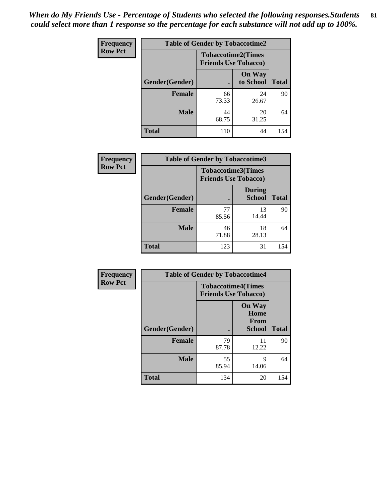*When do My Friends Use - Percentage of Students who selected the following responses.Students could select more than 1 response so the percentage for each substance will not add up to 100%.* **81**

| Frequency      | <b>Table of Gender by Tobaccotime2</b> |                                                          |                            |              |
|----------------|----------------------------------------|----------------------------------------------------------|----------------------------|--------------|
| <b>Row Pct</b> |                                        | <b>Tobaccotime2(Times</b><br><b>Friends Use Tobacco)</b> |                            |              |
|                | Gender(Gender)                         | $\bullet$                                                | <b>On Way</b><br>to School | <b>Total</b> |
|                | <b>Female</b>                          | 66<br>73.33                                              | 24<br>26.67                | 90           |
|                | <b>Male</b>                            | 44<br>68.75                                              | 20<br>31.25                | 64           |
|                | <b>Total</b>                           | 110                                                      | 44                         | 154          |

| Frequency      | <b>Table of Gender by Tobaccotime3</b> |                                                          |                                |              |
|----------------|----------------------------------------|----------------------------------------------------------|--------------------------------|--------------|
| <b>Row Pct</b> |                                        | <b>Tobaccotime3(Times</b><br><b>Friends Use Tobacco)</b> |                                |              |
|                | Gender(Gender)                         |                                                          | <b>During</b><br><b>School</b> | <b>Total</b> |
|                | <b>Female</b>                          | 77<br>85.56                                              | 13<br>14.44                    | 90           |
|                | <b>Male</b>                            | 46<br>71.88                                              | 18<br>28.13                    | 64           |
|                | <b>Total</b>                           | 123                                                      | 31                             | 154          |

| <b>Frequency</b> | <b>Table of Gender by Tobaccotime4</b> |                                                          |                                                |              |
|------------------|----------------------------------------|----------------------------------------------------------|------------------------------------------------|--------------|
| <b>Row Pct</b>   |                                        | <b>Tobaccotime4(Times</b><br><b>Friends Use Tobacco)</b> |                                                |              |
|                  |                                        |                                                          | <b>On Way</b><br>Home<br><b>From</b><br>School | <b>Total</b> |
|                  | Gender(Gender)                         |                                                          |                                                |              |
|                  | <b>Female</b>                          | 79<br>87.78                                              | 11<br>12.22                                    | 90           |
|                  | <b>Male</b>                            | 55<br>85.94                                              | 9<br>14.06                                     | 64           |
|                  | <b>Total</b>                           | 134                                                      | 20                                             | 154          |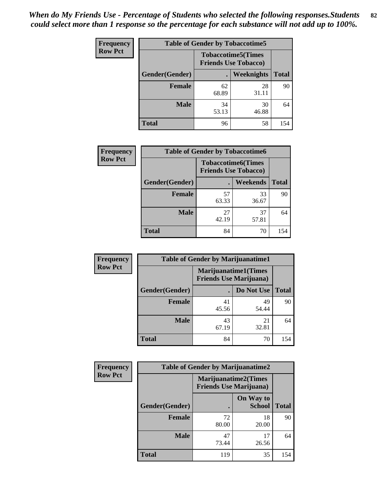| <b>Frequency</b> | <b>Table of Gender by Tobaccotime5</b> |                                                           |                   |              |  |
|------------------|----------------------------------------|-----------------------------------------------------------|-------------------|--------------|--|
| <b>Row Pct</b>   |                                        | <b>Tobaccotime5</b> (Times<br><b>Friends Use Tobacco)</b> |                   |              |  |
|                  | <b>Gender</b> (Gender)                 |                                                           | <b>Weeknights</b> | <b>Total</b> |  |
|                  | <b>Female</b>                          | 62<br>68.89                                               | 28<br>31.11       | 90           |  |
|                  | <b>Male</b>                            | 34<br>53.13                                               | 30<br>46.88       | 64           |  |
|                  | Total                                  | 96                                                        | 58                | 154          |  |

| <b>Frequency</b> | <b>Table of Gender by Tobaccotime6</b> |                                                          |             |              |
|------------------|----------------------------------------|----------------------------------------------------------|-------------|--------------|
| <b>Row Pct</b>   |                                        | <b>Tobaccotime6(Times</b><br><b>Friends Use Tobacco)</b> |             |              |
|                  | Gender(Gender)                         |                                                          | Weekends    | <b>Total</b> |
|                  | Female                                 | 57<br>63.33                                              | 33<br>36.67 | 90           |
|                  | <b>Male</b>                            | 27<br>42.19                                              | 37<br>57.81 | 64           |
|                  | <b>Total</b>                           | 84                                                       | 70          | 154          |

| <b>Frequency</b> | <b>Table of Gender by Marijuanatime1</b> |                                                               |             |              |
|------------------|------------------------------------------|---------------------------------------------------------------|-------------|--------------|
| <b>Row Pct</b>   |                                          | <b>Marijuanatime1(Times</b><br><b>Friends Use Marijuana</b> ) |             |              |
|                  | Gender(Gender)                           |                                                               | Do Not Use  | <b>Total</b> |
|                  | <b>Female</b>                            | 41<br>45.56                                                   | 49<br>54.44 | 90           |
|                  | <b>Male</b>                              | 43<br>67.19                                                   | 21<br>32.81 | 64           |
|                  | <b>Total</b>                             | 84                                                            | 70          | 154          |

| <b>Frequency</b> | <b>Table of Gender by Marijuanatime2</b> |                                                               |                            |              |
|------------------|------------------------------------------|---------------------------------------------------------------|----------------------------|--------------|
| <b>Row Pct</b>   |                                          | <b>Marijuanatime2(Times</b><br><b>Friends Use Marijuana</b> ) |                            |              |
|                  | Gender(Gender)                           |                                                               | On Way to<br><b>School</b> | <b>Total</b> |
|                  | <b>Female</b>                            | 72<br>80.00                                                   | 18<br>20.00                | 90           |
|                  | <b>Male</b>                              | 47<br>73.44                                                   | 17<br>26.56                | 64           |
|                  | <b>Total</b>                             | 119                                                           | 35                         | 154          |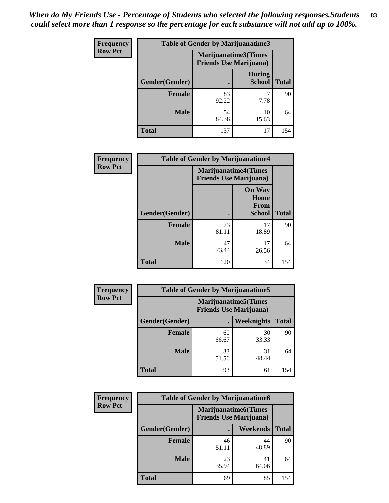*When do My Friends Use - Percentage of Students who selected the following responses.Students could select more than 1 response so the percentage for each substance will not add up to 100%.* **83**

| <b>Frequency</b> | <b>Table of Gender by Marijuanatime3</b> |                                                        |                                |              |
|------------------|------------------------------------------|--------------------------------------------------------|--------------------------------|--------------|
| <b>Row Pct</b>   |                                          | Marijuanatime3(Times<br><b>Friends Use Marijuana</b> ) |                                |              |
|                  | Gender(Gender)                           |                                                        | <b>During</b><br><b>School</b> | <b>Total</b> |
|                  | <b>Female</b>                            | 83<br>92.22                                            | 7.78                           | 90           |
|                  | <b>Male</b>                              | 54<br>84.38                                            | 10<br>15.63                    | 64           |
|                  | <b>Total</b>                             | 137                                                    | 17                             | 154          |

| Frequency      | <b>Table of Gender by Marijuanatime4</b> |                                                               |                                                       |              |
|----------------|------------------------------------------|---------------------------------------------------------------|-------------------------------------------------------|--------------|
| <b>Row Pct</b> |                                          | <b>Marijuanatime4(Times</b><br><b>Friends Use Marijuana</b> ) |                                                       |              |
|                | Gender(Gender)                           |                                                               | <b>On Way</b><br>Home<br><b>From</b><br><b>School</b> | <b>Total</b> |
|                | <b>Female</b>                            | 73<br>81.11                                                   | 17<br>18.89                                           | 90           |
|                | <b>Male</b>                              | 47<br>73.44                                                   | 17<br>26.56                                           | 64           |
|                | <b>Total</b>                             | 120                                                           | 34                                                    | 154          |

| Frequency      |                | <b>Table of Gender by Marijuanatime5</b>                       |             |              |
|----------------|----------------|----------------------------------------------------------------|-------------|--------------|
| <b>Row Pct</b> |                | <b>Marijuanatime5</b> (Times<br><b>Friends Use Marijuana</b> ) |             |              |
|                | Gender(Gender) | $\blacksquare$                                                 | Weeknights  | <b>Total</b> |
|                | <b>Female</b>  | 60<br>66.67                                                    | 30<br>33.33 | 90           |
|                | <b>Male</b>    | 33<br>51.56                                                    | 31<br>48.44 | 64           |
|                | <b>Total</b>   | 93                                                             | 61          | 154          |

| <b>Frequency</b> | <b>Table of Gender by Marijuanatime6</b> |                                                               |             |              |  |
|------------------|------------------------------------------|---------------------------------------------------------------|-------------|--------------|--|
| <b>Row Pct</b>   |                                          | <b>Marijuanatime6(Times</b><br><b>Friends Use Marijuana</b> ) |             |              |  |
|                  | Gender(Gender)                           |                                                               | Weekends    | <b>Total</b> |  |
|                  | Female                                   | 46<br>51.11                                                   | 44<br>48.89 | 90           |  |
|                  | <b>Male</b>                              | 23<br>35.94                                                   | 41<br>64.06 | 64           |  |
|                  | <b>Total</b>                             | 69                                                            | 85          | 154          |  |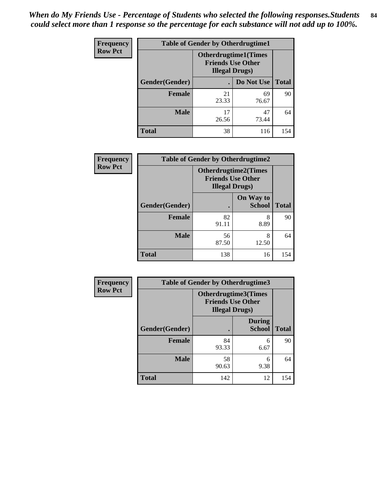*When do My Friends Use - Percentage of Students who selected the following responses.Students could select more than 1 response so the percentage for each substance will not add up to 100%.* **84**

| <b>Frequency</b> | <b>Table of Gender by Otherdrugtime1</b> |                                                                                    |             |              |  |
|------------------|------------------------------------------|------------------------------------------------------------------------------------|-------------|--------------|--|
| <b>Row Pct</b>   |                                          | <b>Otherdrugtime1</b> (Times<br><b>Friends Use Other</b><br><b>Illegal Drugs</b> ) |             |              |  |
|                  | Gender(Gender)                           |                                                                                    | Do Not Use  | <b>Total</b> |  |
|                  | <b>Female</b>                            | 21<br>23.33                                                                        | 69<br>76.67 | 90           |  |
|                  | <b>Male</b>                              | 17<br>26.56                                                                        | 47<br>73.44 | 64           |  |
|                  | <b>Total</b>                             | 38                                                                                 | 116         | 154          |  |

| Frequency      | <b>Table of Gender by Otherdrugtime2</b> |                                                                                   |                            |              |  |  |
|----------------|------------------------------------------|-----------------------------------------------------------------------------------|----------------------------|--------------|--|--|
| <b>Row Pct</b> |                                          | <b>Otherdrugtime2(Times</b><br><b>Friends Use Other</b><br><b>Illegal Drugs</b> ) |                            |              |  |  |
|                | Gender(Gender)                           |                                                                                   | On Way to<br><b>School</b> | <b>Total</b> |  |  |
|                | <b>Female</b>                            | 82<br>91.11                                                                       | 8<br>8.89                  | 90           |  |  |
|                | <b>Male</b>                              | 56<br>87.50                                                                       | 8<br>12.50                 | 64           |  |  |
|                | <b>Total</b>                             | 138                                                                               | 16                         | 154          |  |  |

| Frequency      | <b>Table of Gender by Otherdrugtime3</b> |             |                                                                                   |              |  |
|----------------|------------------------------------------|-------------|-----------------------------------------------------------------------------------|--------------|--|
| <b>Row Pct</b> |                                          |             | <b>Otherdrugtime3(Times</b><br><b>Friends Use Other</b><br><b>Illegal Drugs</b> ) |              |  |
|                | Gender(Gender)                           |             | <b>During</b><br><b>School</b>                                                    | <b>Total</b> |  |
|                | <b>Female</b>                            | 84<br>93.33 | 6<br>6.67                                                                         | 90           |  |
|                | <b>Male</b>                              | 58<br>90.63 | 6<br>9.38                                                                         | 64           |  |
|                | <b>Total</b>                             | 142         | 12                                                                                | 154          |  |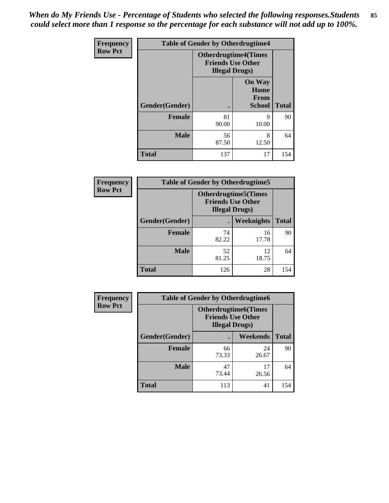*When do My Friends Use - Percentage of Students who selected the following responses.Students could select more than 1 response so the percentage for each substance will not add up to 100%.* **85**

| Frequency      | <b>Table of Gender by Otherdrugtime4</b> |                                                    |                                                |              |  |
|----------------|------------------------------------------|----------------------------------------------------|------------------------------------------------|--------------|--|
| <b>Row Pct</b> |                                          | <b>Friends Use Other</b><br><b>Illegal Drugs</b> ) | <b>Otherdrugtime4(Times</b>                    |              |  |
|                | Gender(Gender)                           |                                                    | <b>On Way</b><br>Home<br>From<br><b>School</b> | <b>Total</b> |  |
|                | <b>Female</b>                            | 81<br>90.00                                        | 9<br>10.00                                     | 90           |  |
|                | <b>Male</b>                              | 56<br>87.50                                        | 8<br>12.50                                     | 64           |  |
|                | <b>Total</b>                             | 137                                                | 17                                             | 154          |  |

| <b>Frequency</b> | <b>Table of Gender by Otherdrugtime5</b> |                                                                                    |                   |              |  |
|------------------|------------------------------------------|------------------------------------------------------------------------------------|-------------------|--------------|--|
| <b>Row Pct</b>   |                                          | <b>Otherdrugtime5</b> (Times<br><b>Friends Use Other</b><br><b>Illegal Drugs</b> ) |                   |              |  |
|                  | Gender(Gender)                           | $\bullet$                                                                          | <b>Weeknights</b> | <b>Total</b> |  |
|                  | <b>Female</b>                            | 74<br>82.22                                                                        | 16<br>17.78       | 90           |  |
|                  | <b>Male</b>                              | 52<br>81.25                                                                        | 12<br>18.75       | 64           |  |
|                  | <b>Total</b>                             | 126                                                                                | 28                | 154          |  |

| <b>Frequency</b> | <b>Table of Gender by Otherdrugtime6</b> |                                                                                   |             |              |  |
|------------------|------------------------------------------|-----------------------------------------------------------------------------------|-------------|--------------|--|
| <b>Row Pct</b>   |                                          | <b>Otherdrugtime6(Times</b><br><b>Friends Use Other</b><br><b>Illegal Drugs</b> ) |             |              |  |
|                  | Gender(Gender)                           |                                                                                   | Weekends    | <b>Total</b> |  |
|                  | <b>Female</b>                            | 66<br>73.33                                                                       | 24<br>26.67 | 90           |  |
|                  | <b>Male</b>                              | 47<br>73.44                                                                       | 17<br>26.56 | 64           |  |
|                  | <b>Total</b>                             | 113                                                                               | 41          | 154          |  |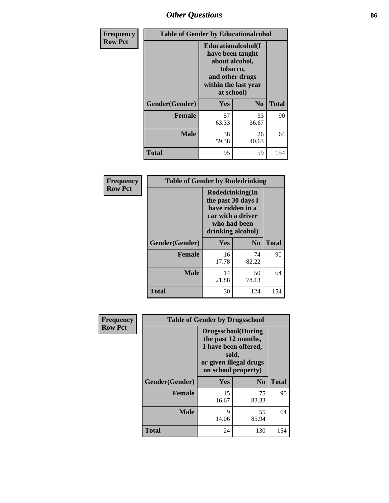# *Other Questions* **86**

| <b>Frequency</b> | <b>Table of Gender by Educationalcohol</b> |                                                                                                                                       |                |              |  |
|------------------|--------------------------------------------|---------------------------------------------------------------------------------------------------------------------------------------|----------------|--------------|--|
| <b>Row Pct</b>   |                                            | <b>Educationalcohol</b> (I<br>have been taught<br>about alcohol,<br>tobacco,<br>and other drugs<br>within the last year<br>at school) |                |              |  |
|                  | Gender(Gender)                             | <b>Yes</b>                                                                                                                            | N <sub>0</sub> | <b>Total</b> |  |
|                  | <b>Female</b>                              | 57<br>63.33                                                                                                                           | 33<br>36.67    | 90           |  |
|                  | <b>Male</b>                                | 38<br>59.38                                                                                                                           | 26<br>40.63    | 64           |  |
|                  | <b>Total</b>                               | 95                                                                                                                                    | 59             | 154          |  |

| Frequency      | <b>Table of Gender by Rodedrinking</b> |                                                                                                                     |             |              |  |
|----------------|----------------------------------------|---------------------------------------------------------------------------------------------------------------------|-------------|--------------|--|
| <b>Row Pct</b> |                                        | Rodedrinking(In<br>the past 30 days I<br>have ridden in a<br>car with a driver<br>who had been<br>drinking alcohol) |             |              |  |
|                | Gender(Gender)                         | Yes                                                                                                                 | $\bf N_0$   | <b>Total</b> |  |
|                | <b>Female</b>                          | 16<br>17.78                                                                                                         | 74<br>82.22 | 90           |  |
|                | <b>Male</b>                            | 14<br>21.88                                                                                                         | 50<br>78.13 | 64           |  |
|                | <b>Total</b>                           | 30                                                                                                                  | 124         | 154          |  |

| Frequency      |                | <b>Table of Gender by Drugsschool</b>                                                                                               |                |              |  |  |
|----------------|----------------|-------------------------------------------------------------------------------------------------------------------------------------|----------------|--------------|--|--|
| <b>Row Pct</b> |                | <b>Drugsschool</b> (During<br>the past 12 months,<br>I have been offered,<br>sold,<br>or given illegal drugs<br>on school property) |                |              |  |  |
|                | Gender(Gender) | <b>Yes</b>                                                                                                                          | N <sub>0</sub> | <b>Total</b> |  |  |
|                | <b>Female</b>  | 15<br>16.67                                                                                                                         | 75<br>83.33    | 90           |  |  |
|                | <b>Male</b>    | 9<br>14.06                                                                                                                          | 55<br>85.94    | 64           |  |  |
|                | <b>Total</b>   | 24                                                                                                                                  | 130            | 154          |  |  |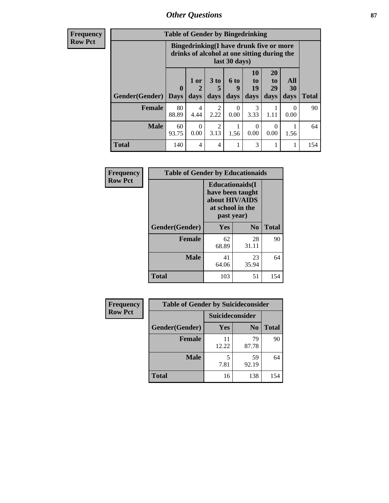### *Other Questions* **87**

**Frequency Row Pct**

| <b>Table of Gender by Bingedrinking</b> |                         |                                                                                                         |                   |                   |                               |                               |                   |              |
|-----------------------------------------|-------------------------|---------------------------------------------------------------------------------------------------------|-------------------|-------------------|-------------------------------|-------------------------------|-------------------|--------------|
|                                         |                         | Bingedrinking(I have drunk five or more<br>drinks of alcohol at one sitting during the<br>last 30 days) |                   |                   |                               |                               |                   |              |
| <b>Gender</b> (Gender)                  | $\bf{0}$<br><b>Days</b> | 1 or<br>days                                                                                            | 3 to<br>5<br>days | 6 to<br>9<br>days | <b>10</b><br>to<br>19<br>days | <b>20</b><br>to<br>29<br>days | All<br>30<br>days | <b>Total</b> |
| <b>Female</b>                           | 80<br>88.89             | 4<br>4.44                                                                                               | 2<br>2.22         | 0<br>0.00         | 3<br>3.33                     | 1.11                          | $\Omega$<br>0.00  | 90           |
| <b>Male</b>                             | 60<br>93.75             | 0<br>0.00                                                                                               | 2<br>3.13         | 1.56              | $\theta$<br>0.00              | $\Omega$<br>0.00              | 1.56              | 64           |
| <b>Total</b>                            | 140                     | 4                                                                                                       | 4                 |                   | 3                             |                               |                   | 154          |

| Frequency      | <b>Table of Gender by Educationaids</b> |                                                                                                 |             |              |
|----------------|-----------------------------------------|-------------------------------------------------------------------------------------------------|-------------|--------------|
| <b>Row Pct</b> |                                         | <b>Educationaids</b> (I<br>have been taught<br>about HIV/AIDS<br>at school in the<br>past year) |             |              |
|                | Gender(Gender)                          | Yes                                                                                             | $\bf N_0$   | <b>Total</b> |
|                | <b>Female</b>                           | 62<br>68.89                                                                                     | 28<br>31.11 | 90           |
|                | <b>Male</b>                             | 41<br>64.06                                                                                     | 23<br>35.94 | 64           |
|                | <b>Total</b>                            | 103                                                                                             | 51          | 154          |

| <b>Frequency</b> | <b>Table of Gender by Suicideconsider</b> |                 |                |              |
|------------------|-------------------------------------------|-----------------|----------------|--------------|
| <b>Row Pct</b>   |                                           | Suicideconsider |                |              |
|                  | Gender(Gender)                            | Yes             | N <sub>0</sub> | <b>Total</b> |
|                  | <b>Female</b>                             | 11<br>12.22     | 79<br>87.78    | 90           |
|                  | <b>Male</b>                               | 7.81            | 59<br>92.19    | 64           |
|                  | <b>Total</b>                              | 16              | 138            | 154          |